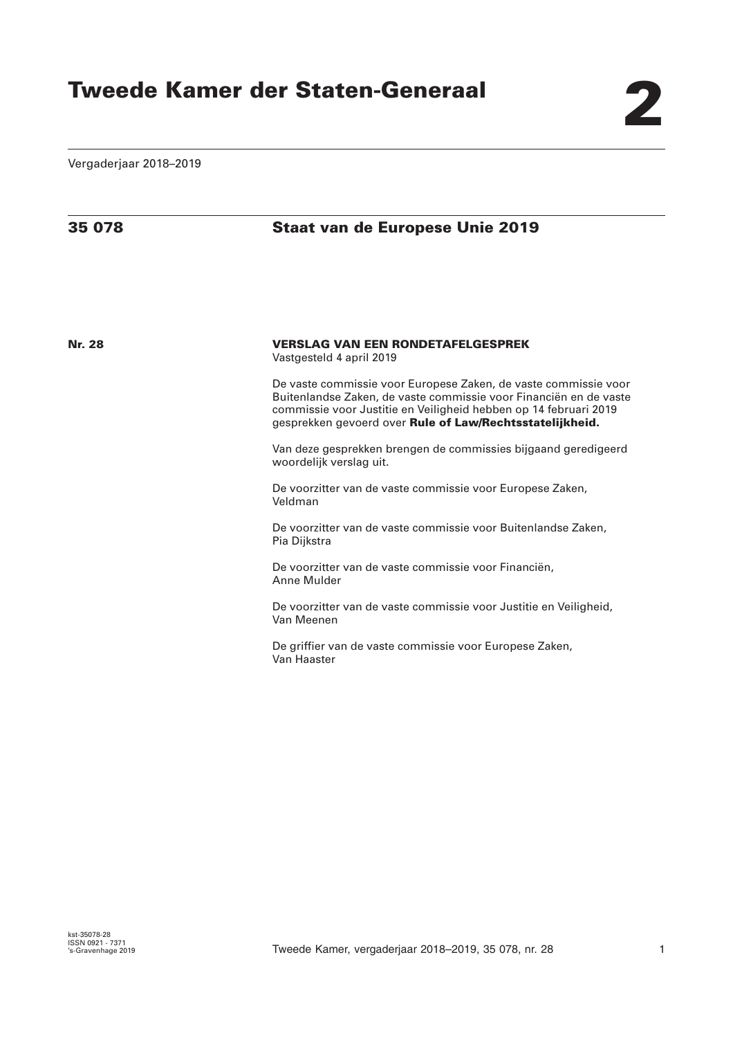Vergaderjaar 2018–2019

## **35 078 Staat van de Europese Unie 2019**

**Nr. 28 VERSLAG VAN EEN RONDETAFELGESPREK** Vastgesteld 4 april 2019 De vaste commissie voor Europese Zaken, de vaste commissie voor Buitenlandse Zaken, de vaste commissie voor Financiën en de vaste commissie voor Justitie en Veiligheid hebben op 14 februari 2019 gesprekken gevoerd over **Rule of Law/Rechtsstatelijkheid.**  Van deze gesprekken brengen de commissies bijgaand geredigeerd woordelijk verslag uit. De voorzitter van de vaste commissie voor Europese Zaken, Veldman De voorzitter van de vaste commissie voor Buitenlandse Zaken, Pia Dijkstra De voorzitter van de vaste commissie voor Financiën, Anne Mulder De voorzitter van de vaste commissie voor Justitie en Veiligheid, Van Meenen De griffier van de vaste commissie voor Europese Zaken, Van Haaster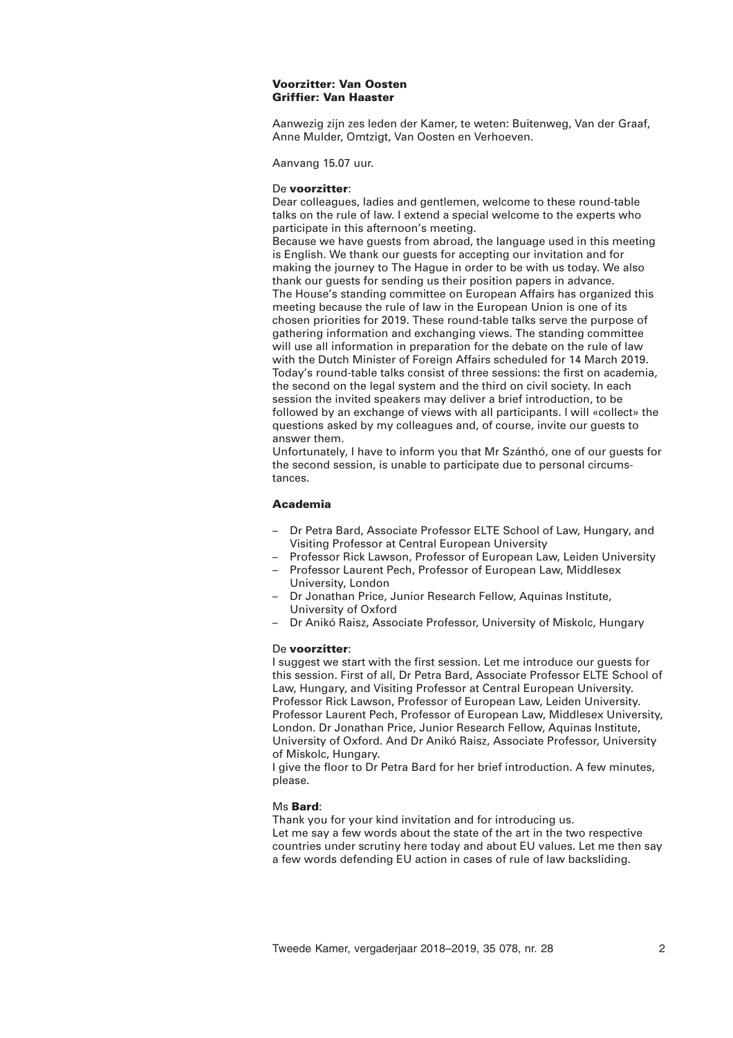## **Voorzitter: Van Oosten Griffier: Van Haaster**

Aanwezig zijn zes leden der Kamer, te weten: Buitenweg, Van der Graaf, Anne Mulder, Omtzigt, Van Oosten en Verhoeven.

Aanvang 15.07 uur.

## De **voorzitter**:

Dear colleagues, ladies and gentlemen, welcome to these round-table talks on the rule of law. I extend a special welcome to the experts who participate in this afternoon's meeting.

Because we have guests from abroad, the language used in this meeting is English. We thank our guests for accepting our invitation and for making the journey to The Hague in order to be with us today. We also thank our guests for sending us their position papers in advance. The House's standing committee on European Affairs has organized this meeting because the rule of law in the European Union is one of its chosen priorities for 2019. These round-table talks serve the purpose of gathering information and exchanging views. The standing committee will use all information in preparation for the debate on the rule of law with the Dutch Minister of Foreign Affairs scheduled for 14 March 2019. Today's round-table talks consist of three sessions: the first on academia, the second on the legal system and the third on civil society. In each session the invited speakers may deliver a brief introduction, to be followed by an exchange of views with all participants. I will «collect» the questions asked by my colleagues and, of course, invite our guests to answer them.

Unfortunately, I have to inform you that Mr Szánthó, one of our guests for the second session, is unable to participate due to personal circumstances.

## **Academia**

- Dr Petra Bard, Associate Professor ELTE School of Law, Hungary, and Visiting Professor at Central European University
- Professor Rick Lawson, Professor of European Law, Leiden University
- Professor Laurent Pech, Professor of European Law, Middlesex University, London
- Dr Jonathan Price, Junior Research Fellow, Aquinas Institute, University of Oxford
- Dr Anikó Raisz, Associate Professor, University of Miskolc, Hungary

## De **voorzitter**:

I suggest we start with the first session. Let me introduce our guests for this session. First of all, Dr Petra Bard, Associate Professor ELTE School of Law, Hungary, and Visiting Professor at Central European University. Professor Rick Lawson, Professor of European Law, Leiden University. Professor Laurent Pech, Professor of European Law, Middlesex University, London. Dr Jonathan Price, Junior Research Fellow, Aquinas Institute, University of Oxford. And Dr Anikó Raisz, Associate Professor, University of Miskolc, Hungary.

I give the floor to Dr Petra Bard for her brief introduction. A few minutes, please.

## Ms **Bard**:

Thank you for your kind invitation and for introducing us. Let me say a few words about the state of the art in the two respective countries under scrutiny here today and about EU values. Let me then say a few words defending EU action in cases of rule of law backsliding.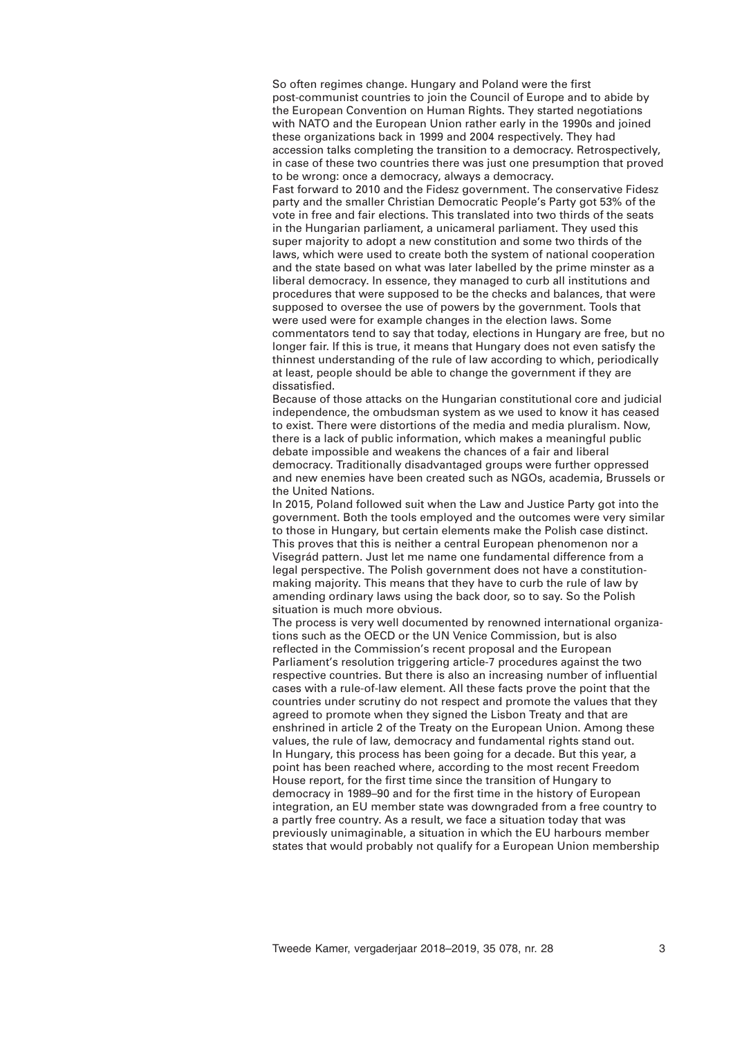So often regimes change. Hungary and Poland were the first post-communist countries to join the Council of Europe and to abide by the European Convention on Human Rights. They started negotiations with NATO and the European Union rather early in the 1990s and joined these organizations back in 1999 and 2004 respectively. They had accession talks completing the transition to a democracy. Retrospectively, in case of these two countries there was just one presumption that proved to be wrong: once a democracy, always a democracy.

Fast forward to 2010 and the Fidesz government. The conservative Fidesz party and the smaller Christian Democratic People's Party got 53% of the vote in free and fair elections. This translated into two thirds of the seats in the Hungarian parliament, a unicameral parliament. They used this super majority to adopt a new constitution and some two thirds of the laws, which were used to create both the system of national cooperation and the state based on what was later labelled by the prime minster as a liberal democracy. In essence, they managed to curb all institutions and procedures that were supposed to be the checks and balances, that were supposed to oversee the use of powers by the government. Tools that were used were for example changes in the election laws. Some commentators tend to say that today, elections in Hungary are free, but no longer fair. If this is true, it means that Hungary does not even satisfy the thinnest understanding of the rule of law according to which, periodically at least, people should be able to change the government if they are dissatisfied.

Because of those attacks on the Hungarian constitutional core and judicial independence, the ombudsman system as we used to know it has ceased to exist. There were distortions of the media and media pluralism. Now, there is a lack of public information, which makes a meaningful public debate impossible and weakens the chances of a fair and liberal democracy. Traditionally disadvantaged groups were further oppressed and new enemies have been created such as NGOs, academia, Brussels or the United Nations.

In 2015, Poland followed suit when the Law and Justice Party got into the government. Both the tools employed and the outcomes were very similar to those in Hungary, but certain elements make the Polish case distinct. This proves that this is neither a central European phenomenon nor a Visegrád pattern. Just let me name one fundamental difference from a legal perspective. The Polish government does not have a constitutionmaking majority. This means that they have to curb the rule of law by amending ordinary laws using the back door, so to say. So the Polish situation is much more obvious.

The process is very well documented by renowned international organizations such as the OECD or the UN Venice Commission, but is also reflected in the Commission's recent proposal and the European Parliament's resolution triggering article-7 procedures against the two respective countries. But there is also an increasing number of influential cases with a rule-of-law element. All these facts prove the point that the countries under scrutiny do not respect and promote the values that they agreed to promote when they signed the Lisbon Treaty and that are enshrined in article 2 of the Treaty on the European Union. Among these values, the rule of law, democracy and fundamental rights stand out. In Hungary, this process has been going for a decade. But this year, a point has been reached where, according to the most recent Freedom House report, for the first time since the transition of Hungary to democracy in 1989–90 and for the first time in the history of European integration, an EU member state was downgraded from a free country to a partly free country. As a result, we face a situation today that was previously unimaginable, a situation in which the EU harbours member states that would probably not qualify for a European Union membership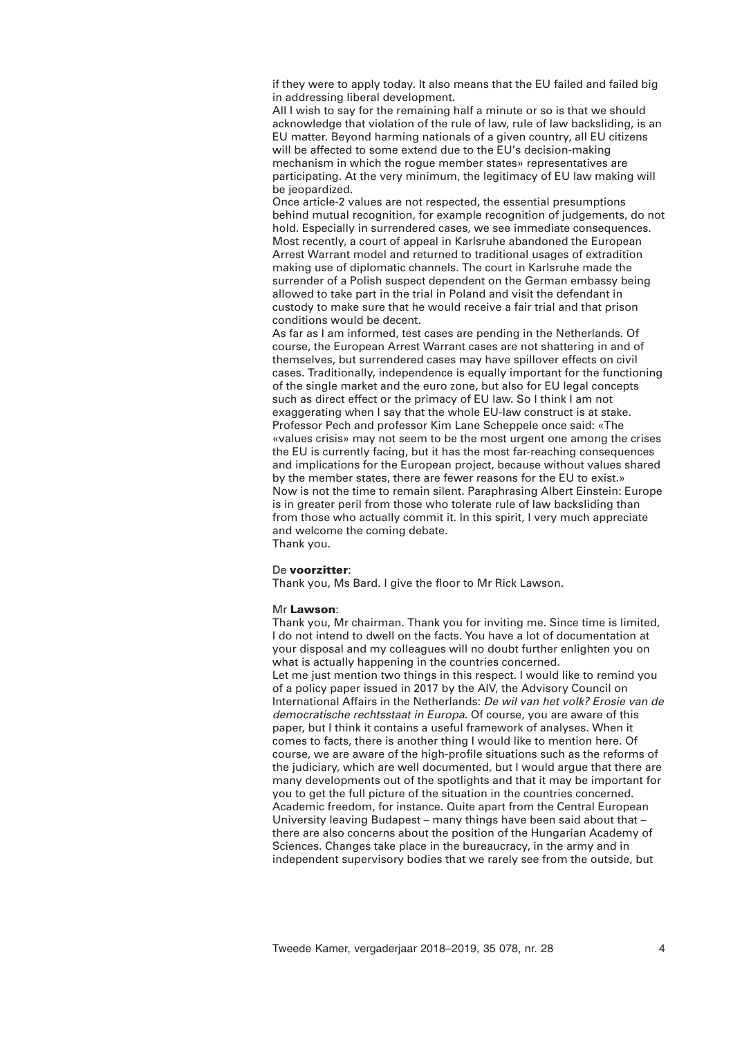if they were to apply today. It also means that the EU failed and failed big in addressing liberal development.

All I wish to say for the remaining half a minute or so is that we should acknowledge that violation of the rule of law, rule of law backsliding, is an EU matter. Beyond harming nationals of a given country, all EU citizens will be affected to some extend due to the EU's decision-making mechanism in which the rogue member states» representatives are participating. At the very minimum, the legitimacy of EU law making will be jeopardized.

Once article-2 values are not respected, the essential presumptions behind mutual recognition, for example recognition of judgements, do not hold. Especially in surrendered cases, we see immediate consequences. Most recently, a court of appeal in Karlsruhe abandoned the European Arrest Warrant model and returned to traditional usages of extradition making use of diplomatic channels. The court in Karlsruhe made the surrender of a Polish suspect dependent on the German embassy being allowed to take part in the trial in Poland and visit the defendant in custody to make sure that he would receive a fair trial and that prison conditions would be decent.

As far as I am informed, test cases are pending in the Netherlands. Of course, the European Arrest Warrant cases are not shattering in and of themselves, but surrendered cases may have spillover effects on civil cases. Traditionally, independence is equally important for the functioning of the single market and the euro zone, but also for EU legal concepts such as direct effect or the primacy of EU law. So I think I am not exaggerating when I say that the whole EU-law construct is at stake. Professor Pech and professor Kim Lane Scheppele once said: «The «values crisis» may not seem to be the most urgent one among the crises the EU is currently facing, but it has the most far-reaching consequences and implications for the European project, because without values shared by the member states, there are fewer reasons for the EU to exist.» Now is not the time to remain silent. Paraphrasing Albert Einstein: Europe is in greater peril from those who tolerate rule of law backsliding than from those who actually commit it. In this spirit, I very much appreciate and welcome the coming debate. Thank you.

# De **voorzitter**:

Thank you, Ms Bard. I give the floor to Mr Rick Lawson.

#### Mr **Lawson**:

Thank you, Mr chairman. Thank you for inviting me. Since time is limited, I do not intend to dwell on the facts. You have a lot of documentation at your disposal and my colleagues will no doubt further enlighten you on what is actually happening in the countries concerned. Let me just mention two things in this respect. I would like to remind you of a policy paper issued in 2017 by the AIV, the Advisory Council on International Affairs in the Netherlands: *De wil van het volk? Erosie van de democratische rechtsstaat in Europa*. Of course, you are aware of this paper, but I think it contains a useful framework of analyses. When it comes to facts, there is another thing I would like to mention here. Of course, we are aware of the high-profile situations such as the reforms of the judiciary, which are well documented, but I would argue that there are many developments out of the spotlights and that it may be important for you to get the full picture of the situation in the countries concerned. Academic freedom, for instance. Quite apart from the Central European University leaving Budapest – many things have been said about that – there are also concerns about the position of the Hungarian Academy of Sciences. Changes take place in the bureaucracy, in the army and in independent supervisory bodies that we rarely see from the outside, but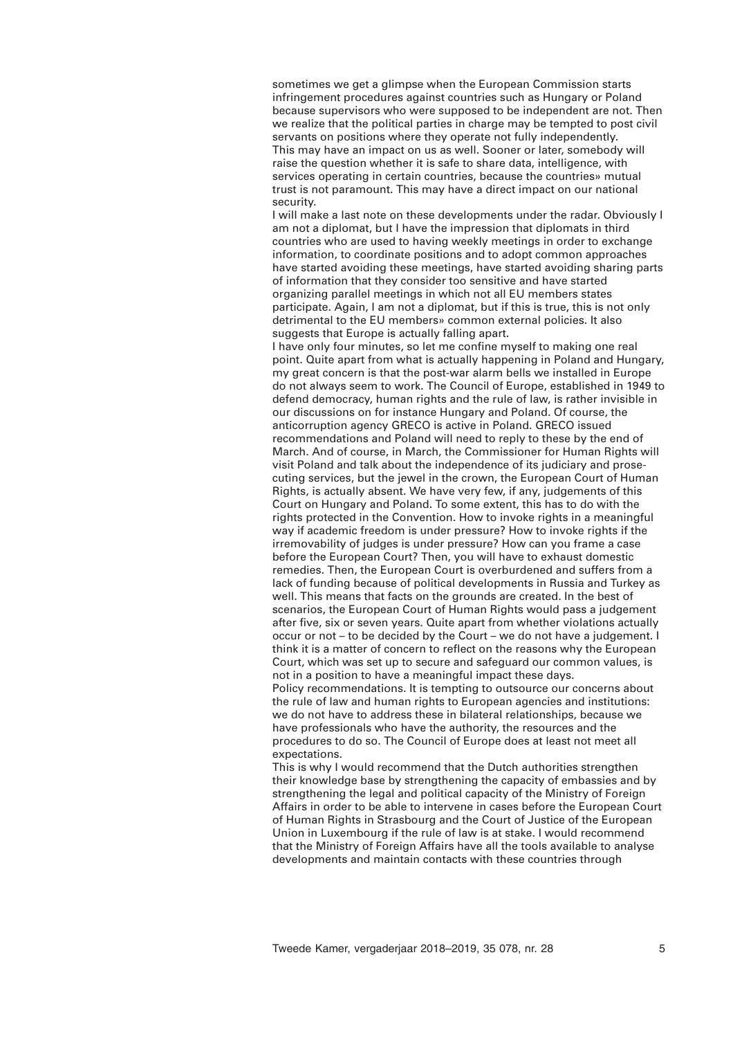sometimes we get a glimpse when the European Commission starts infringement procedures against countries such as Hungary or Poland because supervisors who were supposed to be independent are not. Then we realize that the political parties in charge may be tempted to post civil servants on positions where they operate not fully independently. This may have an impact on us as well. Sooner or later, somebody will raise the question whether it is safe to share data, intelligence, with services operating in certain countries, because the countries» mutual trust is not paramount. This may have a direct impact on our national security.

I will make a last note on these developments under the radar. Obviously I am not a diplomat, but I have the impression that diplomats in third countries who are used to having weekly meetings in order to exchange information, to coordinate positions and to adopt common approaches have started avoiding these meetings, have started avoiding sharing parts of information that they consider too sensitive and have started organizing parallel meetings in which not all EU members states participate. Again, I am not a diplomat, but if this is true, this is not only detrimental to the EU members» common external policies. It also suggests that Europe is actually falling apart.

I have only four minutes, so let me confine myself to making one real point. Quite apart from what is actually happening in Poland and Hungary, my great concern is that the post-war alarm bells we installed in Europe do not always seem to work. The Council of Europe, established in 1949 to defend democracy, human rights and the rule of law, is rather invisible in our discussions on for instance Hungary and Poland. Of course, the anticorruption agency GRECO is active in Poland. GRECO issued recommendations and Poland will need to reply to these by the end of March. And of course, in March, the Commissioner for Human Rights will visit Poland and talk about the independence of its judiciary and prosecuting services, but the jewel in the crown, the European Court of Human Rights, is actually absent. We have very few, if any, judgements of this Court on Hungary and Poland. To some extent, this has to do with the rights protected in the Convention. How to invoke rights in a meaningful way if academic freedom is under pressure? How to invoke rights if the irremovability of judges is under pressure? How can you frame a case before the European Court? Then, you will have to exhaust domestic remedies. Then, the European Court is overburdened and suffers from a lack of funding because of political developments in Russia and Turkey as well. This means that facts on the grounds are created. In the best of scenarios, the European Court of Human Rights would pass a judgement after five, six or seven years. Quite apart from whether violations actually occur or not – to be decided by the Court – we do not have a judgement. I think it is a matter of concern to reflect on the reasons why the European Court, which was set up to secure and safeguard our common values, is not in a position to have a meaningful impact these days.

Policy recommendations. It is tempting to outsource our concerns about the rule of law and human rights to European agencies and institutions: we do not have to address these in bilateral relationships, because we have professionals who have the authority, the resources and the procedures to do so. The Council of Europe does at least not meet all expectations.

This is why I would recommend that the Dutch authorities strengthen their knowledge base by strengthening the capacity of embassies and by strengthening the legal and political capacity of the Ministry of Foreign Affairs in order to be able to intervene in cases before the European Court of Human Rights in Strasbourg and the Court of Justice of the European Union in Luxembourg if the rule of law is at stake. I would recommend that the Ministry of Foreign Affairs have all the tools available to analyse developments and maintain contacts with these countries through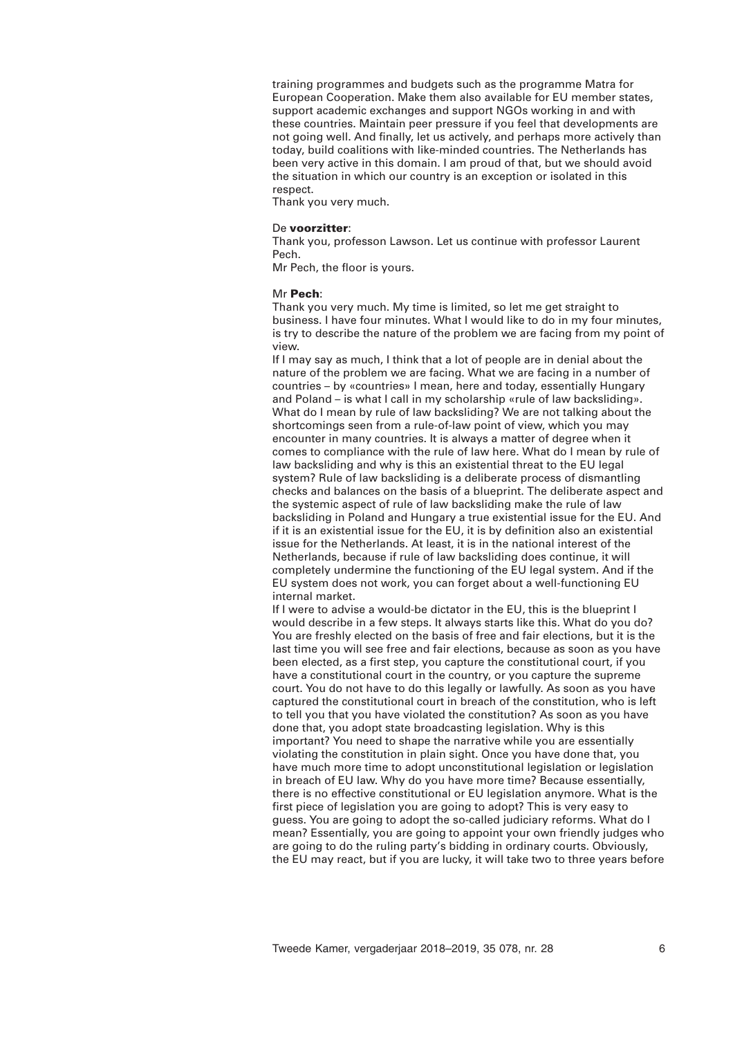training programmes and budgets such as the programme Matra for European Cooperation. Make them also available for EU member states, support academic exchanges and support NGOs working in and with these countries. Maintain peer pressure if you feel that developments are not going well. And finally, let us actively, and perhaps more actively than today, build coalitions with like-minded countries. The Netherlands has been very active in this domain. I am proud of that, but we should avoid the situation in which our country is an exception or isolated in this respect.

Thank you very much.

## De **voorzitter**:

Thank you, professon Lawson. Let us continue with professor Laurent Pech.

Mr Pech, the floor is yours.

## Mr **Pech**:

Thank you very much. My time is limited, so let me get straight to business. I have four minutes. What I would like to do in my four minutes, is try to describe the nature of the problem we are facing from my point of view.

If I may say as much, I think that a lot of people are in denial about the nature of the problem we are facing. What we are facing in a number of countries – by «countries» I mean, here and today, essentially Hungary and Poland – is what I call in my scholarship «rule of law backsliding». What do I mean by rule of law backsliding? We are not talking about the shortcomings seen from a rule-of-law point of view, which you may encounter in many countries. It is always a matter of degree when it comes to compliance with the rule of law here. What do I mean by rule of law backsliding and why is this an existential threat to the EU legal system? Rule of law backsliding is a deliberate process of dismantling checks and balances on the basis of a blueprint. The deliberate aspect and the systemic aspect of rule of law backsliding make the rule of law backsliding in Poland and Hungary a true existential issue for the EU. And if it is an existential issue for the EU, it is by definition also an existential issue for the Netherlands. At least, it is in the national interest of the Netherlands, because if rule of law backsliding does continue, it will completely undermine the functioning of the EU legal system. And if the EU system does not work, you can forget about a well-functioning EU internal market.

If I were to advise a would-be dictator in the EU, this is the blueprint I would describe in a few steps. It always starts like this. What do you do? You are freshly elected on the basis of free and fair elections, but it is the last time you will see free and fair elections, because as soon as you have been elected, as a first step, you capture the constitutional court, if you have a constitutional court in the country, or you capture the supreme court. You do not have to do this legally or lawfully. As soon as you have captured the constitutional court in breach of the constitution, who is left to tell you that you have violated the constitution? As soon as you have done that, you adopt state broadcasting legislation. Why is this important? You need to shape the narrative while you are essentially violating the constitution in plain sight. Once you have done that, you have much more time to adopt unconstitutional legislation or legislation in breach of EU law. Why do you have more time? Because essentially, there is no effective constitutional or EU legislation anymore. What is the first piece of legislation you are going to adopt? This is very easy to guess. You are going to adopt the so-called judiciary reforms. What do I mean? Essentially, you are going to appoint your own friendly judges who are going to do the ruling party's bidding in ordinary courts. Obviously, the EU may react, but if you are lucky, it will take two to three years before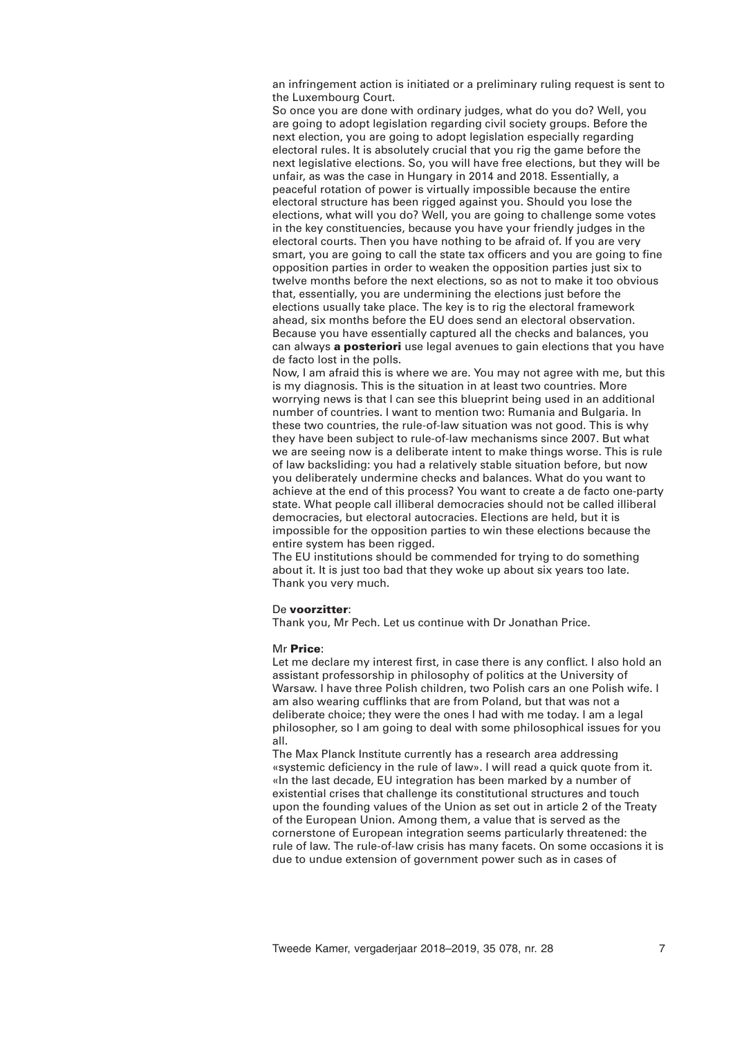an infringement action is initiated or a preliminary ruling request is sent to the Luxembourg Court.

So once you are done with ordinary judges, what do you do? Well, you are going to adopt legislation regarding civil society groups. Before the next election, you are going to adopt legislation especially regarding electoral rules. It is absolutely crucial that you rig the game before the next legislative elections. So, you will have free elections, but they will be unfair, as was the case in Hungary in 2014 and 2018. Essentially, a peaceful rotation of power is virtually impossible because the entire electoral structure has been rigged against you. Should you lose the elections, what will you do? Well, you are going to challenge some votes in the key constituencies, because you have your friendly judges in the electoral courts. Then you have nothing to be afraid of. If you are very smart, you are going to call the state tax officers and you are going to fine opposition parties in order to weaken the opposition parties just six to twelve months before the next elections, so as not to make it too obvious that, essentially, you are undermining the elections just before the elections usually take place. The key is to rig the electoral framework ahead, six months before the EU does send an electoral observation. Because you have essentially captured all the checks and balances, you can always **a posteriori** use legal avenues to gain elections that you have de facto lost in the polls.

Now, I am afraid this is where we are. You may not agree with me, but this is my diagnosis. This is the situation in at least two countries. More worrying news is that I can see this blueprint being used in an additional number of countries. I want to mention two: Rumania and Bulgaria. In these two countries, the rule-of-law situation was not good. This is why they have been subject to rule-of-law mechanisms since 2007. But what we are seeing now is a deliberate intent to make things worse. This is rule of law backsliding: you had a relatively stable situation before, but now you deliberately undermine checks and balances. What do you want to achieve at the end of this process? You want to create a de facto one-party state. What people call illiberal democracies should not be called illiberal democracies, but electoral autocracies. Elections are held, but it is impossible for the opposition parties to win these elections because the entire system has been rigged.

The EU institutions should be commended for trying to do something about it. It is just too bad that they woke up about six years too late. Thank you very much.

#### De **voorzitter**:

Thank you, Mr Pech. Let us continue with Dr Jonathan Price.

#### Mr **Price**:

Let me declare my interest first, in case there is any conflict. I also hold an assistant professorship in philosophy of politics at the University of Warsaw. I have three Polish children, two Polish cars an one Polish wife. I am also wearing cufflinks that are from Poland, but that was not a deliberate choice; they were the ones I had with me today. I am a legal philosopher, so I am going to deal with some philosophical issues for you all.

The Max Planck Institute currently has a research area addressing «systemic deficiency in the rule of law». I will read a quick quote from it. «In the last decade, EU integration has been marked by a number of existential crises that challenge its constitutional structures and touch upon the founding values of the Union as set out in article 2 of the Treaty of the European Union. Among them, a value that is served as the cornerstone of European integration seems particularly threatened: the rule of law. The rule-of-law crisis has many facets. On some occasions it is due to undue extension of government power such as in cases of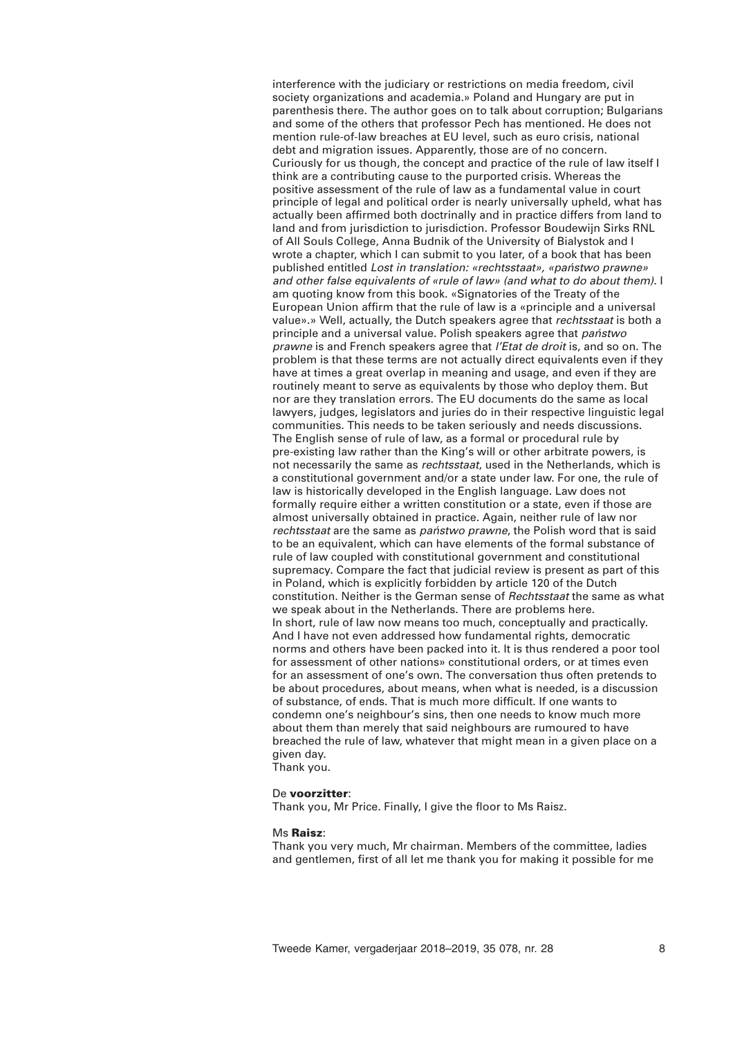interference with the judiciary or restrictions on media freedom, civil society organizations and academia.» Poland and Hungary are put in parenthesis there. The author goes on to talk about corruption; Bulgarians and some of the others that professor Pech has mentioned. He does not mention rule-of-law breaches at EU level, such as euro crisis, national debt and migration issues. Apparently, those are of no concern. Curiously for us though, the concept and practice of the rule of law itself I think are a contributing cause to the purported crisis. Whereas the positive assessment of the rule of law as a fundamental value in court principle of legal and political order is nearly universally upheld, what has actually been affirmed both doctrinally and in practice differs from land to land and from jurisdiction to jurisdiction. Professor Boudewijn Sirks RNL of All Souls College, Anna Budnik of the University of Bialystok and I wrote a chapter, which I can submit to you later, of a book that has been published entitled *Lost in translation: «rechtsstaat», «panstwo prawne» and other false equivalents of «rule of law» (and what to do about them)*. I am quoting know from this book. «Signatories of the Treaty of the European Union affirm that the rule of law is a «principle and a universal value».» Well, actually, the Dutch speakers agree that *rechtsstaat* is both a principle and a universal value. Polish speakers agree that *państwo prawne* is and French speakers agree that *l'Etat de droit* is, and so on. The problem is that these terms are not actually direct equivalents even if they have at times a great overlap in meaning and usage, and even if they are routinely meant to serve as equivalents by those who deploy them. But nor are they translation errors. The EU documents do the same as local lawyers, judges, legislators and juries do in their respective linguistic legal communities. This needs to be taken seriously and needs discussions. The English sense of rule of law, as a formal or procedural rule by pre-existing law rather than the King's will or other arbitrate powers, is not necessarily the same as *rechtsstaat*, used in the Netherlands, which is a constitutional government and/or a state under law. For one, the rule of law is historically developed in the English language. Law does not formally require either a written constitution or a state, even if those are almost universally obtained in practice. Again, neither rule of law nor *rechtsstaat* are the same as *państwo prawne*, the Polish word that is said to be an equivalent, which can have elements of the formal substance of rule of law coupled with constitutional government and constitutional supremacy. Compare the fact that judicial review is present as part of this in Poland, which is explicitly forbidden by article 120 of the Dutch constitution. Neither is the German sense of *Rechtsstaat* the same as what we speak about in the Netherlands. There are problems here. In short, rule of law now means too much, conceptually and practically. And I have not even addressed how fundamental rights, democratic norms and others have been packed into it. It is thus rendered a poor tool for assessment of other nations» constitutional orders, or at times even for an assessment of one's own. The conversation thus often pretends to be about procedures, about means, when what is needed, is a discussion of substance, of ends. That is much more difficult. If one wants to condemn one's neighbour's sins, then one needs to know much more about them than merely that said neighbours are rumoured to have breached the rule of law, whatever that might mean in a given place on a given day. Thank you.

#### De **voorzitter**:

Thank you, Mr Price. Finally, I give the floor to Ms Raisz.

#### Ms **Raisz**:

Thank you very much, Mr chairman. Members of the committee, ladies and gentlemen, first of all let me thank you for making it possible for me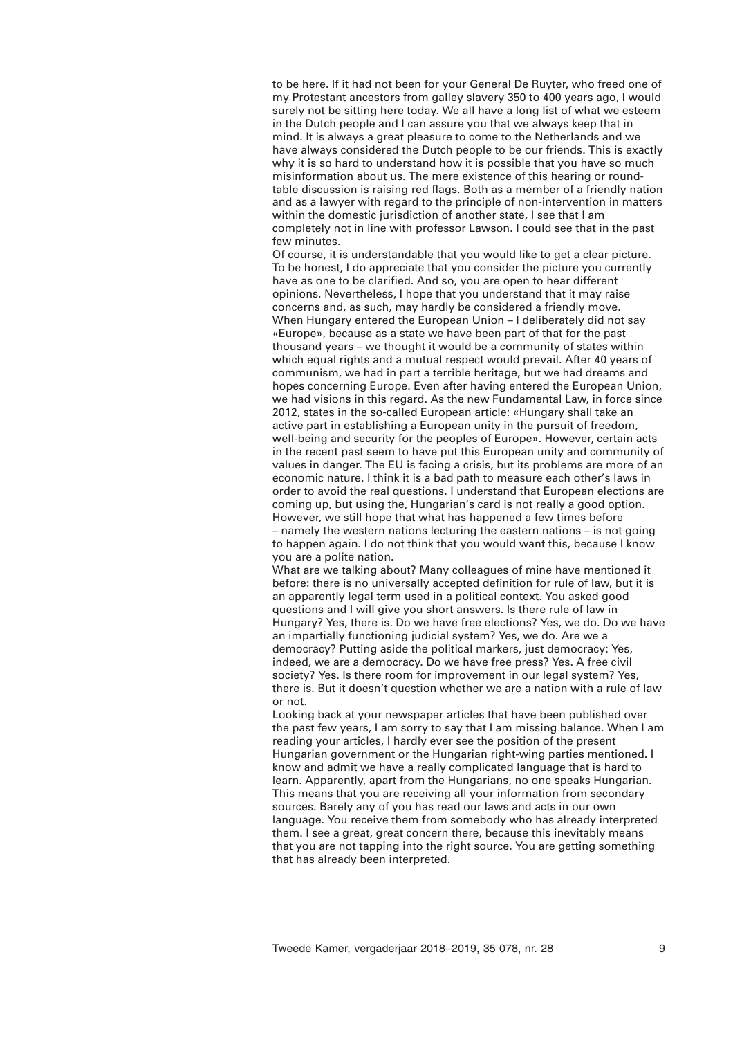to be here. If it had not been for your General De Ruyter, who freed one of my Protestant ancestors from galley slavery 350 to 400 years ago, I would surely not be sitting here today. We all have a long list of what we esteem in the Dutch people and I can assure you that we always keep that in mind. It is always a great pleasure to come to the Netherlands and we have always considered the Dutch people to be our friends. This is exactly why it is so hard to understand how it is possible that you have so much misinformation about us. The mere existence of this hearing or roundtable discussion is raising red flags. Both as a member of a friendly nation and as a lawyer with regard to the principle of non-intervention in matters within the domestic jurisdiction of another state, I see that I am completely not in line with professor Lawson. I could see that in the past few minutes.

Of course, it is understandable that you would like to get a clear picture. To be honest, I do appreciate that you consider the picture you currently have as one to be clarified. And so, you are open to hear different opinions. Nevertheless, I hope that you understand that it may raise concerns and, as such, may hardly be considered a friendly move. When Hungary entered the European Union – I deliberately did not say «Europe», because as a state we have been part of that for the past thousand years – we thought it would be a community of states within which equal rights and a mutual respect would prevail. After 40 years of communism, we had in part a terrible heritage, but we had dreams and hopes concerning Europe. Even after having entered the European Union, we had visions in this regard. As the new Fundamental Law, in force since 2012, states in the so-called European article: «Hungary shall take an active part in establishing a European unity in the pursuit of freedom, well-being and security for the peoples of Europe». However, certain acts in the recent past seem to have put this European unity and community of values in danger. The EU is facing a crisis, but its problems are more of an economic nature. I think it is a bad path to measure each other's laws in order to avoid the real questions. I understand that European elections are coming up, but using the, Hungarian's card is not really a good option. However, we still hope that what has happened a few times before – namely the western nations lecturing the eastern nations – is not going to happen again. I do not think that you would want this, because I know you are a polite nation.

What are we talking about? Many colleagues of mine have mentioned it before: there is no universally accepted definition for rule of law, but it is an apparently legal term used in a political context. You asked good questions and I will give you short answers. Is there rule of law in Hungary? Yes, there is. Do we have free elections? Yes, we do. Do we have an impartially functioning judicial system? Yes, we do. Are we a democracy? Putting aside the political markers, just democracy: Yes, indeed, we are a democracy. Do we have free press? Yes. A free civil society? Yes. Is there room for improvement in our legal system? Yes, there is. But it doesn't question whether we are a nation with a rule of law or not.

Looking back at your newspaper articles that have been published over the past few years, I am sorry to say that I am missing balance. When I am reading your articles, I hardly ever see the position of the present Hungarian government or the Hungarian right-wing parties mentioned. I know and admit we have a really complicated language that is hard to learn. Apparently, apart from the Hungarians, no one speaks Hungarian. This means that you are receiving all your information from secondary sources. Barely any of you has read our laws and acts in our own language. You receive them from somebody who has already interpreted them. I see a great, great concern there, because this inevitably means that you are not tapping into the right source. You are getting something that has already been interpreted.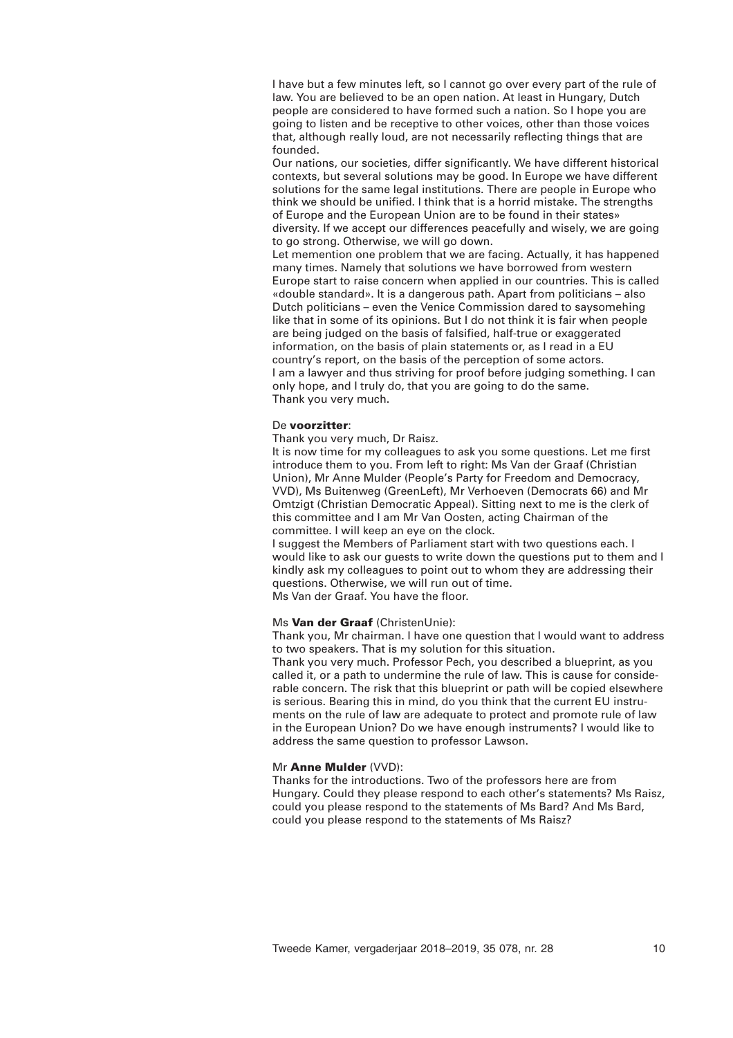I have but a few minutes left, so I cannot go over every part of the rule of law. You are believed to be an open nation. At least in Hungary, Dutch people are considered to have formed such a nation. So I hope you are going to listen and be receptive to other voices, other than those voices that, although really loud, are not necessarily reflecting things that are founded.

Our nations, our societies, differ significantly. We have different historical contexts, but several solutions may be good. In Europe we have different solutions for the same legal institutions. There are people in Europe who think we should be unified. I think that is a horrid mistake. The strengths of Europe and the European Union are to be found in their states» diversity. If we accept our differences peacefully and wisely, we are going to go strong. Otherwise, we will go down.

Let memention one problem that we are facing. Actually, it has happened many times. Namely that solutions we have borrowed from western Europe start to raise concern when applied in our countries. This is called «double standard». It is a dangerous path. Apart from politicians – also Dutch politicians – even the Venice Commission dared to saysomehing like that in some of its opinions. But I do not think it is fair when people are being judged on the basis of falsified, half-true or exaggerated information, on the basis of plain statements or, as I read in a EU country's report, on the basis of the perception of some actors. I am a lawyer and thus striving for proof before judging something. I can only hope, and I truly do, that you are going to do the same. Thank you very much.

#### De **voorzitter**:

Thank you very much, Dr Raisz.

It is now time for my colleagues to ask you some questions. Let me first introduce them to you. From left to right: Ms Van der Graaf (Christian Union), Mr Anne Mulder (People's Party for Freedom and Democracy, VVD), Ms Buitenweg (GreenLeft), Mr Verhoeven (Democrats 66) and Mr Omtzigt (Christian Democratic Appeal). Sitting next to me is the clerk of this committee and I am Mr Van Oosten, acting Chairman of the committee. I will keep an eye on the clock.

I suggest the Members of Parliament start with two questions each. I would like to ask our guests to write down the questions put to them and I kindly ask my colleagues to point out to whom they are addressing their questions. Otherwise, we will run out of time. Ms Van der Graaf. You have the floor.

## Ms **Van der Graaf** (ChristenUnie):

Thank you, Mr chairman. I have one question that I would want to address to two speakers. That is my solution for this situation.

Thank you very much. Professor Pech, you described a blueprint, as you called it, or a path to undermine the rule of law. This is cause for considerable concern. The risk that this blueprint or path will be copied elsewhere is serious. Bearing this in mind, do you think that the current EU instruments on the rule of law are adequate to protect and promote rule of law in the European Union? Do we have enough instruments? I would like to address the same question to professor Lawson.

### Mr **Anne Mulder** (VVD):

Thanks for the introductions. Two of the professors here are from Hungary. Could they please respond to each other's statements? Ms Raisz, could you please respond to the statements of Ms Bard? And Ms Bard, could you please respond to the statements of Ms Raisz?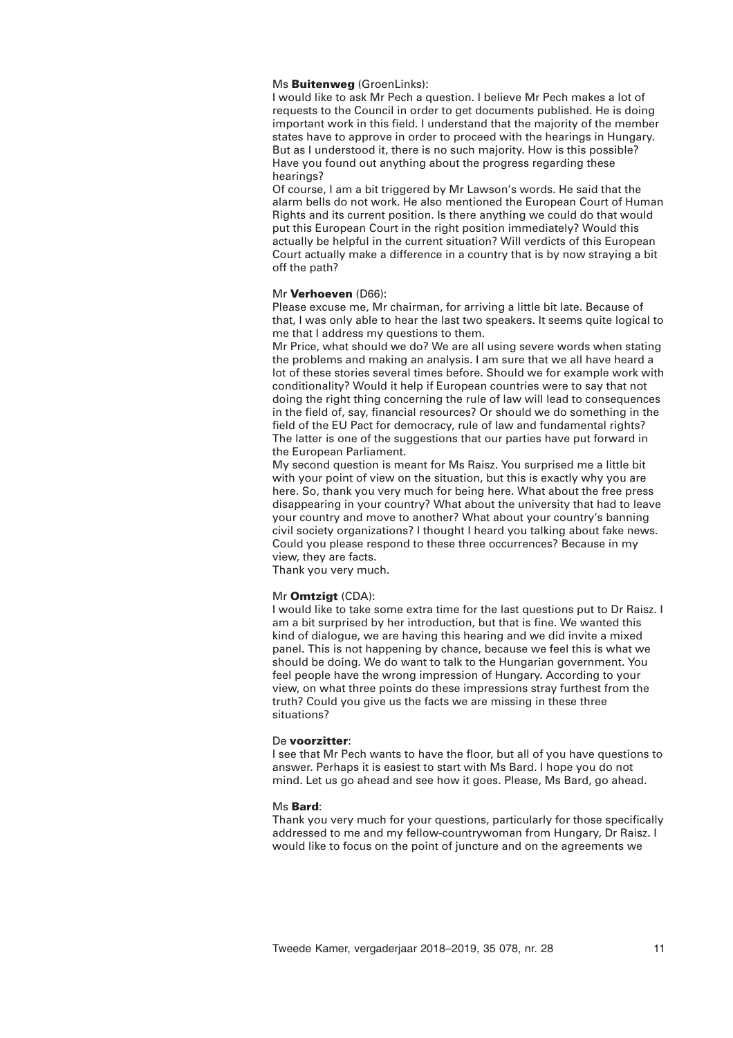## Ms **Buitenweg** (GroenLinks):

I would like to ask Mr Pech a question. I believe Mr Pech makes a lot of requests to the Council in order to get documents published. He is doing important work in this field. I understand that the majority of the member states have to approve in order to proceed with the hearings in Hungary. But as I understood it, there is no such majority. How is this possible? Have you found out anything about the progress regarding these hearings?

Of course, I am a bit triggered by Mr Lawson's words. He said that the alarm bells do not work. He also mentioned the European Court of Human Rights and its current position. Is there anything we could do that would put this European Court in the right position immediately? Would this actually be helpful in the current situation? Will verdicts of this European Court actually make a difference in a country that is by now straying a bit off the path?

## Mr **Verhoeven** (D66):

Please excuse me, Mr chairman, for arriving a little bit late. Because of that, I was only able to hear the last two speakers. It seems quite logical to me that I address my questions to them.

Mr Price, what should we do? We are all using severe words when stating the problems and making an analysis. I am sure that we all have heard a lot of these stories several times before. Should we for example work with conditionality? Would it help if European countries were to say that not doing the right thing concerning the rule of law will lead to consequences in the field of, say, financial resources? Or should we do something in the field of the EU Pact for democracy, rule of law and fundamental rights? The latter is one of the suggestions that our parties have put forward in the European Parliament.

My second question is meant for Ms Raisz. You surprised me a little bit with your point of view on the situation, but this is exactly why you are here. So, thank you very much for being here. What about the free press disappearing in your country? What about the university that had to leave your country and move to another? What about your country's banning civil society organizations? I thought I heard you talking about fake news. Could you please respond to these three occurrences? Because in my view, they are facts.

Thank you very much.

#### Mr **Omtzigt** (CDA):

I would like to take some extra time for the last questions put to Dr Raisz. I am a bit surprised by her introduction, but that is fine. We wanted this kind of dialogue, we are having this hearing and we did invite a mixed panel. This is not happening by chance, because we feel this is what we should be doing. We do want to talk to the Hungarian government. You feel people have the wrong impression of Hungary. According to your view, on what three points do these impressions stray furthest from the truth? Could you give us the facts we are missing in these three situations?

#### De **voorzitter**:

I see that Mr Pech wants to have the floor, but all of you have questions to answer. Perhaps it is easiest to start with Ms Bard. I hope you do not mind. Let us go ahead and see how it goes. Please, Ms Bard, go ahead.

#### Ms **Bard**:

Thank you very much for your questions, particularly for those specifically addressed to me and my fellow-countrywoman from Hungary, Dr Raisz. I would like to focus on the point of juncture and on the agreements we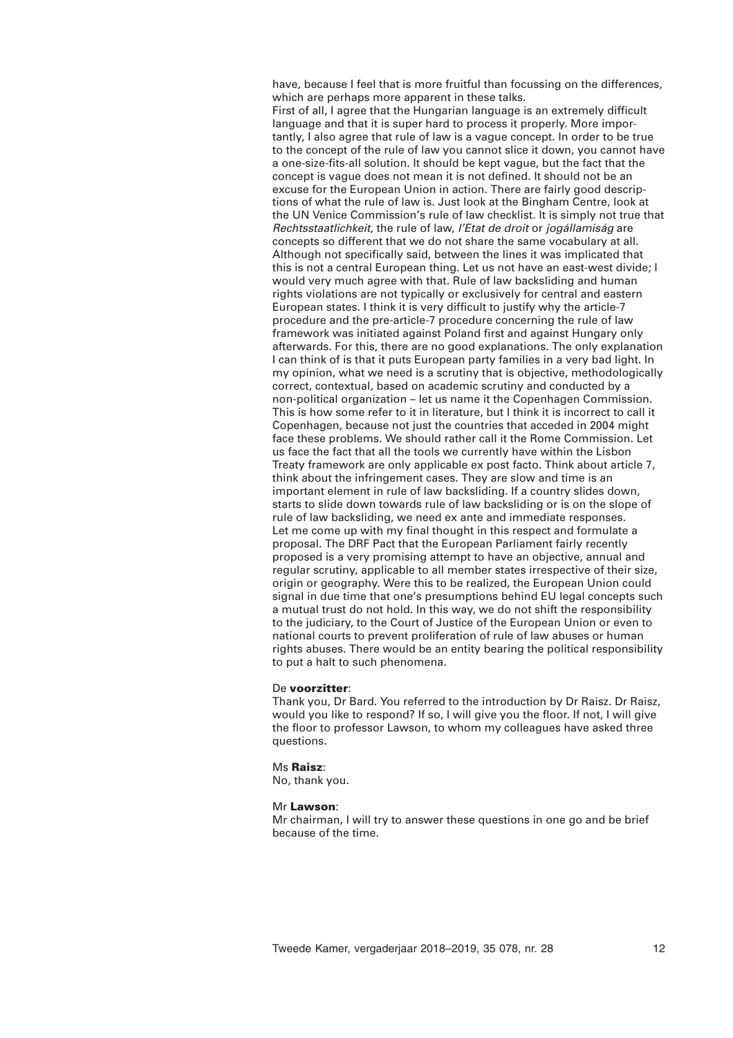have, because I feel that is more fruitful than focussing on the differences, which are perhaps more apparent in these talks. First of all, I agree that the Hungarian language is an extremely difficult language and that it is super hard to process it properly. More importantly, I also agree that rule of law is a vague concept. In order to be true to the concept of the rule of law you cannot slice it down, you cannot have a one-size-fits-all solution. It should be kept vague, but the fact that the concept is vague does not mean it is not defined. It should not be an excuse for the European Union in action. There are fairly good descriptions of what the rule of law is. Just look at the Bingham Centre, look at the UN Venice Commission's rule of law checklist. It is simply not true that *Rechtsstaatlichkeit*, the rule of law, *l'Etat de droit* or *jogállamiság* are concepts so different that we do not share the same vocabulary at all. Although not specifically said, between the lines it was implicated that this is not a central European thing. Let us not have an east-west divide; I would very much agree with that. Rule of law backsliding and human rights violations are not typically or exclusively for central and eastern European states. I think it is very difficult to justify why the article-7 procedure and the pre-article-7 procedure concerning the rule of law framework was initiated against Poland first and against Hungary only afterwards. For this, there are no good explanations. The only explanation I can think of is that it puts European party families in a very bad light. In my opinion, what we need is a scrutiny that is objective, methodologically correct, contextual, based on academic scrutiny and conducted by a non-political organization – let us name it the Copenhagen Commission. This is how some refer to it in literature, but I think it is incorrect to call it Copenhagen, because not just the countries that acceded in 2004 might face these problems. We should rather call it the Rome Commission. Let us face the fact that all the tools we currently have within the Lisbon Treaty framework are only applicable ex post facto. Think about article 7, think about the infringement cases. They are slow and time is an important element in rule of law backsliding. If a country slides down, starts to slide down towards rule of law backsliding or is on the slope of rule of law backsliding, we need ex ante and immediate responses. Let me come up with my final thought in this respect and formulate a proposal. The DRF Pact that the European Parliament fairly recently proposed is a very promising attempt to have an objective, annual and regular scrutiny, applicable to all member states irrespective of their size, origin or geography. Were this to be realized, the European Union could signal in due time that one's presumptions behind EU legal concepts such a mutual trust do not hold. In this way, we do not shift the responsibility to the judiciary, to the Court of Justice of the European Union or even to national courts to prevent proliferation of rule of law abuses or human rights abuses. There would be an entity bearing the political responsibility to put a halt to such phenomena.

## De **voorzitter**:

Thank you, Dr Bard. You referred to the introduction by Dr Raisz. Dr Raisz, would you like to respond? If so, I will give you the floor. If not, I will give the floor to professor Lawson, to whom my colleagues have asked three questions.

### Ms **Raisz**:

No, thank you.

#### Mr **Lawson**:

Mr chairman, I will try to answer these questions in one go and be brief because of the time.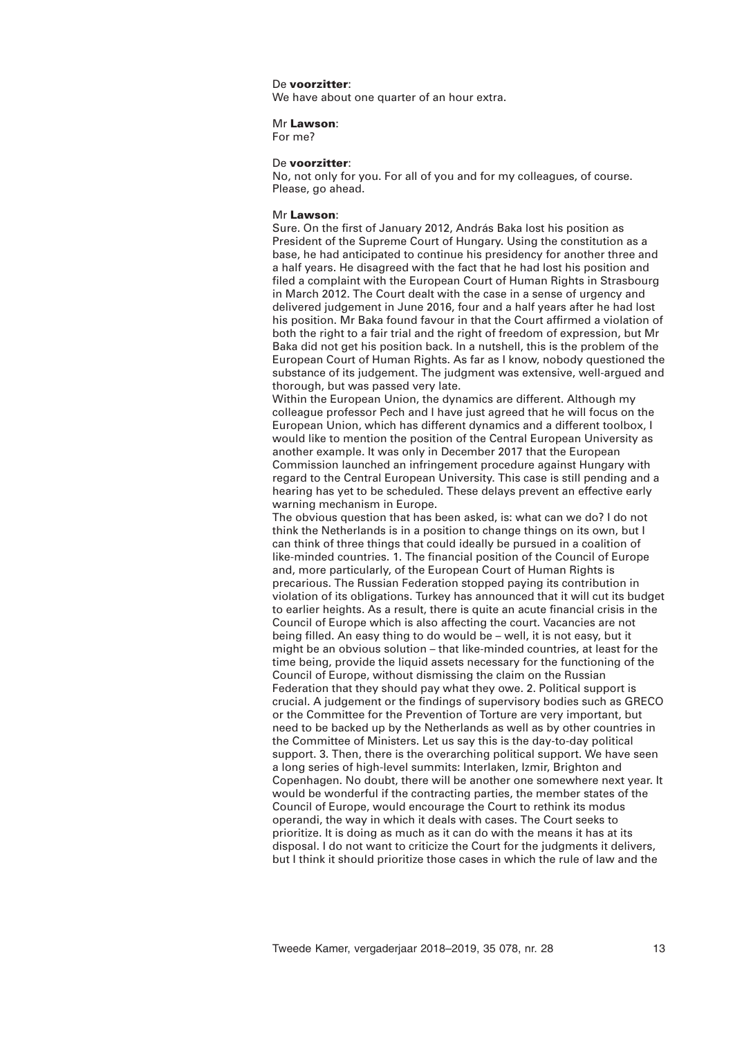## De **voorzitter**:

We have about one quarter of an hour extra.

## Mr **Lawson**:

For me?

## De **voorzitter**:

No, not only for you. For all of you and for my colleagues, of course. Please, go ahead.

## Mr **Lawson**:

Sure. On the first of January 2012, András Baka lost his position as President of the Supreme Court of Hungary. Using the constitution as a base, he had anticipated to continue his presidency for another three and a half years. He disagreed with the fact that he had lost his position and filed a complaint with the European Court of Human Rights in Strasbourg in March 2012. The Court dealt with the case in a sense of urgency and delivered judgement in June 2016, four and a half years after he had lost his position. Mr Baka found favour in that the Court affirmed a violation of both the right to a fair trial and the right of freedom of expression, but Mr Baka did not get his position back. In a nutshell, this is the problem of the European Court of Human Rights. As far as I know, nobody questioned the substance of its judgement. The judgment was extensive, well-argued and thorough, but was passed very late.

Within the European Union, the dynamics are different. Although my colleague professor Pech and I have just agreed that he will focus on the European Union, which has different dynamics and a different toolbox, I would like to mention the position of the Central European University as another example. It was only in December 2017 that the European Commission launched an infringement procedure against Hungary with regard to the Central European University. This case is still pending and a hearing has yet to be scheduled. These delays prevent an effective early warning mechanism in Europe.

The obvious question that has been asked, is: what can we do? I do not think the Netherlands is in a position to change things on its own, but I can think of three things that could ideally be pursued in a coalition of like-minded countries. 1. The financial position of the Council of Europe and, more particularly, of the European Court of Human Rights is precarious. The Russian Federation stopped paying its contribution in violation of its obligations. Turkey has announced that it will cut its budget to earlier heights. As a result, there is quite an acute financial crisis in the Council of Europe which is also affecting the court. Vacancies are not being filled. An easy thing to do would be – well, it is not easy, but it might be an obvious solution – that like-minded countries, at least for the time being, provide the liquid assets necessary for the functioning of the Council of Europe, without dismissing the claim on the Russian Federation that they should pay what they owe. 2. Political support is crucial. A judgement or the findings of supervisory bodies such as GRECO or the Committee for the Prevention of Torture are very important, but need to be backed up by the Netherlands as well as by other countries in the Committee of Ministers. Let us say this is the day-to-day political support. 3. Then, there is the overarching political support. We have seen a long series of high-level summits: Interlaken, Izmir, Brighton and Copenhagen. No doubt, there will be another one somewhere next year. It would be wonderful if the contracting parties, the member states of the Council of Europe, would encourage the Court to rethink its modus operandi, the way in which it deals with cases. The Court seeks to prioritize. It is doing as much as it can do with the means it has at its disposal. I do not want to criticize the Court for the judgments it delivers, but I think it should prioritize those cases in which the rule of law and the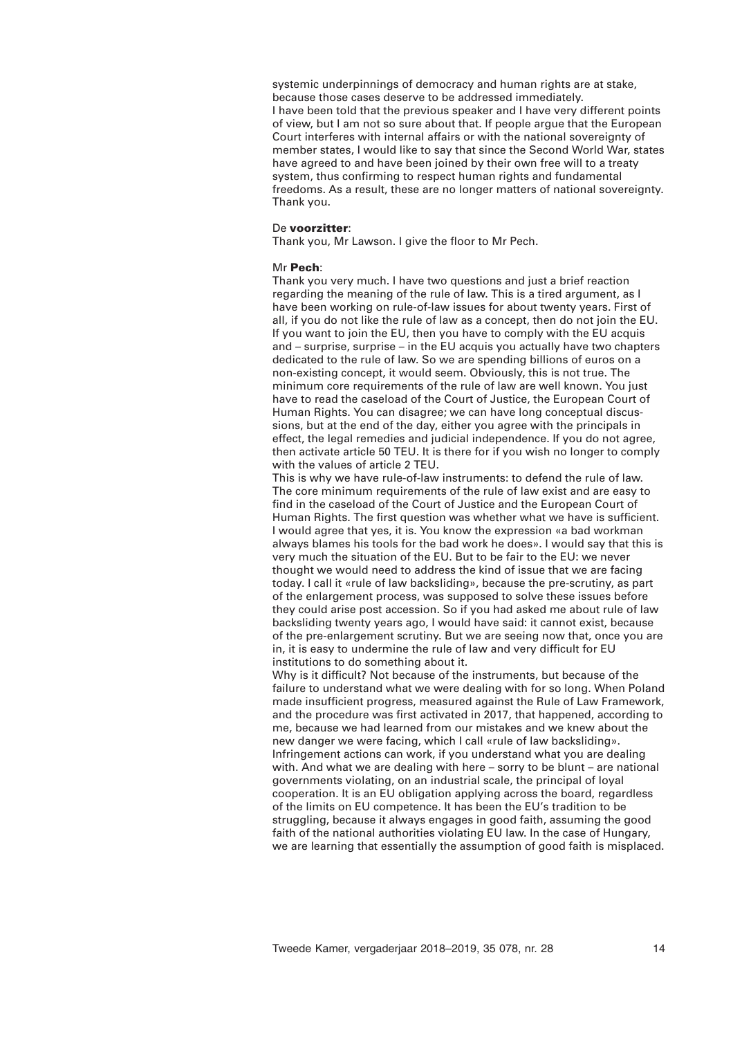systemic underpinnings of democracy and human rights are at stake, because those cases deserve to be addressed immediately. I have been told that the previous speaker and I have very different points of view, but I am not so sure about that. If people argue that the European Court interferes with internal affairs or with the national sovereignty of member states, I would like to say that since the Second World War, states have agreed to and have been joined by their own free will to a treaty system, thus confirming to respect human rights and fundamental freedoms. As a result, these are no longer matters of national sovereignty. Thank you.

## De **voorzitter**:

Thank you, Mr Lawson. I give the floor to Mr Pech.

#### Mr **Pech**:

Thank you very much. I have two questions and just a brief reaction regarding the meaning of the rule of law. This is a tired argument, as I have been working on rule-of-law issues for about twenty years. First of all, if you do not like the rule of law as a concept, then do not join the EU. If you want to join the EU, then you have to comply with the EU acquis and – surprise, surprise – in the EU acquis you actually have two chapters dedicated to the rule of law. So we are spending billions of euros on a non-existing concept, it would seem. Obviously, this is not true. The minimum core requirements of the rule of law are well known. You just have to read the caseload of the Court of Justice, the European Court of Human Rights. You can disagree; we can have long conceptual discussions, but at the end of the day, either you agree with the principals in effect, the legal remedies and judicial independence. If you do not agree, then activate article 50 TEU. It is there for if you wish no longer to comply with the values of article 2 TEU.

This is why we have rule-of-law instruments: to defend the rule of law. The core minimum requirements of the rule of law exist and are easy to find in the caseload of the Court of Justice and the European Court of Human Rights. The first question was whether what we have is sufficient. I would agree that yes, it is. You know the expression «a bad workman always blames his tools for the bad work he does». I would say that this is very much the situation of the EU. But to be fair to the EU: we never thought we would need to address the kind of issue that we are facing today. I call it «rule of law backsliding», because the pre-scrutiny, as part of the enlargement process, was supposed to solve these issues before they could arise post accession. So if you had asked me about rule of law backsliding twenty years ago, I would have said: it cannot exist, because of the pre-enlargement scrutiny. But we are seeing now that, once you are in, it is easy to undermine the rule of law and very difficult for EU institutions to do something about it.

Why is it difficult? Not because of the instruments, but because of the failure to understand what we were dealing with for so long. When Poland made insufficient progress, measured against the Rule of Law Framework, and the procedure was first activated in 2017, that happened, according to me, because we had learned from our mistakes and we knew about the new danger we were facing, which I call «rule of law backsliding». Infringement actions can work, if you understand what you are dealing with. And what we are dealing with here – sorry to be blunt – are national governments violating, on an industrial scale, the principal of loyal cooperation. It is an EU obligation applying across the board, regardless of the limits on EU competence. It has been the EU's tradition to be struggling, because it always engages in good faith, assuming the good faith of the national authorities violating EU law. In the case of Hungary, we are learning that essentially the assumption of good faith is misplaced.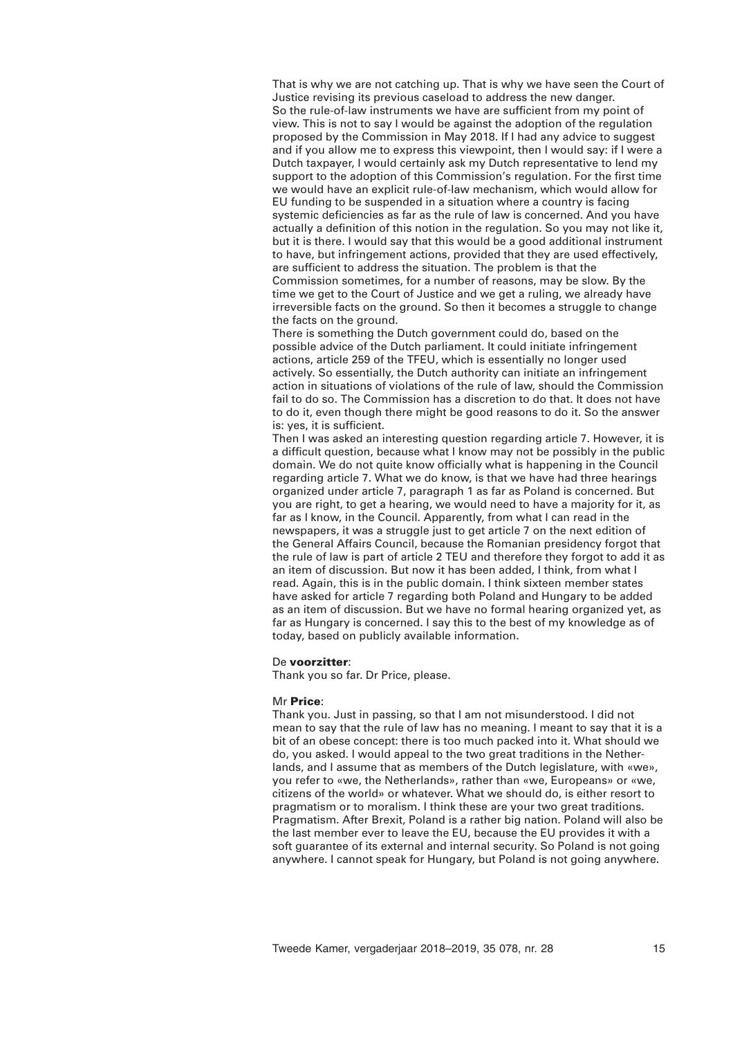That is why we are not catching up. That is why we have seen the Court of Justice revising its previous caseload to address the new danger. So the rule-of-law instruments we have are sufficient from my point of view. This is not to say I would be against the adoption of the regulation proposed by the Commission in May 2018. If I had any advice to suggest and if you allow me to express this viewpoint, then I would say: if I were a Dutch taxpayer, I would certainly ask my Dutch representative to lend my support to the adoption of this Commission's regulation. For the first time we would have an explicit rule-of-law mechanism, which would allow for EU funding to be suspended in a situation where a country is facing systemic deficiencies as far as the rule of law is concerned. And you have actually a definition of this notion in the regulation. So you may not like it, but it is there. I would say that this would be a good additional instrument to have, but infringement actions, provided that they are used effectively, are sufficient to address the situation. The problem is that the Commission sometimes, for a number of reasons, may be slow. By the time we get to the Court of Justice and we get a ruling, we already have irreversible facts on the ground. So then it becomes a struggle to change the facts on the ground.

There is something the Dutch government could do, based on the possible advice of the Dutch parliament. It could initiate infringement actions, article 259 of the TFEU, which is essentially no longer used actively. So essentially, the Dutch authority can initiate an infringement action in situations of violations of the rule of law, should the Commission fail to do so. The Commission has a discretion to do that. It does not have to do it, even though there might be good reasons to do it. So the answer is: yes, it is sufficient.

Then I was asked an interesting question regarding article 7. However, it is a difficult question, because what I know may not be possibly in the public domain. We do not quite know officially what is happening in the Council regarding article 7. What we do know, is that we have had three hearings organized under article 7, paragraph 1 as far as Poland is concerned. But you are right, to get a hearing, we would need to have a majority for it, as far as I know, in the Council. Apparently, from what I can read in the newspapers, it was a struggle just to get article 7 on the next edition of the General Affairs Council, because the Romanian presidency forgot that the rule of law is part of article 2 TEU and therefore they forgot to add it as an item of discussion. But now it has been added, I think, from what I read. Again, this is in the public domain. I think sixteen member states have asked for article 7 regarding both Poland and Hungary to be added as an item of discussion. But we have no formal hearing organized yet, as far as Hungary is concerned. I say this to the best of my knowledge as of today, based on publicly available information.

#### De **voorzitter**:

Thank you so far. Dr Price, please.

#### Mr **Price**:

Thank you. Just in passing, so that I am not misunderstood. I did not mean to say that the rule of law has no meaning. I meant to say that it is a bit of an obese concept: there is too much packed into it. What should we do, you asked. I would appeal to the two great traditions in the Netherlands, and I assume that as members of the Dutch legislature, with «we», you refer to «we, the Netherlands», rather than «we, Europeans» or «we, citizens of the world» or whatever. What we should do, is either resort to pragmatism or to moralism. I think these are your two great traditions. Pragmatism. After Brexit, Poland is a rather big nation. Poland will also be the last member ever to leave the EU, because the EU provides it with a soft guarantee of its external and internal security. So Poland is not going anywhere. I cannot speak for Hungary, but Poland is not going anywhere.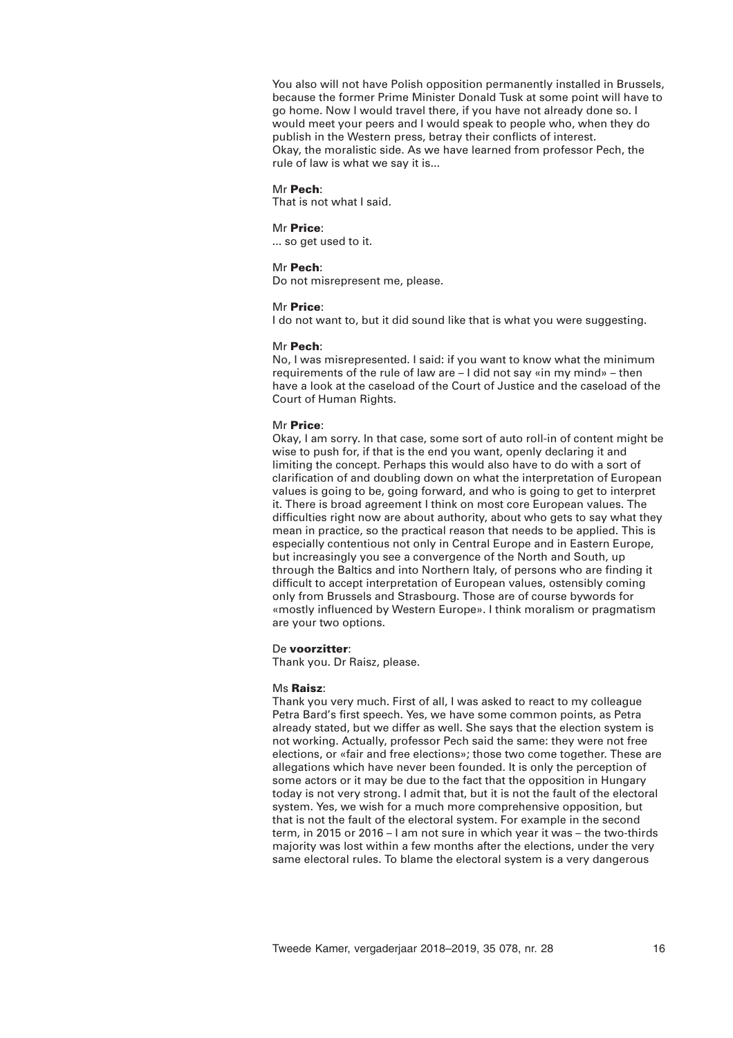You also will not have Polish opposition permanently installed in Brussels, because the former Prime Minister Donald Tusk at some point will have to go home. Now I would travel there, if you have not already done so. I would meet your peers and I would speak to people who, when they do publish in the Western press, betray their conflicts of interest. Okay, the moralistic side. As we have learned from professor Pech, the rule of law is what we say it is...

## Mr **Pech**:

That is not what I said.

## Mr **Price**:

... so get used to it.

#### Mr **Pech**:

Do not misrepresent me, please.

## Mr **Price**:

I do not want to, but it did sound like that is what you were suggesting.

#### Mr **Pech**:

No, I was misrepresented. I said: if you want to know what the minimum requirements of the rule of law are – I did not say «in my mind» – then have a look at the caseload of the Court of Justice and the caseload of the Court of Human Rights.

#### Mr **Price**:

Okay, I am sorry. In that case, some sort of auto roll-in of content might be wise to push for, if that is the end you want, openly declaring it and limiting the concept. Perhaps this would also have to do with a sort of clarification of and doubling down on what the interpretation of European values is going to be, going forward, and who is going to get to interpret it. There is broad agreement I think on most core European values. The difficulties right now are about authority, about who gets to say what they mean in practice, so the practical reason that needs to be applied. This is especially contentious not only in Central Europe and in Eastern Europe, but increasingly you see a convergence of the North and South, up through the Baltics and into Northern Italy, of persons who are finding it difficult to accept interpretation of European values, ostensibly coming only from Brussels and Strasbourg. Those are of course bywords for «mostly influenced by Western Europe». I think moralism or pragmatism are your two options.

#### De **voorzitter**:

Thank you. Dr Raisz, please.

## Ms **Raisz**:

Thank you very much. First of all, I was asked to react to my colleague Petra Bard's first speech. Yes, we have some common points, as Petra already stated, but we differ as well. She says that the election system is not working. Actually, professor Pech said the same: they were not free elections, or «fair and free elections»; those two come together. These are allegations which have never been founded. It is only the perception of some actors or it may be due to the fact that the opposition in Hungary today is not very strong. I admit that, but it is not the fault of the electoral system. Yes, we wish for a much more comprehensive opposition, but that is not the fault of the electoral system. For example in the second term, in 2015 or 2016 – I am not sure in which year it was – the two-thirds majority was lost within a few months after the elections, under the very same electoral rules. To blame the electoral system is a very dangerous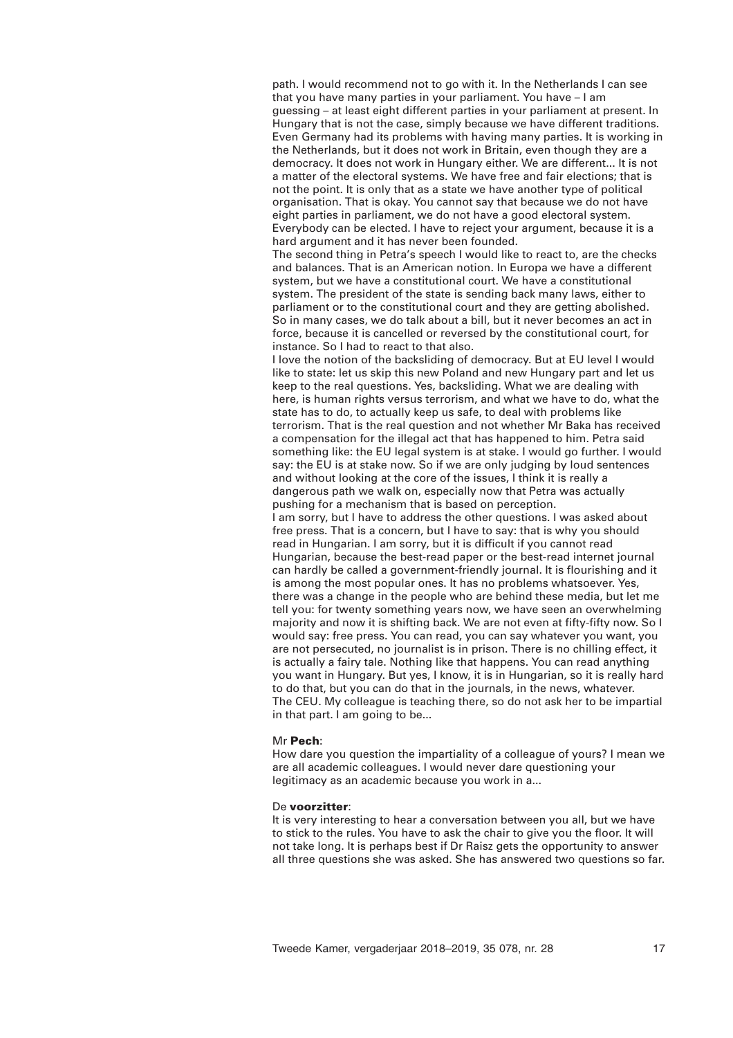path. I would recommend not to go with it. In the Netherlands I can see that you have many parties in your parliament. You have – I am guessing – at least eight different parties in your parliament at present. In Hungary that is not the case, simply because we have different traditions. Even Germany had its problems with having many parties. It is working in the Netherlands, but it does not work in Britain, even though they are a democracy. It does not work in Hungary either. We are different... It is not a matter of the electoral systems. We have free and fair elections; that is not the point. It is only that as a state we have another type of political organisation. That is okay. You cannot say that because we do not have eight parties in parliament, we do not have a good electoral system. Everybody can be elected. I have to reject your argument, because it is a hard argument and it has never been founded.

The second thing in Petra's speech I would like to react to, are the checks and balances. That is an American notion. In Europa we have a different system, but we have a constitutional court. We have a constitutional system. The president of the state is sending back many laws, either to parliament or to the constitutional court and they are getting abolished. So in many cases, we do talk about a bill, but it never becomes an act in force, because it is cancelled or reversed by the constitutional court, for instance. So I had to react to that also.

I love the notion of the backsliding of democracy. But at EU level I would like to state: let us skip this new Poland and new Hungary part and let us keep to the real questions. Yes, backsliding. What we are dealing with here, is human rights versus terrorism, and what we have to do, what the state has to do, to actually keep us safe, to deal with problems like terrorism. That is the real question and not whether Mr Baka has received a compensation for the illegal act that has happened to him. Petra said something like: the EU legal system is at stake. I would go further. I would say: the EU is at stake now. So if we are only judging by loud sentences and without looking at the core of the issues, I think it is really a dangerous path we walk on, especially now that Petra was actually pushing for a mechanism that is based on perception. I am sorry, but I have to address the other questions. I was asked about free press. That is a concern, but I have to say: that is why you should read in Hungarian. I am sorry, but it is difficult if you cannot read Hungarian, because the best-read paper or the best-read internet journal can hardly be called a government-friendly journal. It is flourishing and it is among the most popular ones. It has no problems whatsoever. Yes, there was a change in the people who are behind these media, but let me tell you: for twenty something years now, we have seen an overwhelming majority and now it is shifting back. We are not even at fifty-fifty now. So I would say: free press. You can read, you can say whatever you want, you are not persecuted, no journalist is in prison. There is no chilling effect, it is actually a fairy tale. Nothing like that happens. You can read anything you want in Hungary. But yes, I know, it is in Hungarian, so it is really hard to do that, but you can do that in the journals, in the news, whatever. The CEU. My colleague is teaching there, so do not ask her to be impartial in that part. I am going to be...

#### Mr **Pech**:

How dare you question the impartiality of a colleague of yours? I mean we are all academic colleagues. I would never dare questioning your legitimacy as an academic because you work in a...

#### De **voorzitter**:

It is very interesting to hear a conversation between you all, but we have to stick to the rules. You have to ask the chair to give you the floor. It will not take long. It is perhaps best if Dr Raisz gets the opportunity to answer all three questions she was asked. She has answered two questions so far.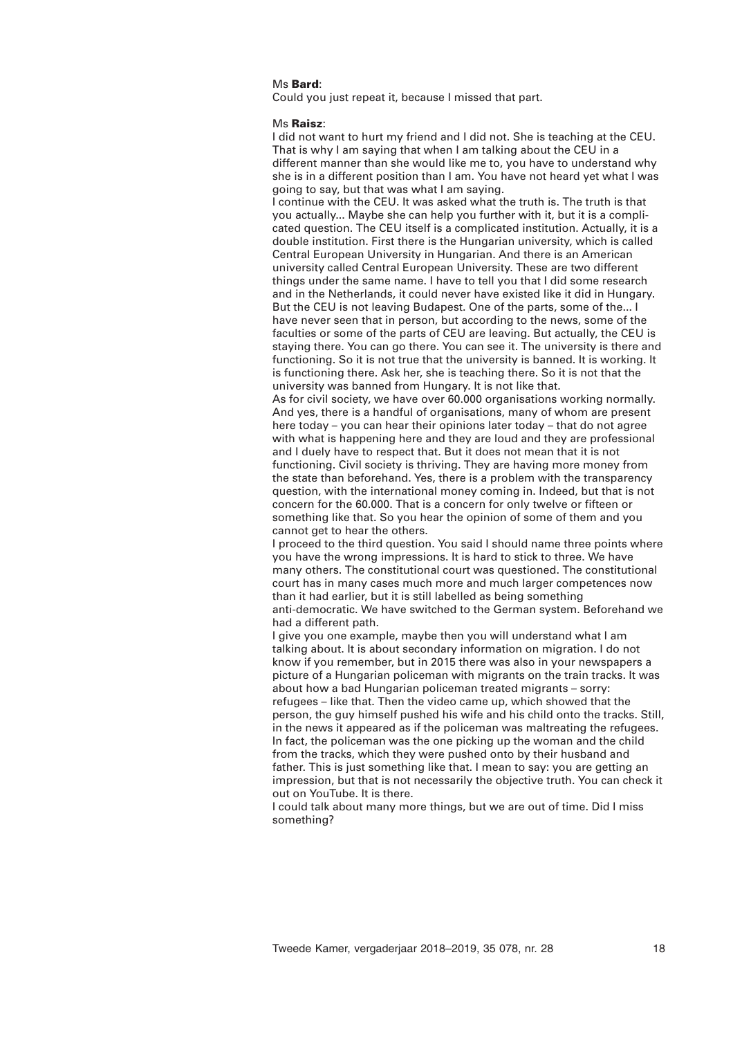## Ms **Bard**:

Could you just repeat it, because I missed that part.

#### Ms **Raisz**:

I did not want to hurt my friend and I did not. She is teaching at the CEU. That is why I am saying that when I am talking about the CEU in a different manner than she would like me to, you have to understand why she is in a different position than I am. You have not heard yet what I was going to say, but that was what I am saying.

I continue with the CEU. It was asked what the truth is. The truth is that you actually... Maybe she can help you further with it, but it is a complicated question. The CEU itself is a complicated institution. Actually, it is a double institution. First there is the Hungarian university, which is called Central European University in Hungarian. And there is an American university called Central European University. These are two different things under the same name. I have to tell you that I did some research and in the Netherlands, it could never have existed like it did in Hungary. But the CEU is not leaving Budapest. One of the parts, some of the... I have never seen that in person, but according to the news, some of the faculties or some of the parts of CEU are leaving. But actually, the CEU is staying there. You can go there. You can see it. The university is there and functioning. So it is not true that the university is banned. It is working. It is functioning there. Ask her, she is teaching there. So it is not that the university was banned from Hungary. It is not like that.

As for civil society, we have over 60.000 organisations working normally. And yes, there is a handful of organisations, many of whom are present here today – you can hear their opinions later today – that do not agree with what is happening here and they are loud and they are professional and I duely have to respect that. But it does not mean that it is not functioning. Civil society is thriving. They are having more money from the state than beforehand. Yes, there is a problem with the transparency question, with the international money coming in. Indeed, but that is not concern for the 60.000. That is a concern for only twelve or fifteen or something like that. So you hear the opinion of some of them and you cannot get to hear the others.

I proceed to the third question. You said I should name three points where you have the wrong impressions. It is hard to stick to three. We have many others. The constitutional court was questioned. The constitutional court has in many cases much more and much larger competences now than it had earlier, but it is still labelled as being something

anti-democratic. We have switched to the German system. Beforehand we had a different path.

I give you one example, maybe then you will understand what I am talking about. It is about secondary information on migration. I do not know if you remember, but in 2015 there was also in your newspapers a picture of a Hungarian policeman with migrants on the train tracks. It was about how a bad Hungarian policeman treated migrants – sorry: refugees – like that. Then the video came up, which showed that the person, the guy himself pushed his wife and his child onto the tracks. Still, in the news it appeared as if the policeman was maltreating the refugees. In fact, the policeman was the one picking up the woman and the child from the tracks, which they were pushed onto by their husband and father. This is just something like that. I mean to say: you are getting an impression, but that is not necessarily the objective truth. You can check it out on YouTube. It is there.

I could talk about many more things, but we are out of time. Did I miss something?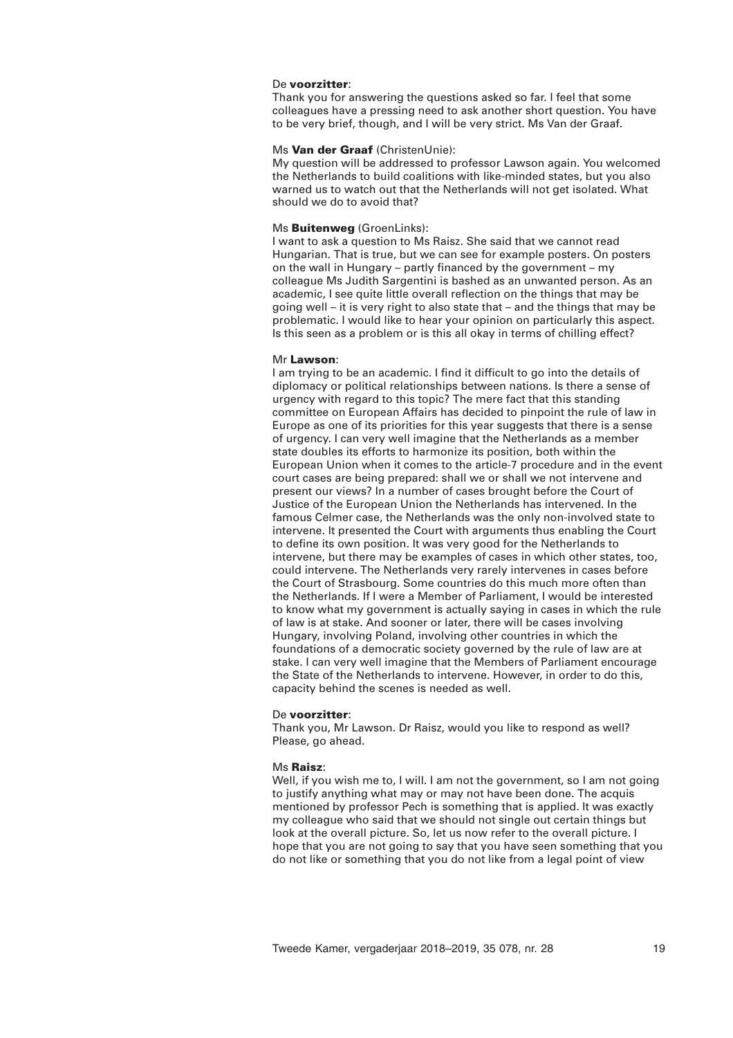## De **voorzitter**:

Thank you for answering the questions asked so far. I feel that some colleagues have a pressing need to ask another short question. You have to be very brief, though, and I will be very strict. Ms Van der Graaf.

## Ms **Van der Graaf** (ChristenUnie):

My question will be addressed to professor Lawson again. You welcomed the Netherlands to build coalitions with like-minded states, but you also warned us to watch out that the Netherlands will not get isolated. What should we do to avoid that?

## Ms **Buitenweg** (GroenLinks):

I want to ask a question to Ms Raisz. She said that we cannot read Hungarian. That is true, but we can see for example posters. On posters on the wall in Hungary – partly financed by the government – my colleague Ms Judith Sargentini is bashed as an unwanted person. As an academic, I see quite little overall reflection on the things that may be going well – it is very right to also state that – and the things that may be problematic. I would like to hear your opinion on particularly this aspect. Is this seen as a problem or is this all okay in terms of chilling effect?

## Mr **Lawson**:

I am trying to be an academic. I find it difficult to go into the details of diplomacy or political relationships between nations. Is there a sense of urgency with regard to this topic? The mere fact that this standing committee on European Affairs has decided to pinpoint the rule of law in Europe as one of its priorities for this year suggests that there is a sense of urgency. I can very well imagine that the Netherlands as a member state doubles its efforts to harmonize its position, both within the European Union when it comes to the article-7 procedure and in the event court cases are being prepared: shall we or shall we not intervene and present our views? In a number of cases brought before the Court of Justice of the European Union the Netherlands has intervened. In the famous Celmer case, the Netherlands was the only non-involved state to intervene. It presented the Court with arguments thus enabling the Court to define its own position. It was very good for the Netherlands to intervene, but there may be examples of cases in which other states, too, could intervene. The Netherlands very rarely intervenes in cases before the Court of Strasbourg. Some countries do this much more often than the Netherlands. If I were a Member of Parliament, I would be interested to know what my government is actually saying in cases in which the rule of law is at stake. And sooner or later, there will be cases involving Hungary, involving Poland, involving other countries in which the foundations of a democratic society governed by the rule of law are at stake. I can very well imagine that the Members of Parliament encourage the State of the Netherlands to intervene. However, in order to do this, capacity behind the scenes is needed as well.

#### De **voorzitter**:

Thank you, Mr Lawson. Dr Raisz, would you like to respond as well? Please, go ahead.

#### Ms **Raisz**:

Well, if you wish me to, I will. I am not the government, so I am not going to justify anything what may or may not have been done. The acquis mentioned by professor Pech is something that is applied. It was exactly my colleague who said that we should not single out certain things but look at the overall picture. So, let us now refer to the overall picture. I hope that you are not going to say that you have seen something that you do not like or something that you do not like from a legal point of view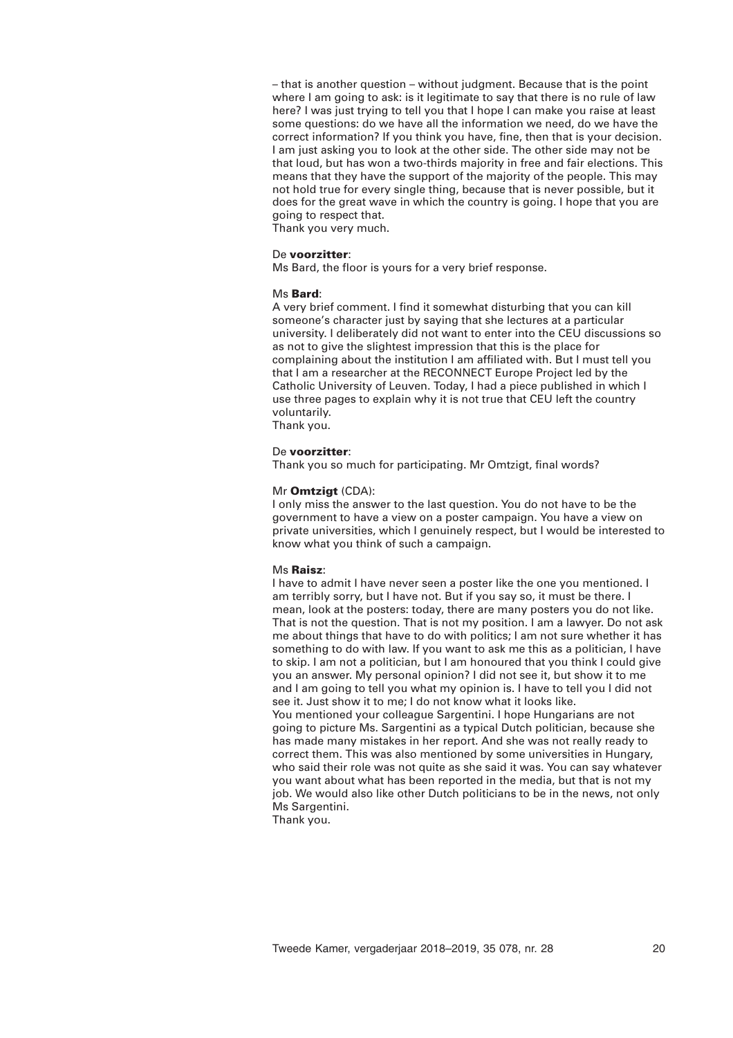– that is another question – without judgment. Because that is the point where I am going to ask: is it legitimate to say that there is no rule of law here? I was just trying to tell you that I hope I can make you raise at least some questions: do we have all the information we need, do we have the correct information? If you think you have, fine, then that is your decision. I am just asking you to look at the other side. The other side may not be that loud, but has won a two-thirds majority in free and fair elections. This means that they have the support of the majority of the people. This may not hold true for every single thing, because that is never possible, but it does for the great wave in which the country is going. I hope that you are going to respect that.

Thank you very much.

## De **voorzitter**:

Ms Bard, the floor is yours for a very brief response.

#### Ms **Bard**:

A very brief comment. I find it somewhat disturbing that you can kill someone's character just by saying that she lectures at a particular university. I deliberately did not want to enter into the CEU discussions so as not to give the slightest impression that this is the place for complaining about the institution I am affiliated with. But I must tell you that I am a researcher at the RECONNECT Europe Project led by the Catholic University of Leuven. Today, I had a piece published in which I use three pages to explain why it is not true that CEU left the country voluntarily.

Thank you.

#### De **voorzitter**:

Thank you so much for participating. Mr Omtzigt, final words?

#### Mr **Omtzigt** (CDA):

I only miss the answer to the last question. You do not have to be the government to have a view on a poster campaign. You have a view on private universities, which I genuinely respect, but I would be interested to know what you think of such a campaign.

#### Ms **Raisz**:

I have to admit I have never seen a poster like the one you mentioned. I am terribly sorry, but I have not. But if you say so, it must be there. I mean, look at the posters: today, there are many posters you do not like. That is not the question. That is not my position. I am a lawyer. Do not ask me about things that have to do with politics; I am not sure whether it has something to do with law. If you want to ask me this as a politician, I have to skip. I am not a politician, but I am honoured that you think I could give you an answer. My personal opinion? I did not see it, but show it to me and I am going to tell you what my opinion is. I have to tell you I did not see it. Just show it to me; I do not know what it looks like.

You mentioned your colleague Sargentini. I hope Hungarians are not going to picture Ms. Sargentini as a typical Dutch politician, because she has made many mistakes in her report. And she was not really ready to correct them. This was also mentioned by some universities in Hungary, who said their role was not quite as she said it was. You can say whatever you want about what has been reported in the media, but that is not my job. We would also like other Dutch politicians to be in the news, not only Ms Sargentini.

Thank you.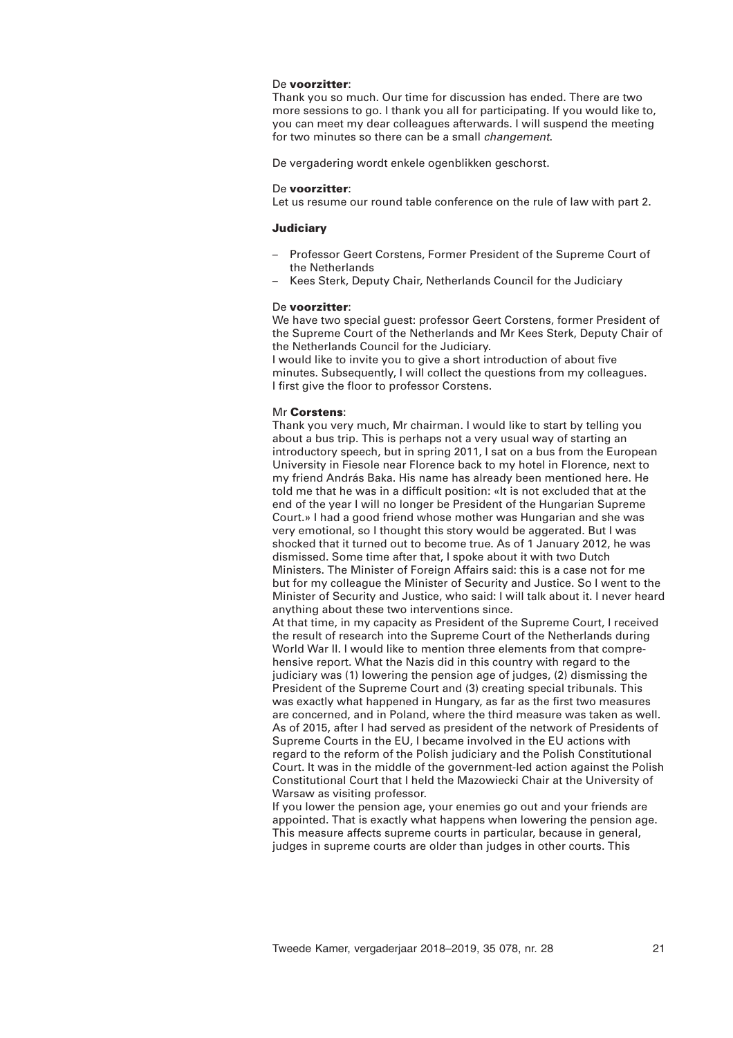## De **voorzitter**:

Thank you so much. Our time for discussion has ended. There are two more sessions to go. I thank you all for participating. If you would like to, you can meet my dear colleagues afterwards. I will suspend the meeting for two minutes so there can be a small *changement*.

De vergadering wordt enkele ogenblikken geschorst.

## De **voorzitter**:

Let us resume our round table conference on the rule of law with part 2.

## **Judiciary**

- Professor Geert Corstens, Former President of the Supreme Court of the Netherlands
- Kees Sterk, Deputy Chair, Netherlands Council for the Judiciary

## De **voorzitter**:

We have two special guest: professor Geert Corstens, former President of the Supreme Court of the Netherlands and Mr Kees Sterk, Deputy Chair of the Netherlands Council for the Judiciary.

I would like to invite you to give a short introduction of about five minutes. Subsequently, I will collect the questions from my colleagues. I first give the floor to professor Corstens.

## Mr **Corstens**:

Thank you very much, Mr chairman. I would like to start by telling you about a bus trip. This is perhaps not a very usual way of starting an introductory speech, but in spring 2011, I sat on a bus from the European University in Fiesole near Florence back to my hotel in Florence, next to my friend András Baka. His name has already been mentioned here. He told me that he was in a difficult position: «It is not excluded that at the end of the year I will no longer be President of the Hungarian Supreme Court.» I had a good friend whose mother was Hungarian and she was very emotional, so I thought this story would be aggerated. But I was shocked that it turned out to become true. As of 1 January 2012, he was dismissed. Some time after that, I spoke about it with two Dutch Ministers. The Minister of Foreign Affairs said: this is a case not for me but for my colleague the Minister of Security and Justice. So I went to the Minister of Security and Justice, who said: I will talk about it. I never heard anything about these two interventions since.

At that time, in my capacity as President of the Supreme Court, I received the result of research into the Supreme Court of the Netherlands during World War II. I would like to mention three elements from that comprehensive report. What the Nazis did in this country with regard to the judiciary was (1) lowering the pension age of judges, (2) dismissing the President of the Supreme Court and (3) creating special tribunals. This was exactly what happened in Hungary, as far as the first two measures are concerned, and in Poland, where the third measure was taken as well. As of 2015, after I had served as president of the network of Presidents of Supreme Courts in the EU, I became involved in the EU actions with regard to the reform of the Polish judiciary and the Polish Constitutional Court. It was in the middle of the government-led action against the Polish Constitutional Court that I held the Mazowiecki Chair at the University of Warsaw as visiting professor.

If you lower the pension age, your enemies go out and your friends are appointed. That is exactly what happens when lowering the pension age. This measure affects supreme courts in particular, because in general, judges in supreme courts are older than judges in other courts. This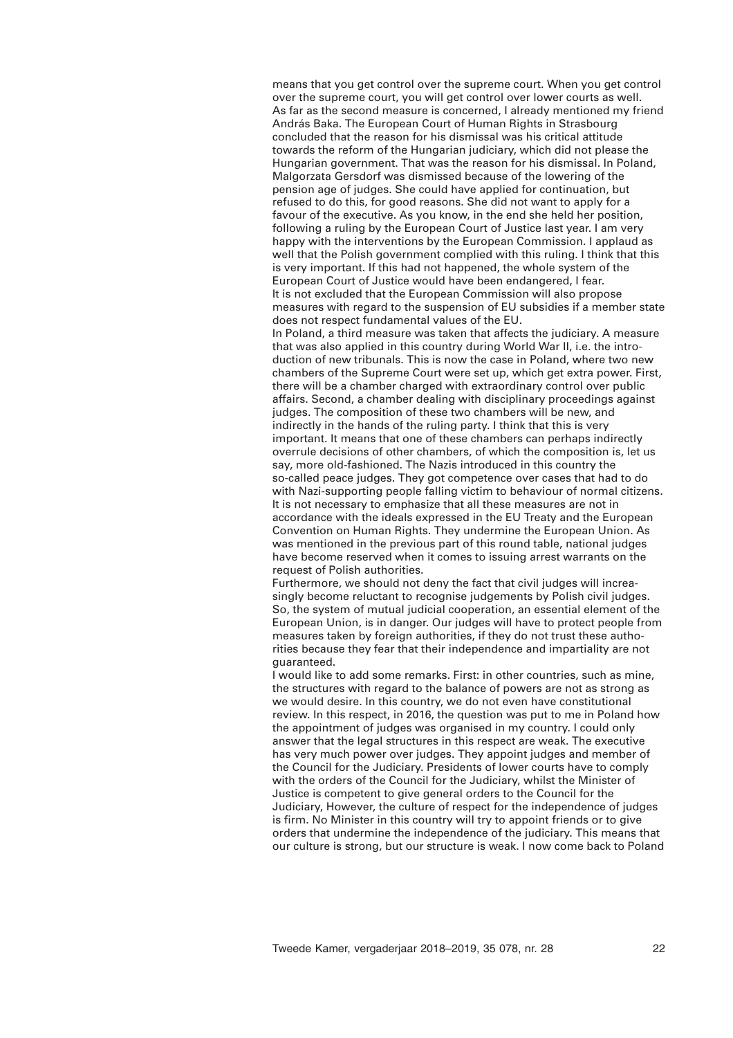means that you get control over the supreme court. When you get control over the supreme court, you will get control over lower courts as well. As far as the second measure is concerned, I already mentioned my friend András Baka. The European Court of Human Rights in Strasbourg concluded that the reason for his dismissal was his critical attitude towards the reform of the Hungarian judiciary, which did not please the Hungarian government. That was the reason for his dismissal. In Poland, Malgorzata Gersdorf was dismissed because of the lowering of the pension age of judges. She could have applied for continuation, but refused to do this, for good reasons. She did not want to apply for a favour of the executive. As you know, in the end she held her position, following a ruling by the European Court of Justice last year. I am very happy with the interventions by the European Commission. I applaud as well that the Polish government complied with this ruling. I think that this is very important. If this had not happened, the whole system of the European Court of Justice would have been endangered, I fear. It is not excluded that the European Commission will also propose measures with regard to the suspension of EU subsidies if a member state does not respect fundamental values of the EU. In Poland, a third measure was taken that affects the judiciary. A measure that was also applied in this country during World War II, i.e. the introduction of new tribunals. This is now the case in Poland, where two new chambers of the Supreme Court were set up, which get extra power. First, there will be a chamber charged with extraordinary control over public affairs. Second, a chamber dealing with disciplinary proceedings against judges. The composition of these two chambers will be new, and indirectly in the hands of the ruling party. I think that this is very important. It means that one of these chambers can perhaps indirectly overrule decisions of other chambers, of which the composition is, let us say, more old-fashioned. The Nazis introduced in this country the so-called peace judges. They got competence over cases that had to do with Nazi-supporting people falling victim to behaviour of normal citizens. It is not necessary to emphasize that all these measures are not in accordance with the ideals expressed in the EU Treaty and the European Convention on Human Rights. They undermine the European Union. As was mentioned in the previous part of this round table, national judges have become reserved when it comes to issuing arrest warrants on the request of Polish authorities.

Furthermore, we should not deny the fact that civil judges will increasingly become reluctant to recognise judgements by Polish civil judges. So, the system of mutual judicial cooperation, an essential element of the European Union, is in danger. Our judges will have to protect people from measures taken by foreign authorities, if they do not trust these authorities because they fear that their independence and impartiality are not guaranteed.

I would like to add some remarks. First: in other countries, such as mine, the structures with regard to the balance of powers are not as strong as we would desire. In this country, we do not even have constitutional review. In this respect, in 2016, the question was put to me in Poland how the appointment of judges was organised in my country. I could only answer that the legal structures in this respect are weak. The executive has very much power over judges. They appoint judges and member of the Council for the Judiciary. Presidents of lower courts have to comply with the orders of the Council for the Judiciary, whilst the Minister of Justice is competent to give general orders to the Council for the Judiciary, However, the culture of respect for the independence of judges is firm. No Minister in this country will try to appoint friends or to give orders that undermine the independence of the judiciary. This means that our culture is strong, but our structure is weak. I now come back to Poland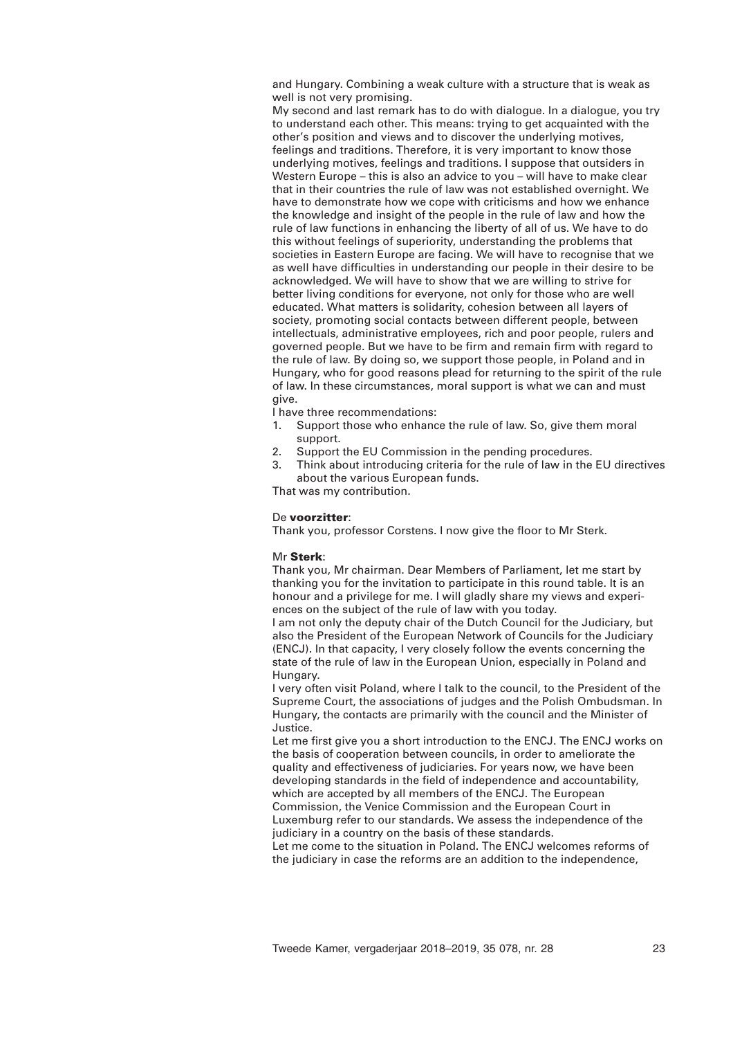and Hungary. Combining a weak culture with a structure that is weak as well is not very promising.

My second and last remark has to do with dialogue. In a dialogue, you try to understand each other. This means: trying to get acquainted with the other's position and views and to discover the underlying motives, feelings and traditions. Therefore, it is very important to know those underlying motives, feelings and traditions. I suppose that outsiders in Western Europe – this is also an advice to you – will have to make clear that in their countries the rule of law was not established overnight. We have to demonstrate how we cope with criticisms and how we enhance the knowledge and insight of the people in the rule of law and how the rule of law functions in enhancing the liberty of all of us. We have to do this without feelings of superiority, understanding the problems that societies in Eastern Europe are facing. We will have to recognise that we as well have difficulties in understanding our people in their desire to be acknowledged. We will have to show that we are willing to strive for better living conditions for everyone, not only for those who are well educated. What matters is solidarity, cohesion between all layers of society, promoting social contacts between different people, between intellectuals, administrative employees, rich and poor people, rulers and governed people. But we have to be firm and remain firm with regard to the rule of law. By doing so, we support those people, in Poland and in Hungary, who for good reasons plead for returning to the spirit of the rule of law. In these circumstances, moral support is what we can and must give.

I have three recommendations:

- 1. Support those who enhance the rule of law. So, give them moral support.
- 2. Support the EU Commission in the pending procedures.
- 3. Think about introducing criteria for the rule of law in the EU directives about the various European funds.

That was my contribution.

#### De **voorzitter**:

Thank you, professor Corstens. I now give the floor to Mr Sterk.

#### Mr **Sterk**:

Thank you, Mr chairman. Dear Members of Parliament, let me start by thanking you for the invitation to participate in this round table. It is an honour and a privilege for me. I will gladly share my views and experiences on the subject of the rule of law with you today.

I am not only the deputy chair of the Dutch Council for the Judiciary, but also the President of the European Network of Councils for the Judiciary (ENCJ). In that capacity, I very closely follow the events concerning the state of the rule of law in the European Union, especially in Poland and Hungary.

I very often visit Poland, where I talk to the council, to the President of the Supreme Court, the associations of judges and the Polish Ombudsman. In Hungary, the contacts are primarily with the council and the Minister of Justice.

Let me first give you a short introduction to the ENCJ. The ENCJ works on the basis of cooperation between councils, in order to ameliorate the quality and effectiveness of judiciaries. For years now, we have been developing standards in the field of independence and accountability, which are accepted by all members of the ENCJ. The European Commission, the Venice Commission and the European Court in Luxemburg refer to our standards. We assess the independence of the judiciary in a country on the basis of these standards.

Let me come to the situation in Poland. The ENCJ welcomes reforms of the judiciary in case the reforms are an addition to the independence,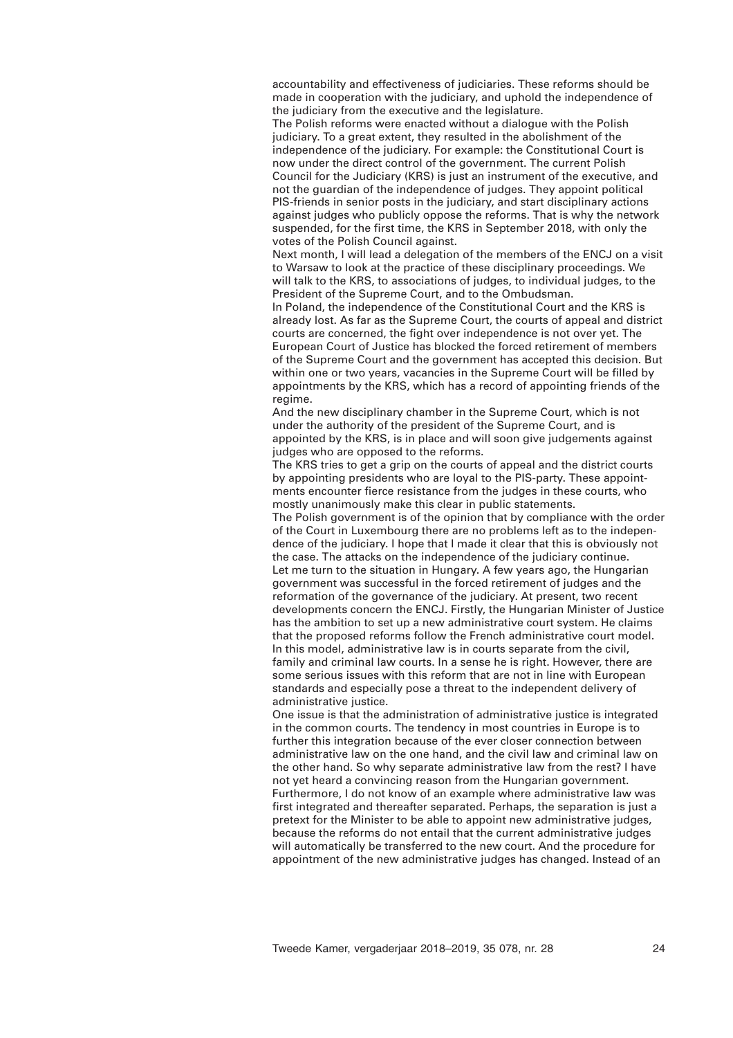accountability and effectiveness of judiciaries. These reforms should be made in cooperation with the judiciary, and uphold the independence of the judiciary from the executive and the legislature.

The Polish reforms were enacted without a dialogue with the Polish judiciary. To a great extent, they resulted in the abolishment of the independence of the judiciary. For example: the Constitutional Court is now under the direct control of the government. The current Polish Council for the Judiciary (KRS) is just an instrument of the executive, and not the guardian of the independence of judges. They appoint political PIS-friends in senior posts in the judiciary, and start disciplinary actions against judges who publicly oppose the reforms. That is why the network suspended, for the first time, the KRS in September 2018, with only the votes of the Polish Council against.

Next month, I will lead a delegation of the members of the ENCJ on a visit to Warsaw to look at the practice of these disciplinary proceedings. We will talk to the KRS, to associations of judges, to individual judges, to the President of the Supreme Court, and to the Ombudsman.

In Poland, the independence of the Constitutional Court and the KRS is already lost. As far as the Supreme Court, the courts of appeal and district courts are concerned, the fight over independence is not over yet. The European Court of Justice has blocked the forced retirement of members of the Supreme Court and the government has accepted this decision. But within one or two years, vacancies in the Supreme Court will be filled by appointments by the KRS, which has a record of appointing friends of the regime.

And the new disciplinary chamber in the Supreme Court, which is not under the authority of the president of the Supreme Court, and is appointed by the KRS, is in place and will soon give judgements against judges who are opposed to the reforms.

The KRS tries to get a grip on the courts of appeal and the district courts by appointing presidents who are loyal to the PIS-party. These appointments encounter fierce resistance from the judges in these courts, who mostly unanimously make this clear in public statements.

The Polish government is of the opinion that by compliance with the order of the Court in Luxembourg there are no problems left as to the independence of the judiciary. I hope that I made it clear that this is obviously not the case. The attacks on the independence of the judiciary continue. Let me turn to the situation in Hungary. A few years ago, the Hungarian government was successful in the forced retirement of judges and the reformation of the governance of the judiciary. At present, two recent developments concern the ENCJ. Firstly, the Hungarian Minister of Justice has the ambition to set up a new administrative court system. He claims that the proposed reforms follow the French administrative court model. In this model, administrative law is in courts separate from the civil, family and criminal law courts. In a sense he is right. However, there are some serious issues with this reform that are not in line with European standards and especially pose a threat to the independent delivery of administrative justice.

One issue is that the administration of administrative justice is integrated in the common courts. The tendency in most countries in Europe is to further this integration because of the ever closer connection between administrative law on the one hand, and the civil law and criminal law on the other hand. So why separate administrative law from the rest? I have not yet heard a convincing reason from the Hungarian government. Furthermore, I do not know of an example where administrative law was first integrated and thereafter separated. Perhaps, the separation is just a pretext for the Minister to be able to appoint new administrative judges, because the reforms do not entail that the current administrative judges will automatically be transferred to the new court. And the procedure for appointment of the new administrative judges has changed. Instead of an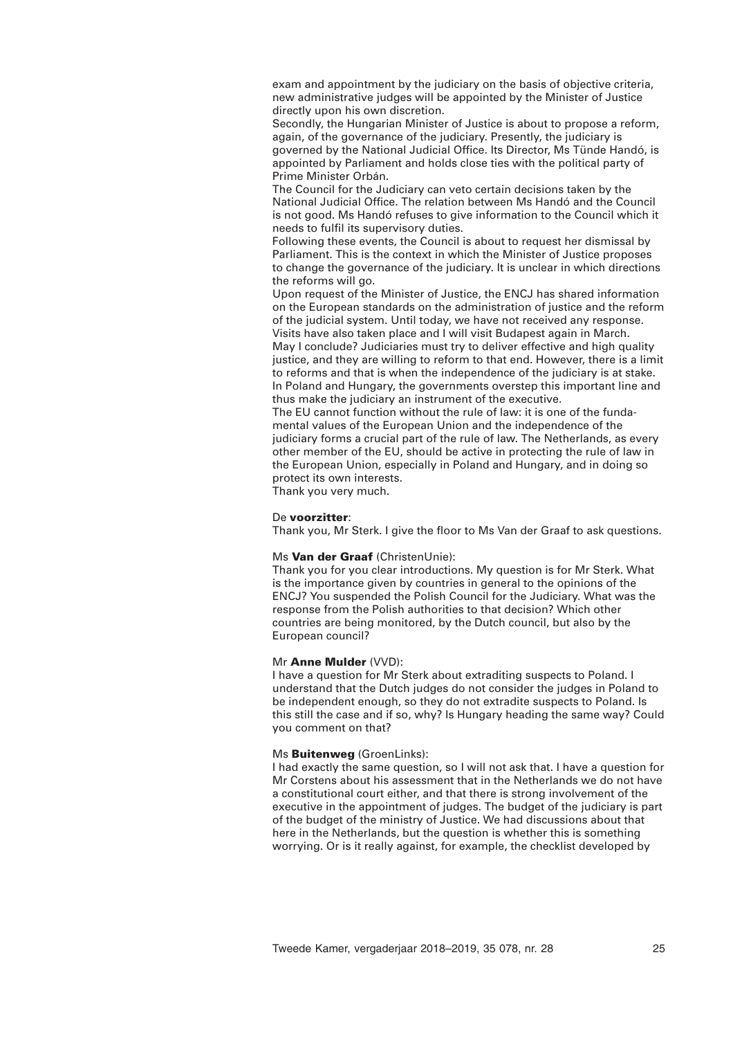exam and appointment by the judiciary on the basis of objective criteria, new administrative judges will be appointed by the Minister of Justice directly upon his own discretion.

Secondly, the Hungarian Minister of Justice is about to propose a reform, again, of the governance of the judiciary. Presently, the judiciary is governed by the National Judicial Office. Its Director, Ms Tünde Handó, is appointed by Parliament and holds close ties with the political party of Prime Minister Orbán.

The Council for the Judiciary can veto certain decisions taken by the National Judicial Office. The relation between Ms Handó and the Council is not good. Ms Handó refuses to give information to the Council which it needs to fulfil its supervisory duties.

Following these events, the Council is about to request her dismissal by Parliament. This is the context in which the Minister of Justice proposes to change the governance of the judiciary. It is unclear in which directions the reforms will go.

Upon request of the Minister of Justice, the ENCJ has shared information on the European standards on the administration of justice and the reform of the judicial system. Until today, we have not received any response. Visits have also taken place and I will visit Budapest again in March. May I conclude? Judiciaries must try to deliver effective and high quality

justice, and they are willing to reform to that end. However, there is a limit to reforms and that is when the independence of the judiciary is at stake. In Poland and Hungary, the governments overstep this important line and thus make the judiciary an instrument of the executive.

The EU cannot function without the rule of law: it is one of the fundamental values of the European Union and the independence of the judiciary forms a crucial part of the rule of law. The Netherlands, as every other member of the EU, should be active in protecting the rule of law in the European Union, especially in Poland and Hungary, and in doing so protect its own interests.

Thank you very much.

## De **voorzitter**:

Thank you, Mr Sterk. I give the floor to Ms Van der Graaf to ask questions.

#### Ms **Van der Graaf** (ChristenUnie):

Thank you for you clear introductions. My question is for Mr Sterk. What is the importance given by countries in general to the opinions of the ENCJ? You suspended the Polish Council for the Judiciary. What was the response from the Polish authorities to that decision? Which other countries are being monitored, by the Dutch council, but also by the European council?

#### Mr **Anne Mulder** (VVD):

I have a question for Mr Sterk about extraditing suspects to Poland. I understand that the Dutch judges do not consider the judges in Poland to be independent enough, so they do not extradite suspects to Poland. Is this still the case and if so, why? Is Hungary heading the same way? Could you comment on that?

#### Ms **Buitenweg** (GroenLinks):

I had exactly the same question, so I will not ask that. I have a question for Mr Corstens about his assessment that in the Netherlands we do not have a constitutional court either, and that there is strong involvement of the executive in the appointment of judges. The budget of the judiciary is part of the budget of the ministry of Justice. We had discussions about that here in the Netherlands, but the question is whether this is something worrying. Or is it really against, for example, the checklist developed by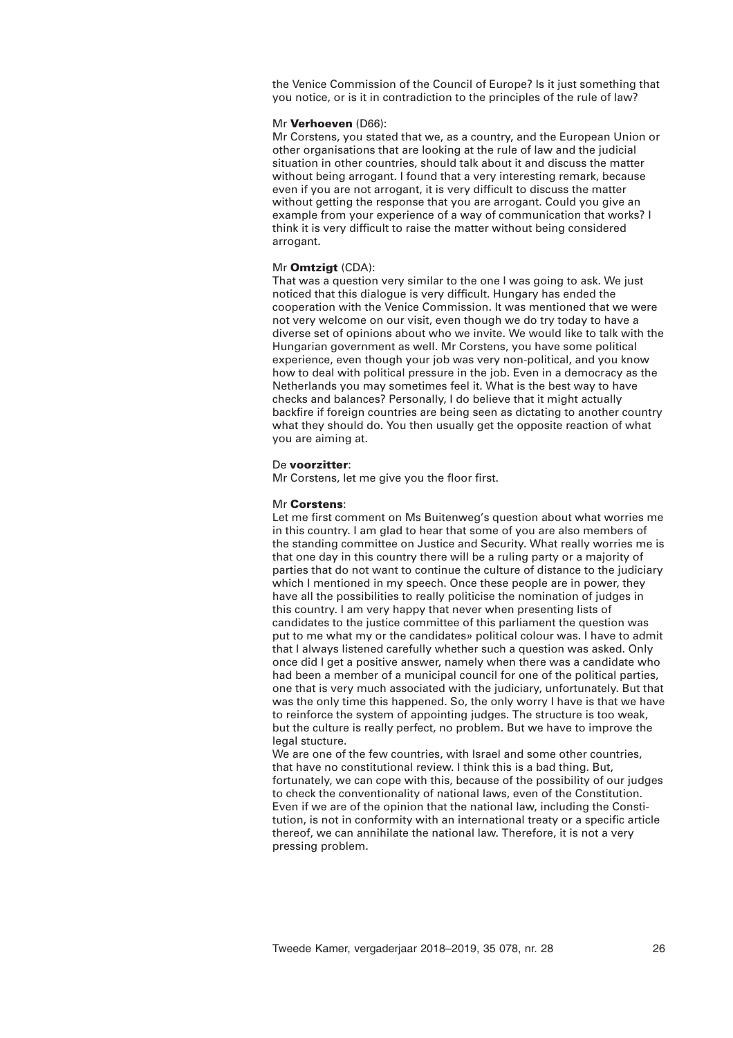the Venice Commission of the Council of Europe? Is it just something that you notice, or is it in contradiction to the principles of the rule of law?

#### Mr **Verhoeven** (D66):

Mr Corstens, you stated that we, as a country, and the European Union or other organisations that are looking at the rule of law and the judicial situation in other countries, should talk about it and discuss the matter without being arrogant. I found that a very interesting remark, because even if you are not arrogant, it is very difficult to discuss the matter without getting the response that you are arrogant. Could you give an example from your experience of a way of communication that works? I think it is very difficult to raise the matter without being considered arrogant.

### Mr **Omtzigt** (CDA):

That was a question very similar to the one I was going to ask. We just noticed that this dialogue is very difficult. Hungary has ended the cooperation with the Venice Commission. It was mentioned that we were not very welcome on our visit, even though we do try today to have a diverse set of opinions about who we invite. We would like to talk with the Hungarian government as well. Mr Corstens, you have some political experience, even though your job was very non-political, and you know how to deal with political pressure in the job. Even in a democracy as the Netherlands you may sometimes feel it. What is the best way to have checks and balances? Personally, I do believe that it might actually backfire if foreign countries are being seen as dictating to another country what they should do. You then usually get the opposite reaction of what you are aiming at.

#### De **voorzitter**:

Mr Corstens, let me give you the floor first.

## Mr **Corstens**:

Let me first comment on Ms Buitenweg's question about what worries me in this country. I am glad to hear that some of you are also members of the standing committee on Justice and Security. What really worries me is that one day in this country there will be a ruling party or a majority of parties that do not want to continue the culture of distance to the judiciary which I mentioned in my speech. Once these people are in power, they have all the possibilities to really politicise the nomination of judges in this country. I am very happy that never when presenting lists of candidates to the justice committee of this parliament the question was put to me what my or the candidates» political colour was. I have to admit that I always listened carefully whether such a question was asked. Only once did I get a positive answer, namely when there was a candidate who had been a member of a municipal council for one of the political parties, one that is very much associated with the judiciary, unfortunately. But that was the only time this happened. So, the only worry I have is that we have to reinforce the system of appointing judges. The structure is too weak, but the culture is really perfect, no problem. But we have to improve the legal stucture.

We are one of the few countries, with Israel and some other countries, that have no constitutional review. I think this is a bad thing. But, fortunately, we can cope with this, because of the possibility of our judges to check the conventionality of national laws, even of the Constitution. Even if we are of the opinion that the national law, including the Constitution, is not in conformity with an international treaty or a specific article thereof, we can annihilate the national law. Therefore, it is not a very pressing problem.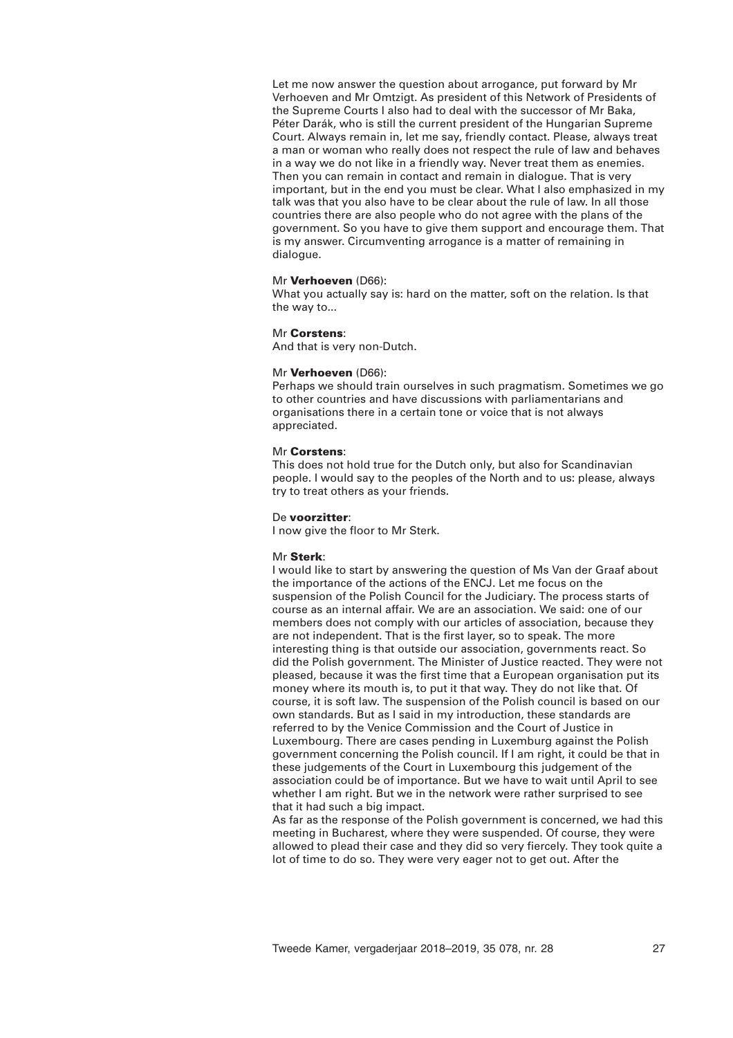Let me now answer the question about arrogance, put forward by Mr Verhoeven and Mr Omtzigt. As president of this Network of Presidents of the Supreme Courts I also had to deal with the successor of Mr Baka, Péter Darák, who is still the current president of the Hungarian Supreme Court. Always remain in, let me say, friendly contact. Please, always treat a man or woman who really does not respect the rule of law and behaves in a way we do not like in a friendly way. Never treat them as enemies. Then you can remain in contact and remain in dialogue. That is very important, but in the end you must be clear. What I also emphasized in my talk was that you also have to be clear about the rule of law. In all those countries there are also people who do not agree with the plans of the government. So you have to give them support and encourage them. That is my answer. Circumventing arrogance is a matter of remaining in dialogue.

#### Mr **Verhoeven** (D66):

What you actually say is: hard on the matter, soft on the relation. Is that the way to...

#### Mr **Corstens**:

And that is very non-Dutch.

#### Mr **Verhoeven** (D66):

Perhaps we should train ourselves in such pragmatism. Sometimes we go to other countries and have discussions with parliamentarians and organisations there in a certain tone or voice that is not always appreciated.

#### Mr **Corstens**:

This does not hold true for the Dutch only, but also for Scandinavian people. I would say to the peoples of the North and to us: please, always try to treat others as your friends.

#### De **voorzitter**:

I now give the floor to Mr Sterk.

#### Mr **Sterk**:

I would like to start by answering the question of Ms Van der Graaf about the importance of the actions of the ENCJ. Let me focus on the suspension of the Polish Council for the Judiciary. The process starts of course as an internal affair. We are an association. We said: one of our members does not comply with our articles of association, because they are not independent. That is the first layer, so to speak. The more interesting thing is that outside our association, governments react. So did the Polish government. The Minister of Justice reacted. They were not pleased, because it was the first time that a European organisation put its money where its mouth is, to put it that way. They do not like that. Of course, it is soft law. The suspension of the Polish council is based on our own standards. But as I said in my introduction, these standards are referred to by the Venice Commission and the Court of Justice in Luxembourg. There are cases pending in Luxemburg against the Polish government concerning the Polish council. If I am right, it could be that in these judgements of the Court in Luxembourg this judgement of the association could be of importance. But we have to wait until April to see whether I am right. But we in the network were rather surprised to see that it had such a big impact.

As far as the response of the Polish government is concerned, we had this meeting in Bucharest, where they were suspended. Of course, they were allowed to plead their case and they did so very fiercely. They took quite a lot of time to do so. They were very eager not to get out. After the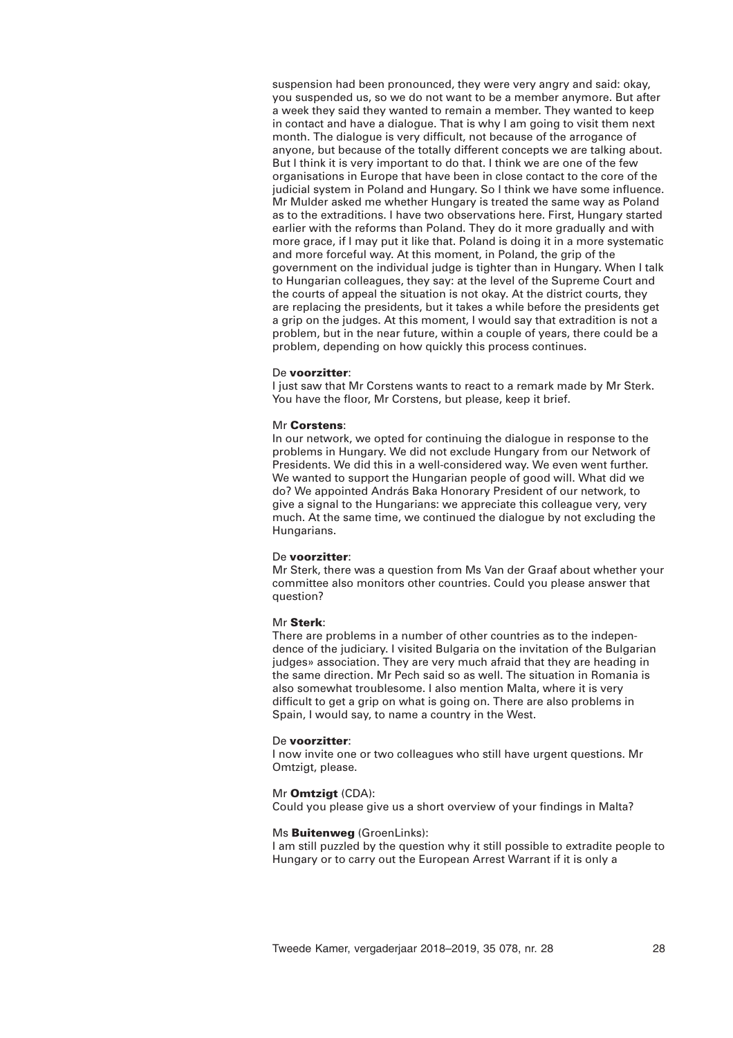suspension had been pronounced, they were very angry and said: okay, you suspended us, so we do not want to be a member anymore. But after a week they said they wanted to remain a member. They wanted to keep in contact and have a dialogue. That is why I am going to visit them next month. The dialogue is very difficult, not because of the arrogance of anyone, but because of the totally different concepts we are talking about. But I think it is very important to do that. I think we are one of the few organisations in Europe that have been in close contact to the core of the judicial system in Poland and Hungary. So I think we have some influence. Mr Mulder asked me whether Hungary is treated the same way as Poland as to the extraditions. I have two observations here. First, Hungary started earlier with the reforms than Poland. They do it more gradually and with more grace, if I may put it like that. Poland is doing it in a more systematic and more forceful way. At this moment, in Poland, the grip of the government on the individual judge is tighter than in Hungary. When I talk to Hungarian colleagues, they say: at the level of the Supreme Court and the courts of appeal the situation is not okay. At the district courts, they are replacing the presidents, but it takes a while before the presidents get a grip on the judges. At this moment, I would say that extradition is not a problem, but in the near future, within a couple of years, there could be a problem, depending on how quickly this process continues.

#### De **voorzitter**:

I just saw that Mr Corstens wants to react to a remark made by Mr Sterk. You have the floor, Mr Corstens, but please, keep it brief.

#### Mr **Corstens**:

In our network, we opted for continuing the dialogue in response to the problems in Hungary. We did not exclude Hungary from our Network of Presidents. We did this in a well-considered way. We even went further. We wanted to support the Hungarian people of good will. What did we do? We appointed András Baka Honorary President of our network, to give a signal to the Hungarians: we appreciate this colleague very, very much. At the same time, we continued the dialogue by not excluding the Hungarians.

## De **voorzitter**:

Mr Sterk, there was a question from Ms Van der Graaf about whether your committee also monitors other countries. Could you please answer that question?

#### Mr **Sterk**:

There are problems in a number of other countries as to the independence of the judiciary. I visited Bulgaria on the invitation of the Bulgarian judges» association. They are very much afraid that they are heading in the same direction. Mr Pech said so as well. The situation in Romania is also somewhat troublesome. I also mention Malta, where it is very difficult to get a grip on what is going on. There are also problems in Spain, I would say, to name a country in the West.

#### De **voorzitter**:

I now invite one or two colleagues who still have urgent questions. Mr Omtzigt, please.

#### Mr **Omtzigt** (CDA):

Could you please give us a short overview of your findings in Malta?

#### Ms **Buitenweg** (GroenLinks):

I am still puzzled by the question why it still possible to extradite people to Hungary or to carry out the European Arrest Warrant if it is only a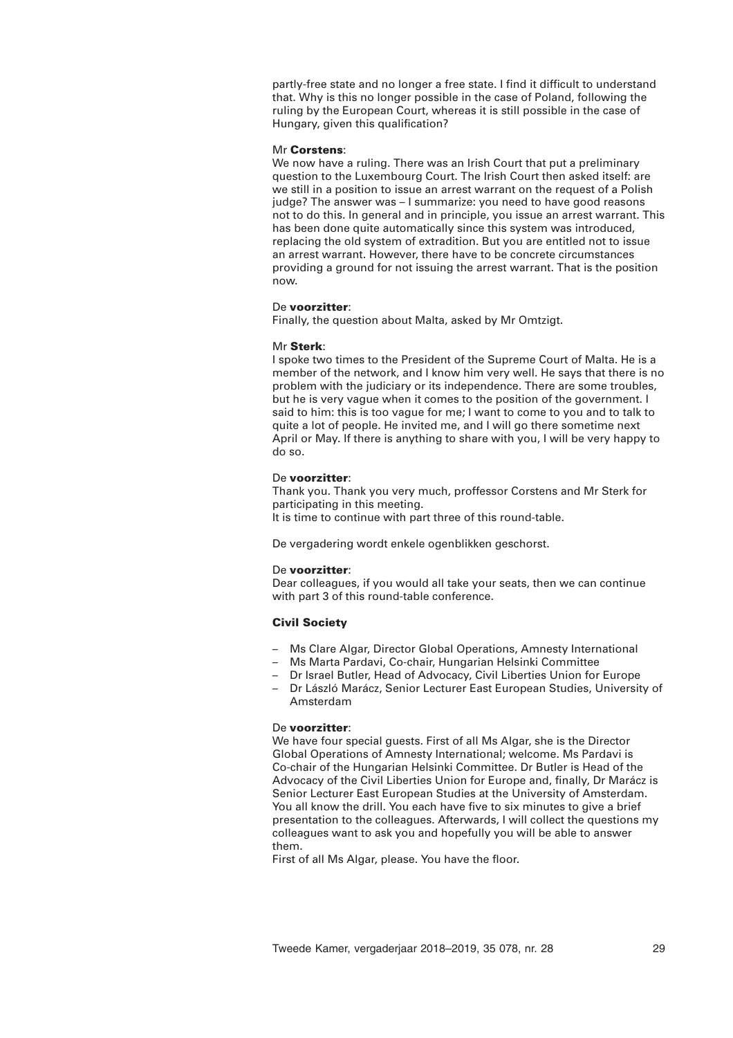partly-free state and no longer a free state. I find it difficult to understand that. Why is this no longer possible in the case of Poland, following the ruling by the European Court, whereas it is still possible in the case of Hungary, given this qualification?

## Mr **Corstens**:

We now have a ruling. There was an Irish Court that put a preliminary question to the Luxembourg Court. The Irish Court then asked itself: are we still in a position to issue an arrest warrant on the request of a Polish judge? The answer was – I summarize: you need to have good reasons not to do this. In general and in principle, you issue an arrest warrant. This has been done quite automatically since this system was introduced, replacing the old system of extradition. But you are entitled not to issue an arrest warrant. However, there have to be concrete circumstances providing a ground for not issuing the arrest warrant. That is the position now.

## De **voorzitter**:

Finally, the question about Malta, asked by Mr Omtzigt.

#### Mr **Sterk**:

I spoke two times to the President of the Supreme Court of Malta. He is a member of the network, and I know him very well. He says that there is no problem with the judiciary or its independence. There are some troubles, but he is very vague when it comes to the position of the government. I said to him: this is too vague for me; I want to come to you and to talk to quite a lot of people. He invited me, and I will go there sometime next April or May. If there is anything to share with you, I will be very happy to do so.

## De **voorzitter**:

Thank you. Thank you very much, proffessor Corstens and Mr Sterk for participating in this meeting. It is time to continue with part three of this round-table.

De vergadering wordt enkele ogenblikken geschorst.

#### De **voorzitter**:

Dear colleagues, if you would all take your seats, then we can continue with part 3 of this round-table conference.

## **Civil Society**

- Ms Clare Algar, Director Global Operations, Amnesty International
- Ms Marta Pardavi, Co-chair, Hungarian Helsinki Committee
- Dr Israel Butler, Head of Advocacy, Civil Liberties Union for Europe
- Dr László Marácz, Senior Lecturer East European Studies, University of Amsterdam

## De **voorzitter**:

We have four special guests. First of all Ms Algar, she is the Director Global Operations of Amnesty International; welcome. Ms Pardavi is Co-chair of the Hungarian Helsinki Committee. Dr Butler is Head of the Advocacy of the Civil Liberties Union for Europe and, finally, Dr Marácz is Senior Lecturer East European Studies at the University of Amsterdam. You all know the drill. You each have five to six minutes to give a brief presentation to the colleagues. Afterwards, I will collect the questions my colleagues want to ask you and hopefully you will be able to answer them.

First of all Ms Algar, please. You have the floor.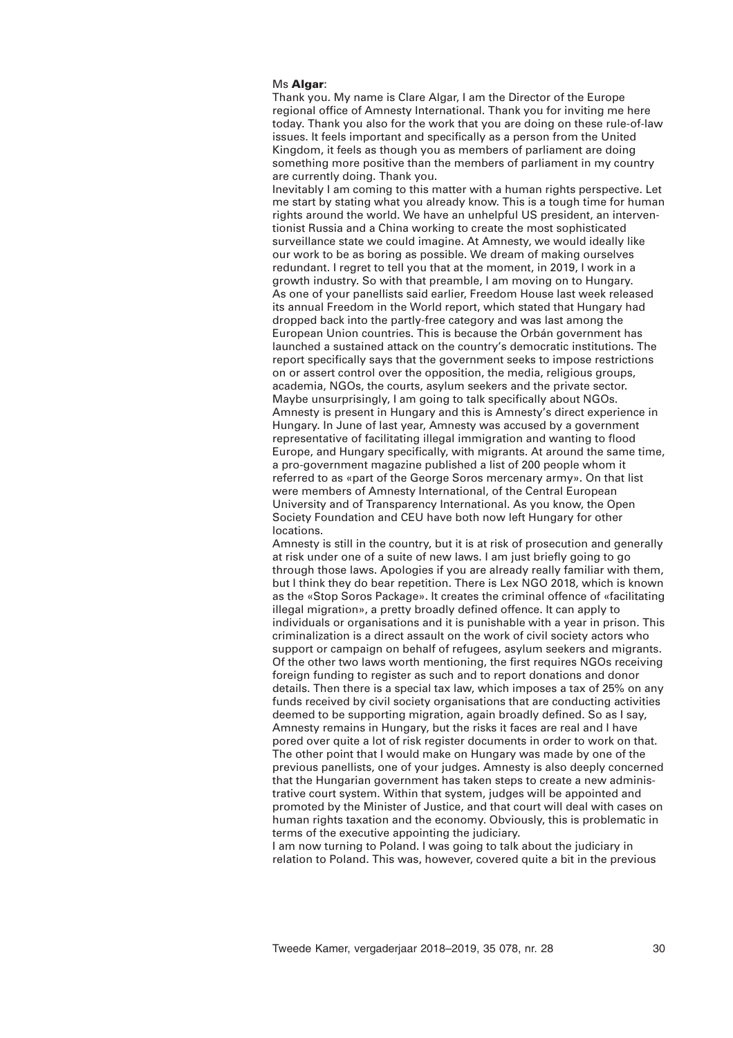### Ms **Algar**:

Thank you. My name is Clare Algar, I am the Director of the Europe regional office of Amnesty International. Thank you for inviting me here today. Thank you also for the work that you are doing on these rule-of-law issues. It feels important and specifically as a person from the United Kingdom, it feels as though you as members of parliament are doing something more positive than the members of parliament in my country are currently doing. Thank you.

Inevitably I am coming to this matter with a human rights perspective. Let me start by stating what you already know. This is a tough time for human rights around the world. We have an unhelpful US president, an interventionist Russia and a China working to create the most sophisticated surveillance state we could imagine. At Amnesty, we would ideally like our work to be as boring as possible. We dream of making ourselves redundant. I regret to tell you that at the moment, in 2019, I work in a growth industry. So with that preamble, I am moving on to Hungary. As one of your panellists said earlier, Freedom House last week released its annual Freedom in the World report, which stated that Hungary had dropped back into the partly-free category and was last among the European Union countries. This is because the Orbán government has launched a sustained attack on the country's democratic institutions. The report specifically says that the government seeks to impose restrictions on or assert control over the opposition, the media, religious groups, academia, NGOs, the courts, asylum seekers and the private sector. Maybe unsurprisingly, I am going to talk specifically about NGOs. Amnesty is present in Hungary and this is Amnesty's direct experience in Hungary. In June of last year, Amnesty was accused by a government representative of facilitating illegal immigration and wanting to flood Europe, and Hungary specifically, with migrants. At around the same time, a pro-government magazine published a list of 200 people whom it referred to as «part of the George Soros mercenary army». On that list were members of Amnesty International, of the Central European University and of Transparency International. As you know, the Open Society Foundation and CEU have both now left Hungary for other locations.

Amnesty is still in the country, but it is at risk of prosecution and generally at risk under one of a suite of new laws. I am just briefly going to go through those laws. Apologies if you are already really familiar with them, but I think they do bear repetition. There is Lex NGO 2018, which is known as the «Stop Soros Package». It creates the criminal offence of «facilitating illegal migration», a pretty broadly defined offence. It can apply to individuals or organisations and it is punishable with a year in prison. This criminalization is a direct assault on the work of civil society actors who support or campaign on behalf of refugees, asylum seekers and migrants. Of the other two laws worth mentioning, the first requires NGOs receiving foreign funding to register as such and to report donations and donor details. Then there is a special tax law, which imposes a tax of 25% on any funds received by civil society organisations that are conducting activities deemed to be supporting migration, again broadly defined. So as I say, Amnesty remains in Hungary, but the risks it faces are real and I have pored over quite a lot of risk register documents in order to work on that. The other point that I would make on Hungary was made by one of the previous panellists, one of your judges. Amnesty is also deeply concerned that the Hungarian government has taken steps to create a new administrative court system. Within that system, judges will be appointed and promoted by the Minister of Justice, and that court will deal with cases on human rights taxation and the economy. Obviously, this is problematic in terms of the executive appointing the judiciary.

I am now turning to Poland. I was going to talk about the judiciary in relation to Poland. This was, however, covered quite a bit in the previous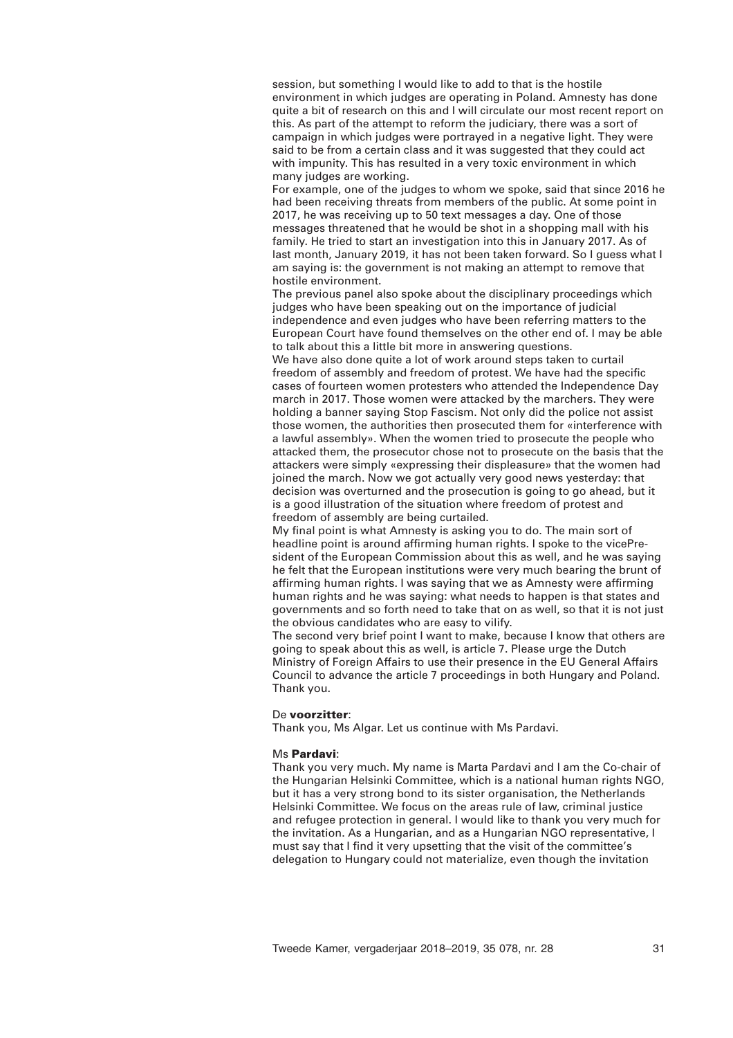session, but something I would like to add to that is the hostile environment in which judges are operating in Poland. Amnesty has done quite a bit of research on this and I will circulate our most recent report on this. As part of the attempt to reform the judiciary, there was a sort of campaign in which judges were portrayed in a negative light. They were said to be from a certain class and it was suggested that they could act with impunity. This has resulted in a very toxic environment in which many judges are working.

For example, one of the judges to whom we spoke, said that since 2016 he had been receiving threats from members of the public. At some point in 2017, he was receiving up to 50 text messages a day. One of those messages threatened that he would be shot in a shopping mall with his family. He tried to start an investigation into this in January 2017. As of last month, January 2019, it has not been taken forward. So I guess what I am saying is: the government is not making an attempt to remove that hostile environment.

The previous panel also spoke about the disciplinary proceedings which judges who have been speaking out on the importance of judicial independence and even judges who have been referring matters to the European Court have found themselves on the other end of. I may be able to talk about this a little bit more in answering questions.

We have also done quite a lot of work around steps taken to curtail freedom of assembly and freedom of protest. We have had the specific cases of fourteen women protesters who attended the Independence Day march in 2017. Those women were attacked by the marchers. They were holding a banner saying Stop Fascism. Not only did the police not assist those women, the authorities then prosecuted them for «interference with a lawful assembly». When the women tried to prosecute the people who attacked them, the prosecutor chose not to prosecute on the basis that the attackers were simply «expressing their displeasure» that the women had joined the march. Now we got actually very good news yesterday: that decision was overturned and the prosecution is going to go ahead, but it is a good illustration of the situation where freedom of protest and freedom of assembly are being curtailed.

My final point is what Amnesty is asking you to do. The main sort of headline point is around affirming human rights. I spoke to the vicePresident of the European Commission about this as well, and he was saying he felt that the European institutions were very much bearing the brunt of affirming human rights. I was saying that we as Amnesty were affirming human rights and he was saying: what needs to happen is that states and governments and so forth need to take that on as well, so that it is not just the obvious candidates who are easy to vilify.

The second very brief point I want to make, because I know that others are going to speak about this as well, is article 7. Please urge the Dutch Ministry of Foreign Affairs to use their presence in the EU General Affairs Council to advance the article 7 proceedings in both Hungary and Poland. Thank you.

#### De **voorzitter**:

Thank you, Ms Algar. Let us continue with Ms Pardavi.

#### Ms **Pardavi**:

Thank you very much. My name is Marta Pardavi and I am the Co-chair of the Hungarian Helsinki Committee, which is a national human rights NGO, but it has a very strong bond to its sister organisation, the Netherlands Helsinki Committee. We focus on the areas rule of law, criminal justice and refugee protection in general. I would like to thank you very much for the invitation. As a Hungarian, and as a Hungarian NGO representative, I must say that I find it very upsetting that the visit of the committee's delegation to Hungary could not materialize, even though the invitation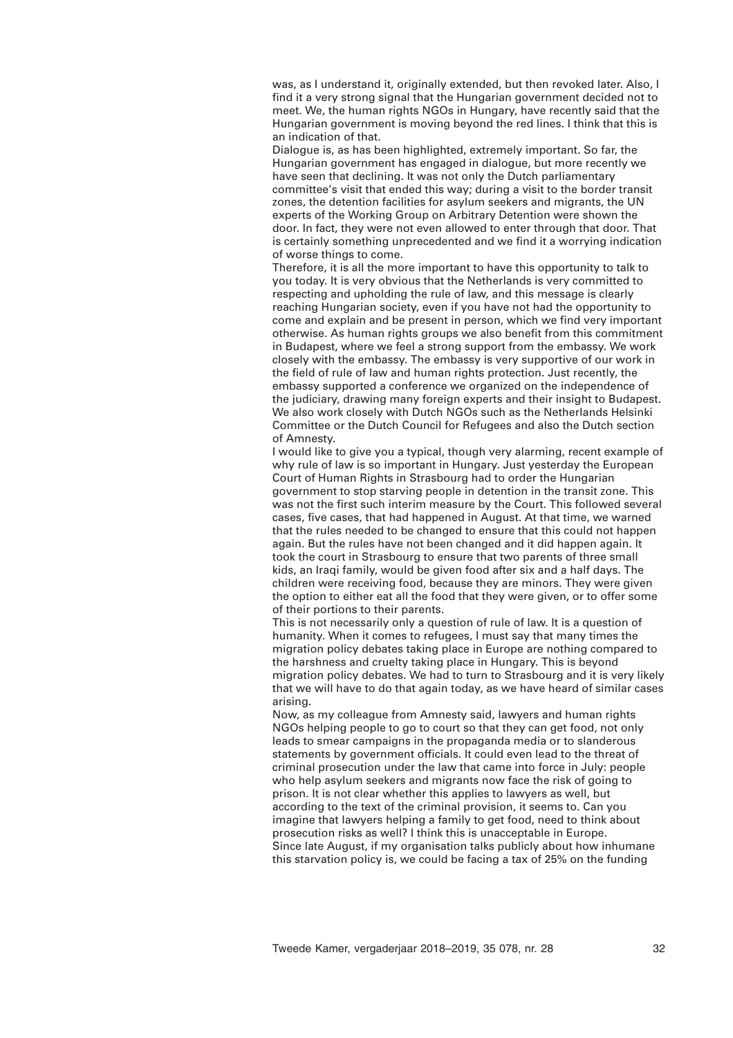was, as I understand it, originally extended, but then revoked later. Also, I find it a very strong signal that the Hungarian government decided not to meet. We, the human rights NGOs in Hungary, have recently said that the Hungarian government is moving beyond the red lines. I think that this is an indication of that.

Dialogue is, as has been highlighted, extremely important. So far, the Hungarian government has engaged in dialogue, but more recently we have seen that declining. It was not only the Dutch parliamentary committee's visit that ended this way; during a visit to the border transit zones, the detention facilities for asylum seekers and migrants, the UN experts of the Working Group on Arbitrary Detention were shown the door. In fact, they were not even allowed to enter through that door. That is certainly something unprecedented and we find it a worrying indication of worse things to come.

Therefore, it is all the more important to have this opportunity to talk to you today. It is very obvious that the Netherlands is very committed to respecting and upholding the rule of law, and this message is clearly reaching Hungarian society, even if you have not had the opportunity to come and explain and be present in person, which we find very important otherwise. As human rights groups we also benefit from this commitment in Budapest, where we feel a strong support from the embassy. We work closely with the embassy. The embassy is very supportive of our work in the field of rule of law and human rights protection. Just recently, the embassy supported a conference we organized on the independence of the judiciary, drawing many foreign experts and their insight to Budapest. We also work closely with Dutch NGOs such as the Netherlands Helsinki Committee or the Dutch Council for Refugees and also the Dutch section of Amnesty.

I would like to give you a typical, though very alarming, recent example of why rule of law is so important in Hungary. Just yesterday the European Court of Human Rights in Strasbourg had to order the Hungarian government to stop starving people in detention in the transit zone. This was not the first such interim measure by the Court. This followed several cases, five cases, that had happened in August. At that time, we warned that the rules needed to be changed to ensure that this could not happen again. But the rules have not been changed and it did happen again. It took the court in Strasbourg to ensure that two parents of three small kids, an Iraqi family, would be given food after six and a half days. The children were receiving food, because they are minors. They were given the option to either eat all the food that they were given, or to offer some of their portions to their parents.

This is not necessarily only a question of rule of law. It is a question of humanity. When it comes to refugees, I must say that many times the migration policy debates taking place in Europe are nothing compared to the harshness and cruelty taking place in Hungary. This is beyond migration policy debates. We had to turn to Strasbourg and it is very likely that we will have to do that again today, as we have heard of similar cases arising.

Now, as my colleague from Amnesty said, lawyers and human rights NGOs helping people to go to court so that they can get food, not only leads to smear campaigns in the propaganda media or to slanderous statements by government officials. It could even lead to the threat of criminal prosecution under the law that came into force in July: people who help asylum seekers and migrants now face the risk of going to prison. It is not clear whether this applies to lawyers as well, but according to the text of the criminal provision, it seems to. Can you imagine that lawyers helping a family to get food, need to think about prosecution risks as well? I think this is unacceptable in Europe. Since late August, if my organisation talks publicly about how inhumane this starvation policy is, we could be facing a tax of 25% on the funding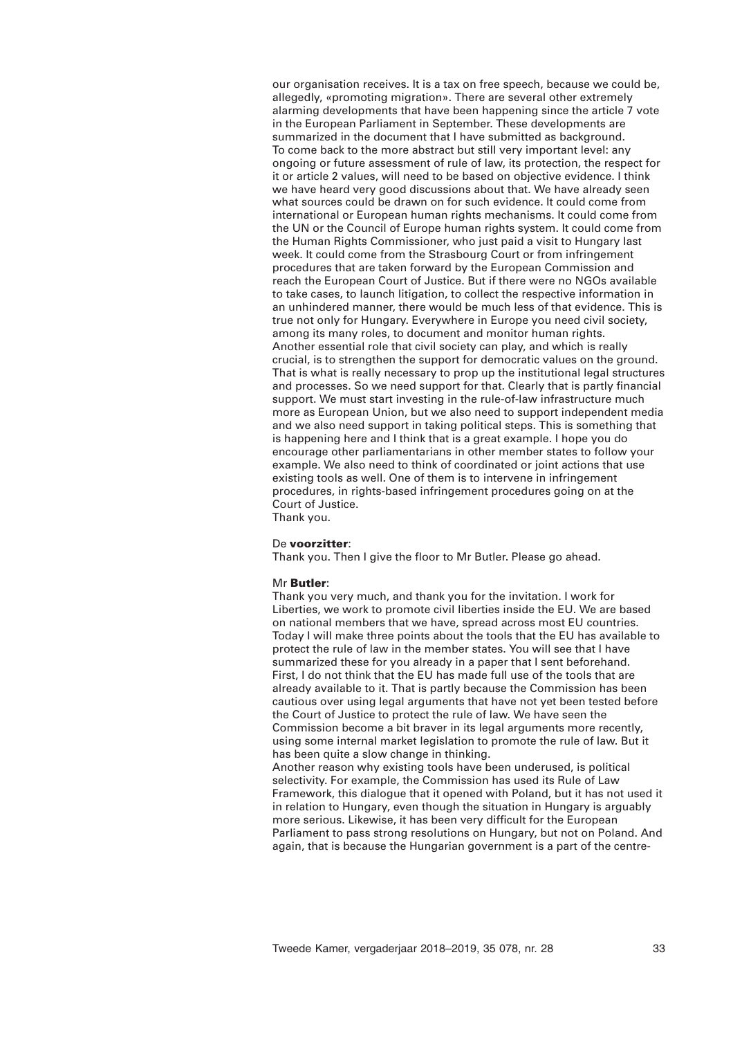our organisation receives. It is a tax on free speech, because we could be, allegedly, «promoting migration». There are several other extremely alarming developments that have been happening since the article 7 vote in the European Parliament in September. These developments are summarized in the document that I have submitted as background. To come back to the more abstract but still very important level: any ongoing or future assessment of rule of law, its protection, the respect for it or article 2 values, will need to be based on objective evidence. I think we have heard very good discussions about that. We have already seen what sources could be drawn on for such evidence. It could come from international or European human rights mechanisms. It could come from the UN or the Council of Europe human rights system. It could come from the Human Rights Commissioner, who just paid a visit to Hungary last week. It could come from the Strasbourg Court or from infringement procedures that are taken forward by the European Commission and reach the European Court of Justice. But if there were no NGOs available to take cases, to launch litigation, to collect the respective information in an unhindered manner, there would be much less of that evidence. This is true not only for Hungary. Everywhere in Europe you need civil society, among its many roles, to document and monitor human rights. Another essential role that civil society can play, and which is really crucial, is to strengthen the support for democratic values on the ground. That is what is really necessary to prop up the institutional legal structures and processes. So we need support for that. Clearly that is partly financial support. We must start investing in the rule-of-law infrastructure much more as European Union, but we also need to support independent media and we also need support in taking political steps. This is something that is happening here and I think that is a great example. I hope you do encourage other parliamentarians in other member states to follow your example. We also need to think of coordinated or joint actions that use existing tools as well. One of them is to intervene in infringement procedures, in rights-based infringement procedures going on at the Court of Justice. Thank you.

#### De **voorzitter**:

Thank you. Then I give the floor to Mr Butler. Please go ahead.

#### Mr **Butler**:

Thank you very much, and thank you for the invitation. I work for Liberties, we work to promote civil liberties inside the EU. We are based on national members that we have, spread across most EU countries. Today I will make three points about the tools that the EU has available to protect the rule of law in the member states. You will see that I have summarized these for you already in a paper that I sent beforehand. First, I do not think that the EU has made full use of the tools that are already available to it. That is partly because the Commission has been cautious over using legal arguments that have not yet been tested before the Court of Justice to protect the rule of law. We have seen the Commission become a bit braver in its legal arguments more recently, using some internal market legislation to promote the rule of law. But it has been quite a slow change in thinking. Another reason why existing tools have been underused, is political

selectivity. For example, the Commission has used its Rule of Law Framework, this dialogue that it opened with Poland, but it has not used it in relation to Hungary, even though the situation in Hungary is arguably more serious. Likewise, it has been very difficult for the European Parliament to pass strong resolutions on Hungary, but not on Poland. And again, that is because the Hungarian government is a part of the centre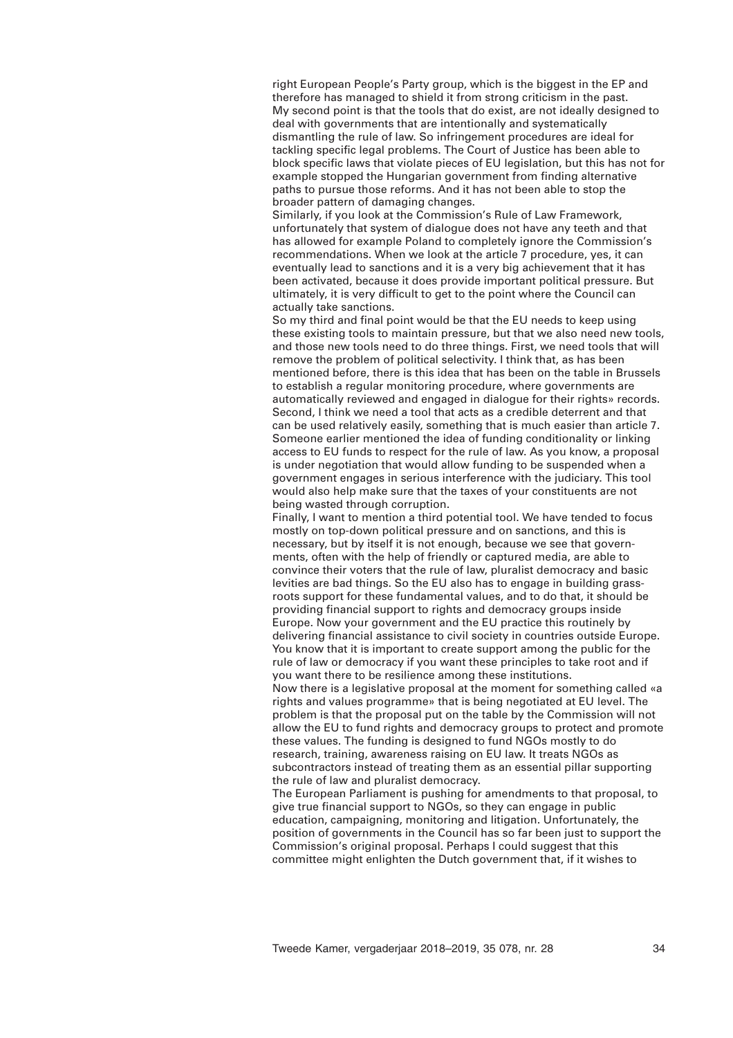right European People's Party group, which is the biggest in the EP and therefore has managed to shield it from strong criticism in the past. My second point is that the tools that do exist, are not ideally designed to deal with governments that are intentionally and systematically dismantling the rule of law. So infringement procedures are ideal for tackling specific legal problems. The Court of Justice has been able to block specific laws that violate pieces of EU legislation, but this has not for example stopped the Hungarian government from finding alternative paths to pursue those reforms. And it has not been able to stop the broader pattern of damaging changes.

Similarly, if you look at the Commission's Rule of Law Framework, unfortunately that system of dialogue does not have any teeth and that has allowed for example Poland to completely ignore the Commission's recommendations. When we look at the article 7 procedure, yes, it can eventually lead to sanctions and it is a very big achievement that it has been activated, because it does provide important political pressure. But ultimately, it is very difficult to get to the point where the Council can actually take sanctions.

So my third and final point would be that the EU needs to keep using these existing tools to maintain pressure, but that we also need new tools, and those new tools need to do three things. First, we need tools that will remove the problem of political selectivity. I think that, as has been mentioned before, there is this idea that has been on the table in Brussels to establish a regular monitoring procedure, where governments are automatically reviewed and engaged in dialogue for their rights» records. Second, I think we need a tool that acts as a credible deterrent and that can be used relatively easily, something that is much easier than article 7. Someone earlier mentioned the idea of funding conditionality or linking access to EU funds to respect for the rule of law. As you know, a proposal is under negotiation that would allow funding to be suspended when a government engages in serious interference with the judiciary. This tool would also help make sure that the taxes of your constituents are not being wasted through corruption.

Finally, I want to mention a third potential tool. We have tended to focus mostly on top-down political pressure and on sanctions, and this is necessary, but by itself it is not enough, because we see that governments, often with the help of friendly or captured media, are able to convince their voters that the rule of law, pluralist democracy and basic levities are bad things. So the EU also has to engage in building grassroots support for these fundamental values, and to do that, it should be providing financial support to rights and democracy groups inside Europe. Now your government and the EU practice this routinely by delivering financial assistance to civil society in countries outside Europe. You know that it is important to create support among the public for the rule of law or democracy if you want these principles to take root and if you want there to be resilience among these institutions.

Now there is a legislative proposal at the moment for something called «a rights and values programme» that is being negotiated at EU level. The problem is that the proposal put on the table by the Commission will not allow the EU to fund rights and democracy groups to protect and promote these values. The funding is designed to fund NGOs mostly to do research, training, awareness raising on EU law. It treats NGOs as subcontractors instead of treating them as an essential pillar supporting the rule of law and pluralist democracy.

The European Parliament is pushing for amendments to that proposal, to give true financial support to NGOs, so they can engage in public education, campaigning, monitoring and litigation. Unfortunately, the position of governments in the Council has so far been just to support the Commission's original proposal. Perhaps I could suggest that this committee might enlighten the Dutch government that, if it wishes to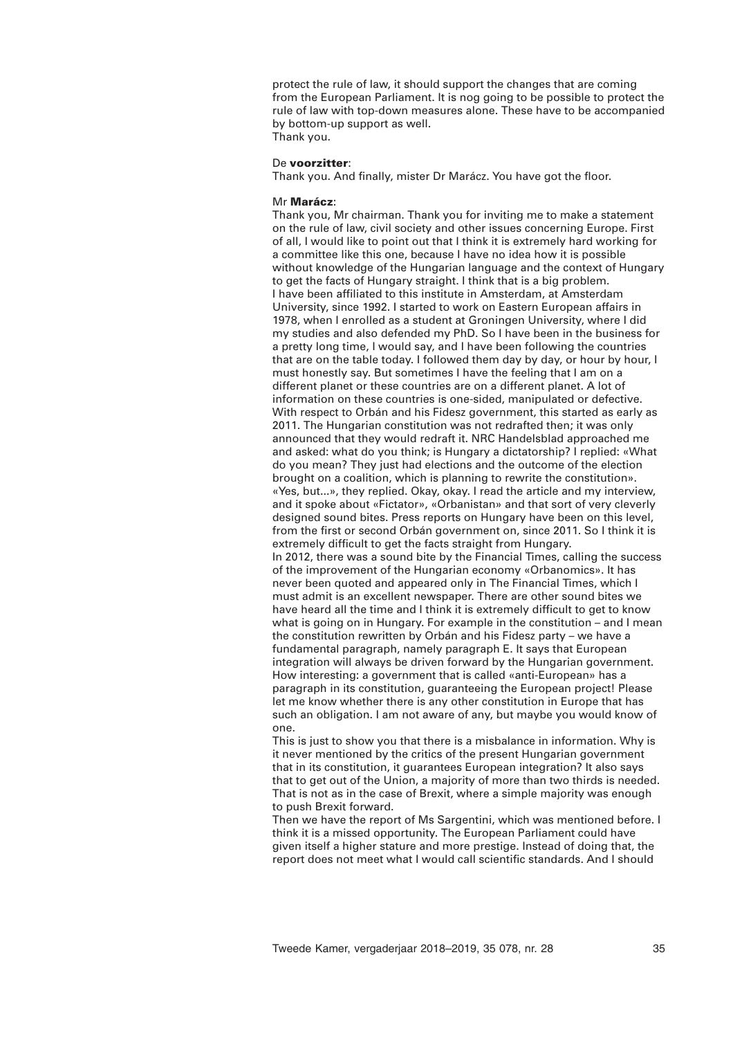protect the rule of law, it should support the changes that are coming from the European Parliament. It is nog going to be possible to protect the rule of law with top-down measures alone. These have to be accompanied by bottom-up support as well. Thank you.

## De **voorzitter**:

Thank you. And finally, mister Dr Marácz. You have got the floor.

#### Mr **Marácz**:

Thank you, Mr chairman. Thank you for inviting me to make a statement on the rule of law, civil society and other issues concerning Europe. First of all, I would like to point out that I think it is extremely hard working for a committee like this one, because I have no idea how it is possible without knowledge of the Hungarian language and the context of Hungary to get the facts of Hungary straight. I think that is a big problem. I have been affiliated to this institute in Amsterdam, at Amsterdam University, since 1992. I started to work on Eastern European affairs in 1978, when I enrolled as a student at Groningen University, where I did my studies and also defended my PhD. So I have been in the business for a pretty long time, I would say, and I have been following the countries that are on the table today. I followed them day by day, or hour by hour, I must honestly say. But sometimes I have the feeling that I am on a different planet or these countries are on a different planet. A lot of information on these countries is one-sided, manipulated or defective. With respect to Orbán and his Fidesz government, this started as early as 2011. The Hungarian constitution was not redrafted then; it was only announced that they would redraft it. NRC Handelsblad approached me and asked: what do you think; is Hungary a dictatorship? I replied: «What do you mean? They just had elections and the outcome of the election brought on a coalition, which is planning to rewrite the constitution». «Yes, but...», they replied. Okay, okay. I read the article and my interview, and it spoke about «Fictator», «Orbanistan» and that sort of very cleverly designed sound bites. Press reports on Hungary have been on this level, from the first or second Orbán government on, since 2011. So I think it is extremely difficult to get the facts straight from Hungary. In 2012, there was a sound bite by the Financial Times, calling the success of the improvement of the Hungarian economy «Orbanomics». It has never been quoted and appeared only in The Financial Times, which I must admit is an excellent newspaper. There are other sound bites we have heard all the time and I think it is extremely difficult to get to know what is going on in Hungary. For example in the constitution – and I mean the constitution rewritten by Orbán and his Fidesz party – we have a fundamental paragraph, namely paragraph E. It says that European integration will always be driven forward by the Hungarian government. How interesting: a government that is called «anti-European» has a paragraph in its constitution, guaranteeing the European project! Please let me know whether there is any other constitution in Europe that has such an obligation. I am not aware of any, but maybe you would know of one.

This is just to show you that there is a misbalance in information. Why is it never mentioned by the critics of the present Hungarian government that in its constitution, it guarantees European integration? It also says that to get out of the Union, a majority of more than two thirds is needed. That is not as in the case of Brexit, where a simple majority was enough to push Brexit forward.

Then we have the report of Ms Sargentini, which was mentioned before. I think it is a missed opportunity. The European Parliament could have given itself a higher stature and more prestige. Instead of doing that, the report does not meet what I would call scientific standards. And I should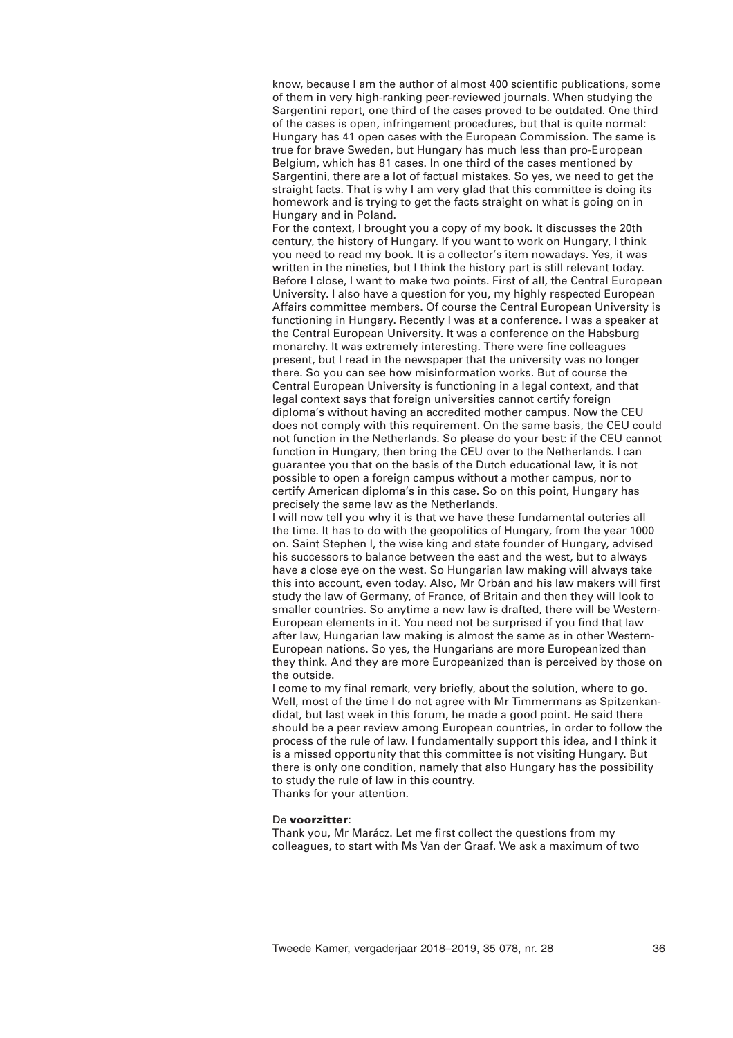know, because I am the author of almost 400 scientific publications, some of them in very high-ranking peer-reviewed journals. When studying the Sargentini report, one third of the cases proved to be outdated. One third of the cases is open, infringement procedures, but that is quite normal: Hungary has 41 open cases with the European Commission. The same is true for brave Sweden, but Hungary has much less than pro-European Belgium, which has 81 cases. In one third of the cases mentioned by Sargentini, there are a lot of factual mistakes. So yes, we need to get the straight facts. That is why I am very glad that this committee is doing its homework and is trying to get the facts straight on what is going on in Hungary and in Poland.

For the context, I brought you a copy of my book. It discusses the 20th century, the history of Hungary. If you want to work on Hungary, I think you need to read my book. It is a collector's item nowadays. Yes, it was written in the nineties, but I think the history part is still relevant today. Before I close, I want to make two points. First of all, the Central European University. I also have a question for you, my highly respected European Affairs committee members. Of course the Central European University is functioning in Hungary. Recently I was at a conference. I was a speaker at the Central European University. It was a conference on the Habsburg monarchy. It was extremely interesting. There were fine colleagues present, but I read in the newspaper that the university was no longer there. So you can see how misinformation works. But of course the Central European University is functioning in a legal context, and that legal context says that foreign universities cannot certify foreign diploma's without having an accredited mother campus. Now the CEU does not comply with this requirement. On the same basis, the CEU could not function in the Netherlands. So please do your best: if the CEU cannot function in Hungary, then bring the CEU over to the Netherlands. I can guarantee you that on the basis of the Dutch educational law, it is not possible to open a foreign campus without a mother campus, nor to certify American diploma's in this case. So on this point, Hungary has precisely the same law as the Netherlands.

I will now tell you why it is that we have these fundamental outcries all the time. It has to do with the geopolitics of Hungary, from the year 1000 on. Saint Stephen I, the wise king and state founder of Hungary, advised his successors to balance between the east and the west, but to always have a close eye on the west. So Hungarian law making will always take this into account, even today. Also, Mr Orbán and his law makers will first study the law of Germany, of France, of Britain and then they will look to smaller countries. So anytime a new law is drafted, there will be Western-European elements in it. You need not be surprised if you find that law after law, Hungarian law making is almost the same as in other Western-European nations. So yes, the Hungarians are more Europeanized than they think. And they are more Europeanized than is perceived by those on the outside.

I come to my final remark, very briefly, about the solution, where to go. Well, most of the time I do not agree with Mr Timmermans as Spitzenkandidat, but last week in this forum, he made a good point. He said there should be a peer review among European countries, in order to follow the process of the rule of law. I fundamentally support this idea, and I think it is a missed opportunity that this committee is not visiting Hungary. But there is only one condition, namely that also Hungary has the possibility to study the rule of law in this country.

Thanks for your attention.

## De **voorzitter**:

Thank you, Mr Marácz. Let me first collect the questions from my colleagues, to start with Ms Van der Graaf. We ask a maximum of two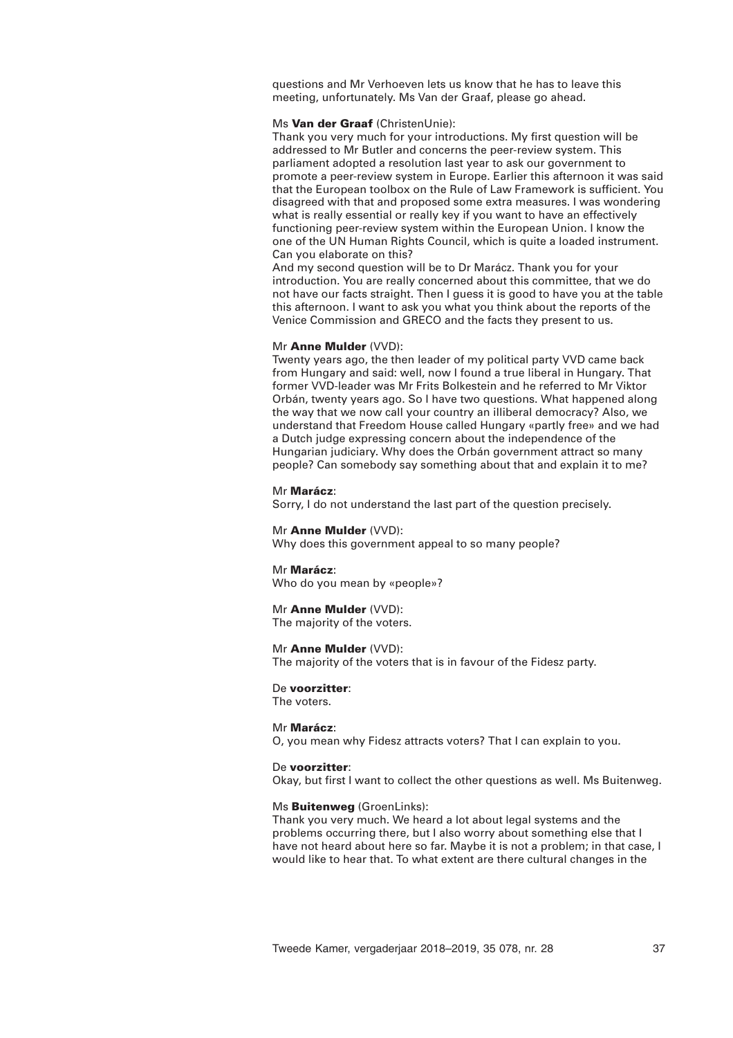questions and Mr Verhoeven lets us know that he has to leave this meeting, unfortunately. Ms Van der Graaf, please go ahead.

#### Ms **Van der Graaf** (ChristenUnie):

Thank you very much for your introductions. My first question will be addressed to Mr Butler and concerns the peer-review system. This parliament adopted a resolution last year to ask our government to promote a peer-review system in Europe. Earlier this afternoon it was said that the European toolbox on the Rule of Law Framework is sufficient. You disagreed with that and proposed some extra measures. I was wondering what is really essential or really key if you want to have an effectively functioning peer-review system within the European Union. I know the one of the UN Human Rights Council, which is quite a loaded instrument. Can you elaborate on this?

And my second question will be to Dr Marácz. Thank you for your introduction. You are really concerned about this committee, that we do not have our facts straight. Then I guess it is good to have you at the table this afternoon. I want to ask you what you think about the reports of the Venice Commission and GRECO and the facts they present to us.

#### Mr **Anne Mulder** (VVD):

Twenty years ago, the then leader of my political party VVD came back from Hungary and said: well, now I found a true liberal in Hungary. That former VVD-leader was Mr Frits Bolkestein and he referred to Mr Viktor Orbán, twenty years ago. So I have two questions. What happened along the way that we now call your country an illiberal democracy? Also, we understand that Freedom House called Hungary «partly free» and we had a Dutch judge expressing concern about the independence of the Hungarian judiciary. Why does the Orbán government attract so many people? Can somebody say something about that and explain it to me?

#### Mr **Marácz**:

Sorry, I do not understand the last part of the question precisely.

#### Mr **Anne Mulder** (VVD):

Why does this government appeal to so many people?

#### Mr **Marácz**:

Who do you mean by «people»?

## Mr **Anne Mulder** (VVD):

The majority of the voters.

#### Mr **Anne Mulder** (VVD):

The majority of the voters that is in favour of the Fidesz party.

## De **voorzitter**:

The voters.

## Mr **Marácz**:

O, you mean why Fidesz attracts voters? That I can explain to you.

#### De **voorzitter**:

Okay, but first I want to collect the other questions as well. Ms Buitenweg.

#### Ms **Buitenweg** (GroenLinks):

Thank you very much. We heard a lot about legal systems and the problems occurring there, but I also worry about something else that I have not heard about here so far. Maybe it is not a problem; in that case, I would like to hear that. To what extent are there cultural changes in the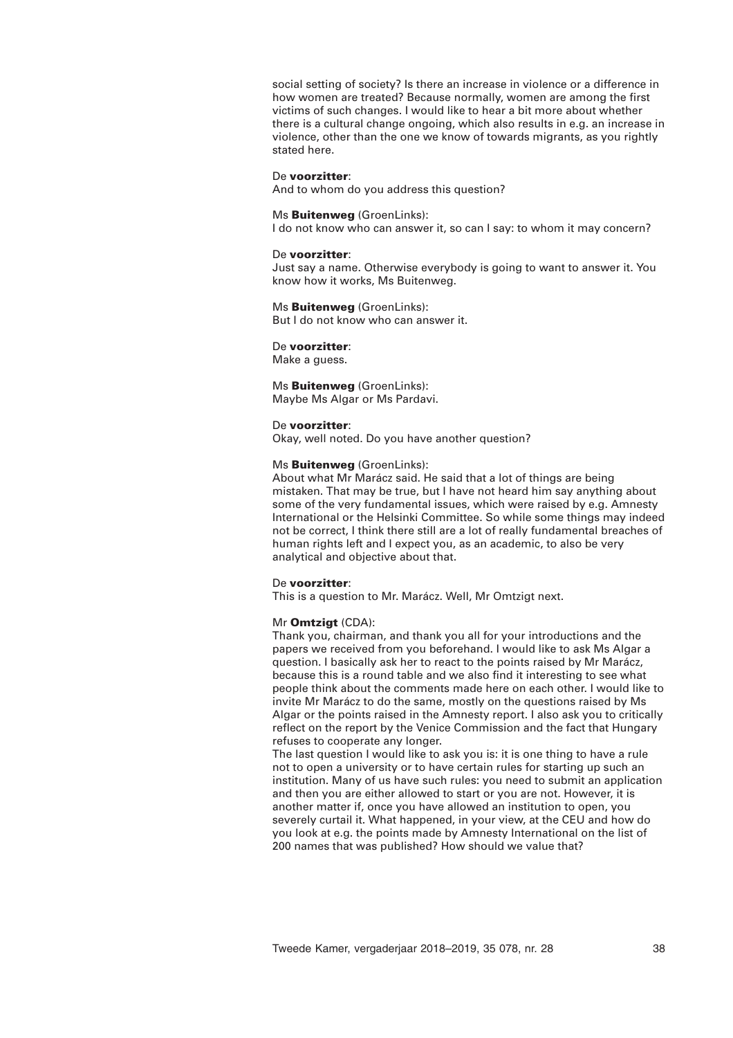social setting of society? Is there an increase in violence or a difference in how women are treated? Because normally, women are among the first victims of such changes. I would like to hear a bit more about whether there is a cultural change ongoing, which also results in e.g. an increase in violence, other than the one we know of towards migrants, as you rightly stated here.

#### De **voorzitter**:

And to whom do you address this question?

#### Ms **Buitenweg** (GroenLinks):

I do not know who can answer it, so can I say: to whom it may concern?

#### De **voorzitter**:

Just say a name. Otherwise everybody is going to want to answer it. You know how it works, Ms Buitenweg.

## Ms **Buitenweg** (GroenLinks):

But I do not know who can answer it.

## De **voorzitter**:

Make a quess.

## Ms **Buitenweg** (GroenLinks): Maybe Ms Algar or Ms Pardavi.

#### De **voorzitter**:

Okay, well noted. Do you have another question?

#### Ms **Buitenweg** (GroenLinks):

About what Mr Marácz said. He said that a lot of things are being mistaken. That may be true, but I have not heard him say anything about some of the very fundamental issues, which were raised by e.g. Amnesty International or the Helsinki Committee. So while some things may indeed not be correct, I think there still are a lot of really fundamental breaches of human rights left and I expect you, as an academic, to also be very analytical and objective about that.

## De **voorzitter**:

This is a question to Mr. Marácz. Well, Mr Omtzigt next.

#### Mr **Omtzigt** (CDA):

Thank you, chairman, and thank you all for your introductions and the papers we received from you beforehand. I would like to ask Ms Algar a question. I basically ask her to react to the points raised by Mr Marácz, because this is a round table and we also find it interesting to see what people think about the comments made here on each other. I would like to invite Mr Marácz to do the same, mostly on the questions raised by Ms Algar or the points raised in the Amnesty report. I also ask you to critically reflect on the report by the Venice Commission and the fact that Hungary refuses to cooperate any longer.

The last question I would like to ask you is: it is one thing to have a rule not to open a university or to have certain rules for starting up such an institution. Many of us have such rules: you need to submit an application and then you are either allowed to start or you are not. However, it is another matter if, once you have allowed an institution to open, you severely curtail it. What happened, in your view, at the CEU and how do you look at e.g. the points made by Amnesty International on the list of 200 names that was published? How should we value that?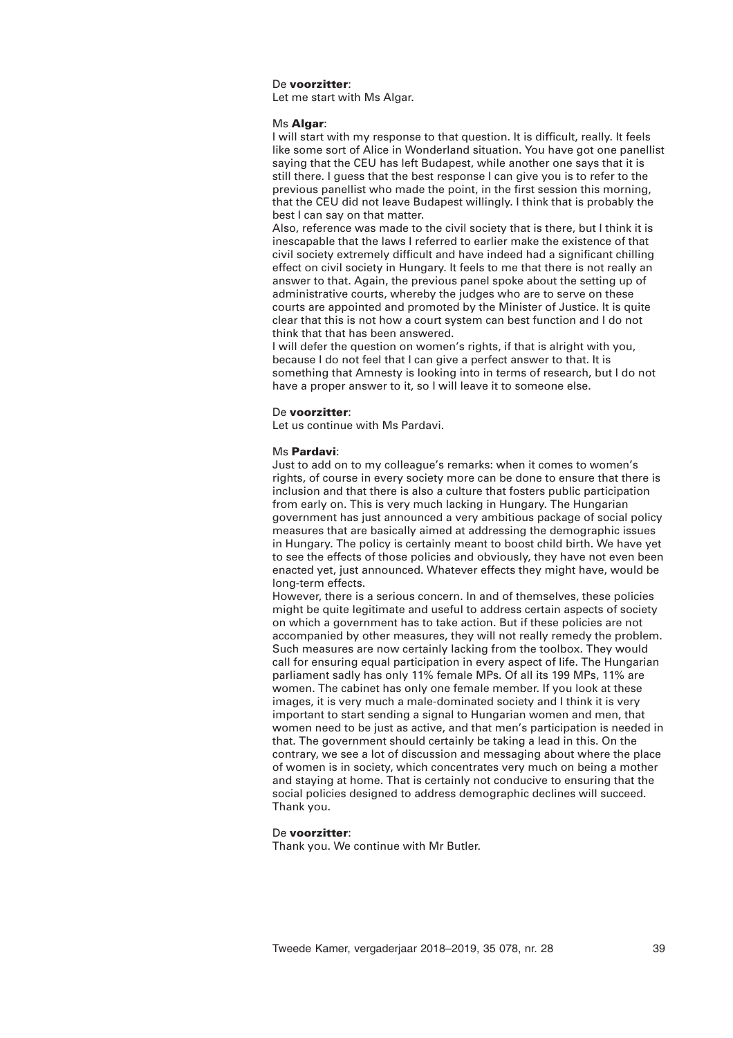## De **voorzitter**:

Let me start with Ms Algar.

#### Ms **Algar**:

I will start with my response to that question. It is difficult, really. It feels like some sort of Alice in Wonderland situation. You have got one panellist saying that the CEU has left Budapest, while another one says that it is still there. I guess that the best response I can give you is to refer to the previous panellist who made the point, in the first session this morning, that the CEU did not leave Budapest willingly. I think that is probably the best I can say on that matter.

Also, reference was made to the civil society that is there, but I think it is inescapable that the laws I referred to earlier make the existence of that civil society extremely difficult and have indeed had a significant chilling effect on civil society in Hungary. It feels to me that there is not really an answer to that. Again, the previous panel spoke about the setting up of administrative courts, whereby the judges who are to serve on these courts are appointed and promoted by the Minister of Justice. It is quite clear that this is not how a court system can best function and I do not think that that has been answered.

I will defer the question on women's rights, if that is alright with you, because I do not feel that I can give a perfect answer to that. It is something that Amnesty is looking into in terms of research, but I do not have a proper answer to it, so I will leave it to someone else.

## De **voorzitter**:

Let us continue with Ms Pardavi.

## Ms **Pardavi**:

Just to add on to my colleague's remarks: when it comes to women's rights, of course in every society more can be done to ensure that there is inclusion and that there is also a culture that fosters public participation from early on. This is very much lacking in Hungary. The Hungarian government has just announced a very ambitious package of social policy measures that are basically aimed at addressing the demographic issues in Hungary. The policy is certainly meant to boost child birth. We have yet to see the effects of those policies and obviously, they have not even been enacted yet, just announced. Whatever effects they might have, would be long-term effects.

However, there is a serious concern. In and of themselves, these policies might be quite legitimate and useful to address certain aspects of society on which a government has to take action. But if these policies are not accompanied by other measures, they will not really remedy the problem. Such measures are now certainly lacking from the toolbox. They would call for ensuring equal participation in every aspect of life. The Hungarian parliament sadly has only 11% female MPs. Of all its 199 MPs, 11% are women. The cabinet has only one female member. If you look at these images, it is very much a male-dominated society and I think it is very important to start sending a signal to Hungarian women and men, that women need to be just as active, and that men's participation is needed in that. The government should certainly be taking a lead in this. On the contrary, we see a lot of discussion and messaging about where the place of women is in society, which concentrates very much on being a mother and staying at home. That is certainly not conducive to ensuring that the social policies designed to address demographic declines will succeed. Thank you.

## De **voorzitter**:

Thank you. We continue with Mr Butler.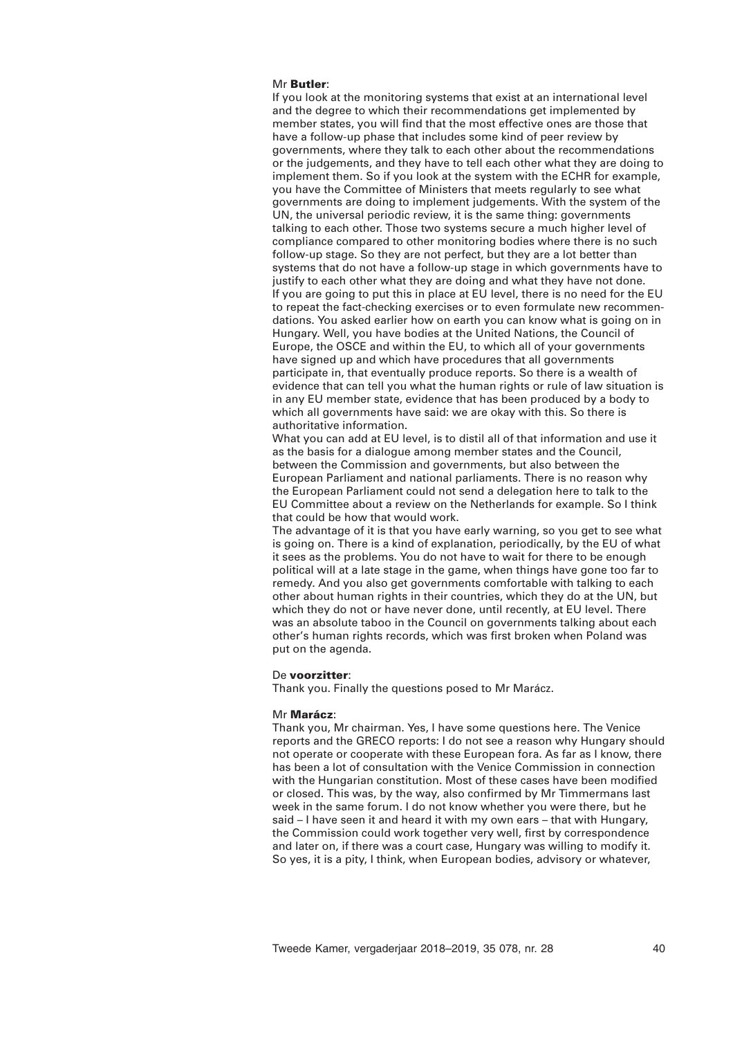## Mr **Butler**:

If you look at the monitoring systems that exist at an international level and the degree to which their recommendations get implemented by member states, you will find that the most effective ones are those that have a follow-up phase that includes some kind of peer review by governments, where they talk to each other about the recommendations or the judgements, and they have to tell each other what they are doing to implement them. So if you look at the system with the ECHR for example, you have the Committee of Ministers that meets regularly to see what governments are doing to implement judgements. With the system of the UN, the universal periodic review, it is the same thing: governments talking to each other. Those two systems secure a much higher level of compliance compared to other monitoring bodies where there is no such follow-up stage. So they are not perfect, but they are a lot better than systems that do not have a follow-up stage in which governments have to justify to each other what they are doing and what they have not done. If you are going to put this in place at EU level, there is no need for the EU to repeat the fact-checking exercises or to even formulate new recommendations. You asked earlier how on earth you can know what is going on in Hungary. Well, you have bodies at the United Nations, the Council of Europe, the OSCE and within the EU, to which all of your governments have signed up and which have procedures that all governments participate in, that eventually produce reports. So there is a wealth of evidence that can tell you what the human rights or rule of law situation is in any EU member state, evidence that has been produced by a body to which all governments have said: we are okay with this. So there is authoritative information.

What you can add at EU level, is to distil all of that information and use it as the basis for a dialogue among member states and the Council, between the Commission and governments, but also between the European Parliament and national parliaments. There is no reason why the European Parliament could not send a delegation here to talk to the EU Committee about a review on the Netherlands for example. So I think that could be how that would work.

The advantage of it is that you have early warning, so you get to see what is going on. There is a kind of explanation, periodically, by the EU of what it sees as the problems. You do not have to wait for there to be enough political will at a late stage in the game, when things have gone too far to remedy. And you also get governments comfortable with talking to each other about human rights in their countries, which they do at the UN, but which they do not or have never done, until recently, at EU level. There was an absolute taboo in the Council on governments talking about each other's human rights records, which was first broken when Poland was put on the agenda.

#### De **voorzitter**:

Thank you. Finally the questions posed to Mr Marácz.

#### Mr **Marácz**:

Thank you, Mr chairman. Yes, I have some questions here. The Venice reports and the GRECO reports: I do not see a reason why Hungary should not operate or cooperate with these European fora. As far as I know, there has been a lot of consultation with the Venice Commission in connection with the Hungarian constitution. Most of these cases have been modified or closed. This was, by the way, also confirmed by Mr Timmermans last week in the same forum. I do not know whether you were there, but he said – I have seen it and heard it with my own ears – that with Hungary, the Commission could work together very well, first by correspondence and later on, if there was a court case, Hungary was willing to modify it. So yes, it is a pity, I think, when European bodies, advisory or whatever,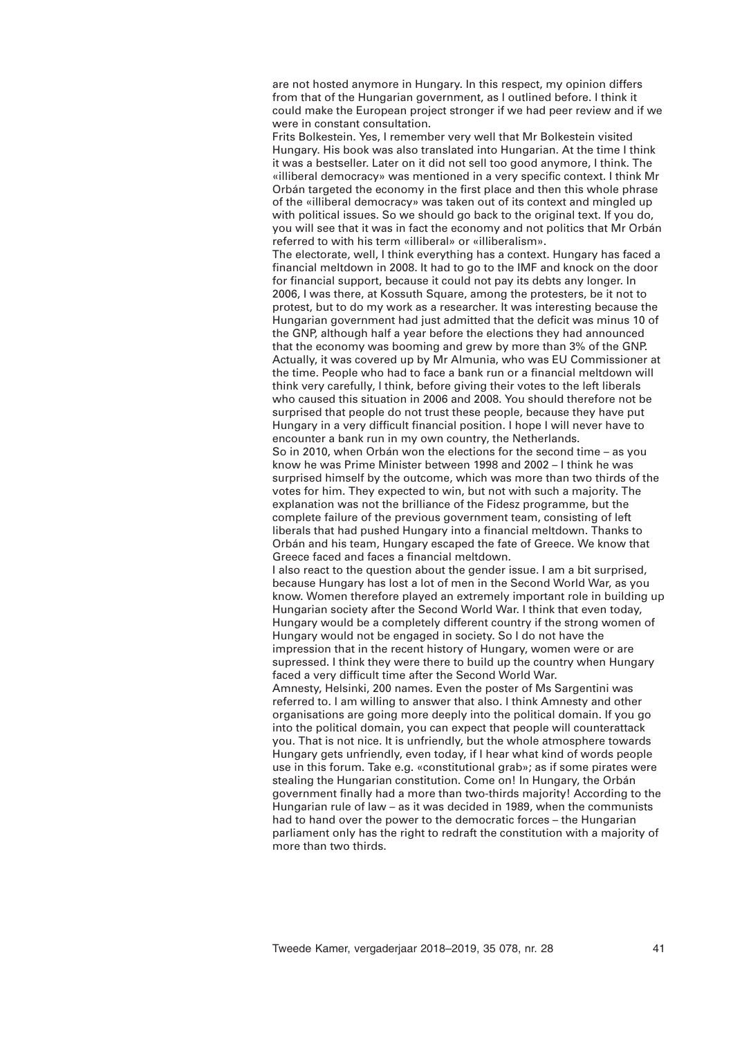are not hosted anymore in Hungary. In this respect, my opinion differs from that of the Hungarian government, as I outlined before. I think it could make the European project stronger if we had peer review and if we were in constant consultation.

Frits Bolkestein. Yes, I remember very well that Mr Bolkestein visited Hungary. His book was also translated into Hungarian. At the time I think it was a bestseller. Later on it did not sell too good anymore, I think. The «illiberal democracy» was mentioned in a very specific context. I think Mr Orbán targeted the economy in the first place and then this whole phrase of the «illiberal democracy» was taken out of its context and mingled up with political issues. So we should go back to the original text. If you do, you will see that it was in fact the economy and not politics that Mr Orbán referred to with his term «illiberal» or «illiberalism».

The electorate, well, I think everything has a context. Hungary has faced a financial meltdown in 2008. It had to go to the IMF and knock on the door for financial support, because it could not pay its debts any longer. In 2006, I was there, at Kossuth Square, among the protesters, be it not to protest, but to do my work as a researcher. It was interesting because the Hungarian government had just admitted that the deficit was minus 10 of the GNP, although half a year before the elections they had announced that the economy was booming and grew by more than 3% of the GNP. Actually, it was covered up by Mr Almunia, who was EU Commissioner at the time. People who had to face a bank run or a financial meltdown will think very carefully, I think, before giving their votes to the left liberals who caused this situation in 2006 and 2008. You should therefore not be surprised that people do not trust these people, because they have put Hungary in a very difficult financial position. I hope I will never have to encounter a bank run in my own country, the Netherlands.

So in 2010, when Orbán won the elections for the second time – as you know he was Prime Minister between 1998 and 2002 – I think he was surprised himself by the outcome, which was more than two thirds of the votes for him. They expected to win, but not with such a majority. The explanation was not the brilliance of the Fidesz programme, but the complete failure of the previous government team, consisting of left liberals that had pushed Hungary into a financial meltdown. Thanks to Orbán and his team, Hungary escaped the fate of Greece. We know that Greece faced and faces a financial meltdown.

I also react to the question about the gender issue. I am a bit surprised, because Hungary has lost a lot of men in the Second World War, as you know. Women therefore played an extremely important role in building up Hungarian society after the Second World War. I think that even today, Hungary would be a completely different country if the strong women of Hungary would not be engaged in society. So I do not have the impression that in the recent history of Hungary, women were or are supressed. I think they were there to build up the country when Hungary faced a very difficult time after the Second World War. Amnesty, Helsinki, 200 names. Even the poster of Ms Sargentini was referred to. I am willing to answer that also. I think Amnesty and other

organisations are going more deeply into the political domain. If you go into the political domain, you can expect that people will counterattack you. That is not nice. It is unfriendly, but the whole atmosphere towards Hungary gets unfriendly, even today, if I hear what kind of words people use in this forum. Take e.g. «constitutional grab»; as if some pirates were stealing the Hungarian constitution. Come on! In Hungary, the Orbán government finally had a more than two-thirds majority! According to the Hungarian rule of law – as it was decided in 1989, when the communists had to hand over the power to the democratic forces – the Hungarian parliament only has the right to redraft the constitution with a majority of more than two thirds.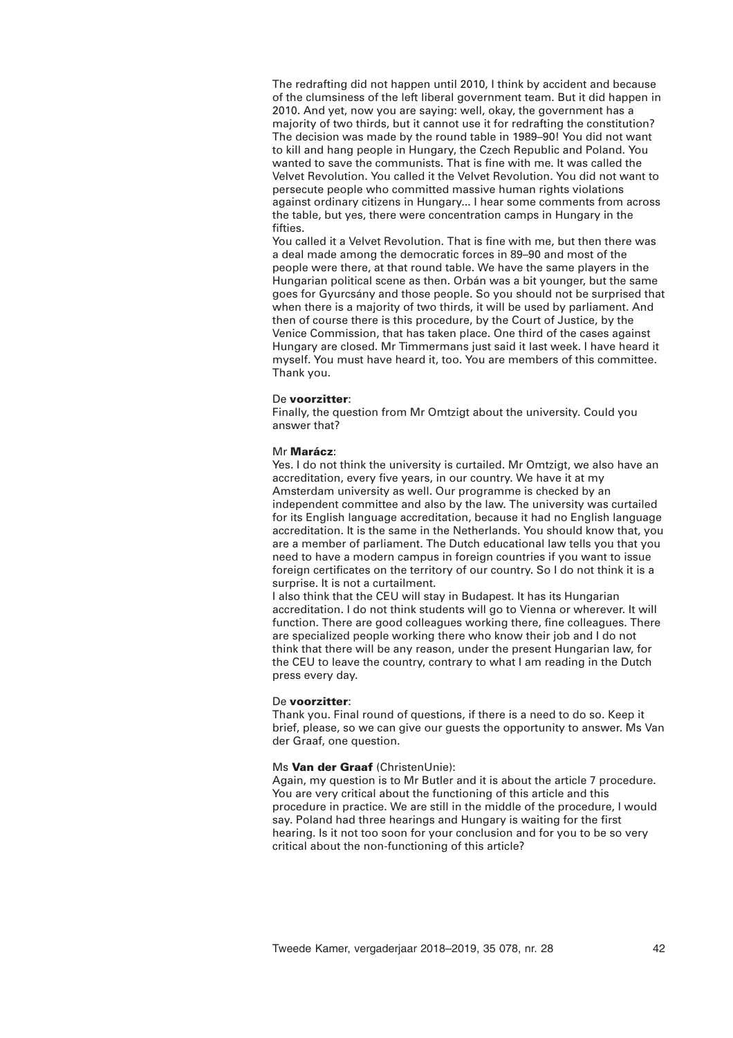The redrafting did not happen until 2010, I think by accident and because of the clumsiness of the left liberal government team. But it did happen in 2010. And yet, now you are saying: well, okay, the government has a majority of two thirds, but it cannot use it for redrafting the constitution? The decision was made by the round table in 1989–90! You did not want to kill and hang people in Hungary, the Czech Republic and Poland. You wanted to save the communists. That is fine with me. It was called the Velvet Revolution. You called it the Velvet Revolution. You did not want to persecute people who committed massive human rights violations against ordinary citizens in Hungary... I hear some comments from across the table, but yes, there were concentration camps in Hungary in the fifties.

You called it a Velvet Revolution. That is fine with me, but then there was a deal made among the democratic forces in 89–90 and most of the people were there, at that round table. We have the same players in the Hungarian political scene as then. Orbán was a bit younger, but the same goes for Gyurcsány and those people. So you should not be surprised that when there is a majority of two thirds, it will be used by parliament. And then of course there is this procedure, by the Court of Justice, by the Venice Commission, that has taken place. One third of the cases against Hungary are closed. Mr Timmermans just said it last week. I have heard it myself. You must have heard it, too. You are members of this committee. Thank you.

#### De **voorzitter**:

Finally, the question from Mr Omtzigt about the university. Could you answer that?

#### Mr **Marácz**:

Yes. I do not think the university is curtailed. Mr Omtzigt, we also have an accreditation, every five years, in our country. We have it at my Amsterdam university as well. Our programme is checked by an independent committee and also by the law. The university was curtailed for its English language accreditation, because it had no English language accreditation. It is the same in the Netherlands. You should know that, you are a member of parliament. The Dutch educational law tells you that you need to have a modern campus in foreign countries if you want to issue foreign certificates on the territory of our country. So I do not think it is a surprise. It is not a curtailment.

I also think that the CEU will stay in Budapest. It has its Hungarian accreditation. I do not think students will go to Vienna or wherever. It will function. There are good colleagues working there, fine colleagues. There are specialized people working there who know their job and I do not think that there will be any reason, under the present Hungarian law, for the CEU to leave the country, contrary to what I am reading in the Dutch press every day.

#### De **voorzitter**:

Thank you. Final round of questions, if there is a need to do so. Keep it brief, please, so we can give our guests the opportunity to answer. Ms Van der Graaf, one question.

### Ms **Van der Graaf** (ChristenUnie):

Again, my question is to Mr Butler and it is about the article 7 procedure. You are very critical about the functioning of this article and this procedure in practice. We are still in the middle of the procedure, I would say. Poland had three hearings and Hungary is waiting for the first hearing. Is it not too soon for your conclusion and for you to be so very critical about the non-functioning of this article?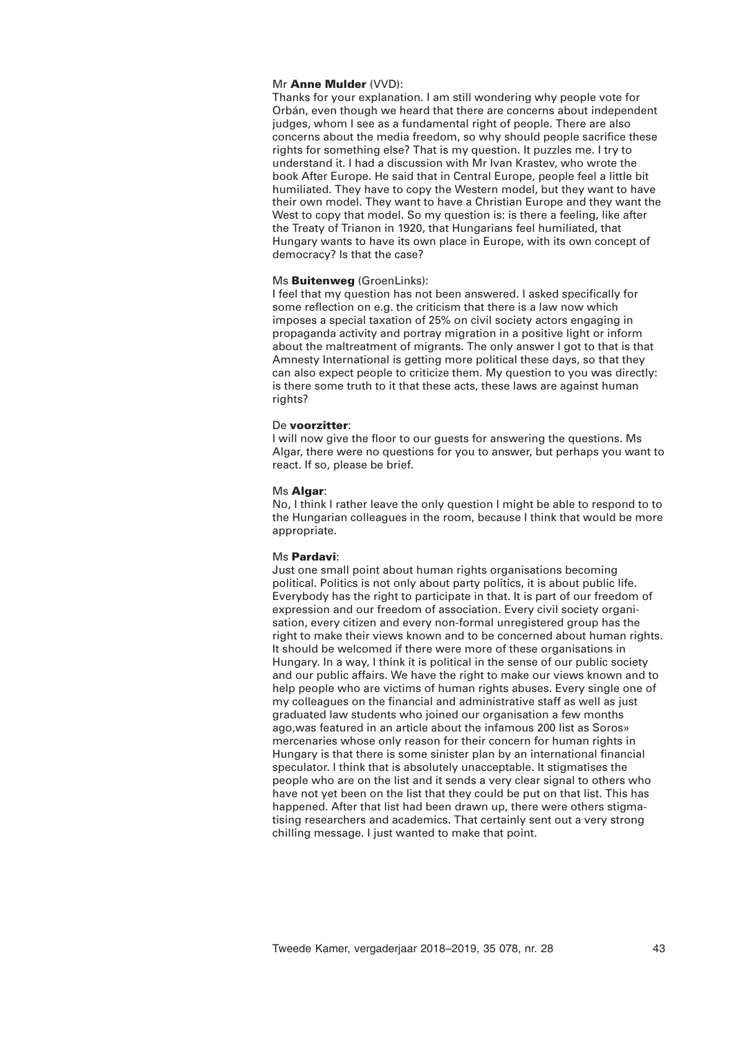## Mr **Anne Mulder** (VVD):

Thanks for your explanation. I am still wondering why people vote for Orbán, even though we heard that there are concerns about independent judges, whom I see as a fundamental right of people. There are also concerns about the media freedom, so why should people sacrifice these rights for something else? That is my question. It puzzles me. I try to understand it. I had a discussion with Mr Ivan Krastev, who wrote the book After Europe. He said that in Central Europe, people feel a little bit humiliated. They have to copy the Western model, but they want to have their own model. They want to have a Christian Europe and they want the West to copy that model. So my question is: is there a feeling, like after the Treaty of Trianon in 1920, that Hungarians feel humiliated, that Hungary wants to have its own place in Europe, with its own concept of democracy? Is that the case?

## Ms **Buitenweg** (GroenLinks):

I feel that my question has not been answered. I asked specifically for some reflection on e.g. the criticism that there is a law now which imposes a special taxation of 25% on civil society actors engaging in propaganda activity and portray migration in a positive light or inform about the maltreatment of migrants. The only answer I got to that is that Amnesty International is getting more political these days, so that they can also expect people to criticize them. My question to you was directly: is there some truth to it that these acts, these laws are against human rights?

#### De **voorzitter**:

I will now give the floor to our guests for answering the questions. Ms Algar, there were no questions for you to answer, but perhaps you want to react. If so, please be brief.

#### Ms **Algar**:

No, I think I rather leave the only question I might be able to respond to to the Hungarian colleagues in the room, because I think that would be more appropriate.

#### Ms **Pardavi**:

Just one small point about human rights organisations becoming political. Politics is not only about party politics, it is about public life. Everybody has the right to participate in that. It is part of our freedom of expression and our freedom of association. Every civil society organisation, every citizen and every non-formal unregistered group has the right to make their views known and to be concerned about human rights. It should be welcomed if there were more of these organisations in Hungary. In a way, I think it is political in the sense of our public society and our public affairs. We have the right to make our views known and to help people who are victims of human rights abuses. Every single one of my colleagues on the financial and administrative staff as well as just graduated law students who joined our organisation a few months ago,was featured in an article about the infamous 200 list as Soros» mercenaries whose only reason for their concern for human rights in Hungary is that there is some sinister plan by an international financial speculator. I think that is absolutely unacceptable. It stigmatises the people who are on the list and it sends a very clear signal to others who have not yet been on the list that they could be put on that list. This has happened. After that list had been drawn up, there were others stigmatising researchers and academics. That certainly sent out a very strong chilling message. I just wanted to make that point.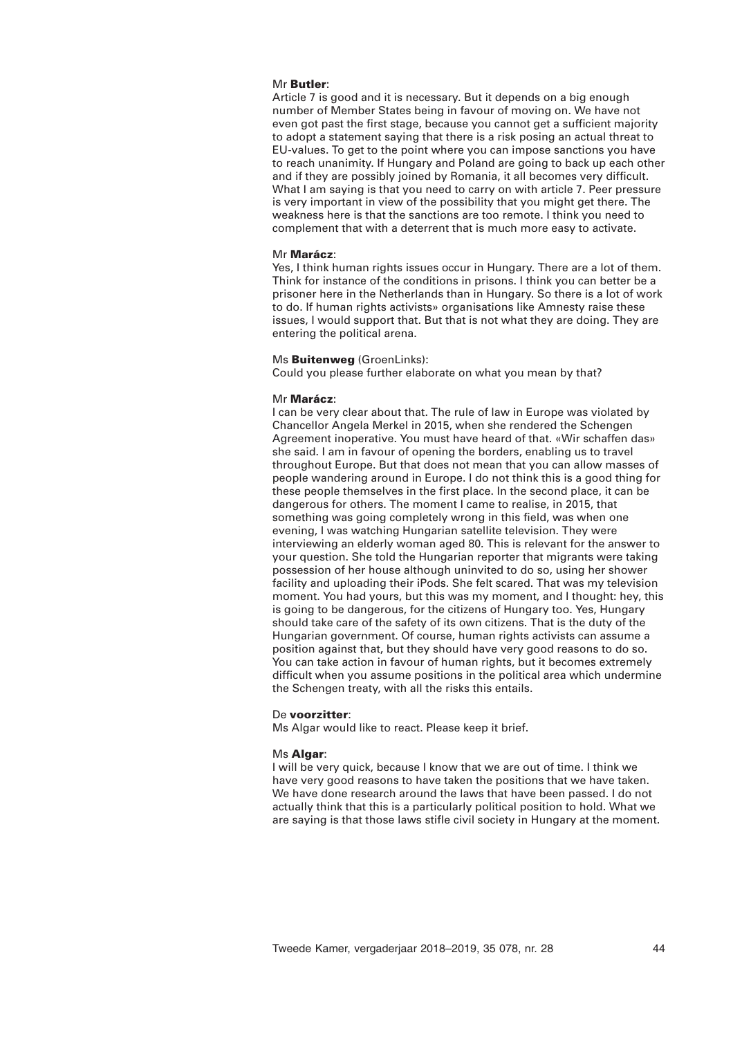## Mr **Butler**:

Article 7 is good and it is necessary. But it depends on a big enough number of Member States being in favour of moving on. We have not even got past the first stage, because you cannot get a sufficient majority to adopt a statement saying that there is a risk posing an actual threat to EU-values. To get to the point where you can impose sanctions you have to reach unanimity. If Hungary and Poland are going to back up each other and if they are possibly joined by Romania, it all becomes very difficult. What I am saying is that you need to carry on with article 7. Peer pressure is very important in view of the possibility that you might get there. The weakness here is that the sanctions are too remote. I think you need to complement that with a deterrent that is much more easy to activate.

#### Mr **Marácz**:

Yes, I think human rights issues occur in Hungary. There are a lot of them. Think for instance of the conditions in prisons. I think you can better be a prisoner here in the Netherlands than in Hungary. So there is a lot of work to do. If human rights activists» organisations like Amnesty raise these issues, I would support that. But that is not what they are doing. They are entering the political arena.

#### Ms **Buitenweg** (GroenLinks):

Could you please further elaborate on what you mean by that?

#### Mr **Marácz**:

I can be very clear about that. The rule of law in Europe was violated by Chancellor Angela Merkel in 2015, when she rendered the Schengen Agreement inoperative. You must have heard of that. «Wir schaffen das» she said. I am in favour of opening the borders, enabling us to travel throughout Europe. But that does not mean that you can allow masses of people wandering around in Europe. I do not think this is a good thing for these people themselves in the first place. In the second place, it can be dangerous for others. The moment I came to realise, in 2015, that something was going completely wrong in this field, was when one evening, I was watching Hungarian satellite television. They were interviewing an elderly woman aged 80. This is relevant for the answer to your question. She told the Hungarian reporter that migrants were taking possession of her house although uninvited to do so, using her shower facility and uploading their iPods. She felt scared. That was my television moment. You had yours, but this was my moment, and I thought: hey, this is going to be dangerous, for the citizens of Hungary too. Yes, Hungary should take care of the safety of its own citizens. That is the duty of the Hungarian government. Of course, human rights activists can assume a position against that, but they should have very good reasons to do so. You can take action in favour of human rights, but it becomes extremely difficult when you assume positions in the political area which undermine the Schengen treaty, with all the risks this entails.

#### De **voorzitter**:

Ms Algar would like to react. Please keep it brief.

#### Ms **Algar**:

I will be very quick, because I know that we are out of time. I think we have very good reasons to have taken the positions that we have taken. We have done research around the laws that have been passed. I do not actually think that this is a particularly political position to hold. What we are saying is that those laws stifle civil society in Hungary at the moment.